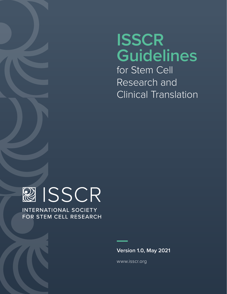# **ISSCR Guidelines** for Stem Cell

Research and Clinical Translation



**INTERNATIONAL SOCIETY** FOR STEM CELL RESEARCH

**Version 1.0, May 2021**

[www.isscr.org](http://www.isscr.org)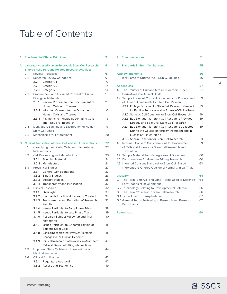# Table of Contents

| 1.   | <b>Fundamental Ethical Principles</b>                                                                           |                                                      |                                                               | з         |  |  |
|------|-----------------------------------------------------------------------------------------------------------------|------------------------------------------------------|---------------------------------------------------------------|-----------|--|--|
| 2. . | Laboratory-based Human Embryonic Stem Cell Research,<br><b>Embryo Research, and Related Research Activities</b> |                                                      |                                                               |           |  |  |
|      |                                                                                                                 |                                                      |                                                               |           |  |  |
|      | 2.1                                                                                                             |                                                      | <b>Review Processes</b>                                       | 6         |  |  |
|      | $2.2^{\circ}$                                                                                                   | <b>Research Review Categories</b>                    |                                                               |           |  |  |
|      |                                                                                                                 |                                                      | 2.2.1 Category 1                                              | 10        |  |  |
|      |                                                                                                                 |                                                      | 2.2.2 Category 2                                              | $12^{12}$ |  |  |
|      |                                                                                                                 |                                                      | 2.2.3 Category 3                                              | 14        |  |  |
|      | 2.3                                                                                                             | Procurement and Informed Consent of Human            |                                                               |           |  |  |
|      |                                                                                                                 | <b>Biological Materials</b>                          |                                                               |           |  |  |
|      |                                                                                                                 | 2.3.1                                                | Review Process for the Procurement of                         | 15        |  |  |
|      |                                                                                                                 |                                                      | <b>Human Cells and Tissues</b>                                |           |  |  |
|      |                                                                                                                 |                                                      | 2.3.2 Informed Consent for the Donation of                    | 16        |  |  |
|      |                                                                                                                 |                                                      | <b>Human Cells and Tissues</b>                                |           |  |  |
|      |                                                                                                                 |                                                      | 2.3.3 Payments to Individuals Donating Cells                  | 18        |  |  |
|      |                                                                                                                 |                                                      | and Tissue for Research                                       | 19        |  |  |
|      |                                                                                                                 | Derivation, Banking and Distribution of Human<br>2.4 |                                                               |           |  |  |
|      |                                                                                                                 |                                                      | <b>Stem Cell Lines</b>                                        |           |  |  |
|      | 2.5                                                                                                             |                                                      | <b>Mechanisms for Enforcement</b>                             | 20        |  |  |
| 3.   |                                                                                                                 |                                                      | <b>Clinical Translation of Stem Cells-based Interventions</b> | 22        |  |  |
|      | 3.1                                                                                                             |                                                      | Classifying Stem Cell-, Cell-, and Tissue-based               | 22        |  |  |
|      |                                                                                                                 | Interventions                                        |                                                               |           |  |  |
|      | 3.2                                                                                                             |                                                      | Cell Processing and Manufacture                               | 23        |  |  |
|      |                                                                                                                 |                                                      | 3.2.1 Sourcing Material                                       | 24        |  |  |
|      |                                                                                                                 |                                                      | 3.2.2 Manufacture                                             | 24        |  |  |
|      | 3.3                                                                                                             |                                                      | <b>Preclinical Studies</b>                                    | 27        |  |  |
|      |                                                                                                                 |                                                      | 3.3.1 General Considerations                                  | 27        |  |  |
|      |                                                                                                                 |                                                      | 3.3.2 Safety Studies                                          | 28        |  |  |
|      |                                                                                                                 |                                                      | 3.3.3 Efficacy Studies                                        | 31        |  |  |
|      |                                                                                                                 |                                                      | 3.3.4 Transparency and Publication                            | 32<br>32  |  |  |
|      | 3.4                                                                                                             |                                                      | <b>Clinical Research</b>                                      |           |  |  |
|      |                                                                                                                 |                                                      | 3.4.1 Oversight                                               | 33        |  |  |
|      |                                                                                                                 | 3.4.2                                                | <b>Standards for Clinical Research Conduct</b>                | 33        |  |  |
|      |                                                                                                                 | 3.4.3                                                | Transparency and Reporting of Research<br>Results             | 37        |  |  |
|      |                                                                                                                 |                                                      | 3.4.4 Issues Particular to Early Phase Trials                 | 38        |  |  |
|      |                                                                                                                 |                                                      | 3.4.5 Issues Particular to Late Phase Trials                  | 39        |  |  |
|      |                                                                                                                 | 3.4.6                                                | Research Subject Follow-up and Trial                          | 40        |  |  |
|      |                                                                                                                 |                                                      | Monitorina                                                    |           |  |  |
|      |                                                                                                                 | 3.4.7                                                | Issues Particular to Genomic Editing of                       | 41        |  |  |
|      |                                                                                                                 |                                                      | <b>Somatic Stem Cells</b>                                     |           |  |  |
|      |                                                                                                                 | 3.4.8                                                | Clinical Research that Involves Heritable                     | 41        |  |  |
|      |                                                                                                                 |                                                      | Changes to the Human Genome                                   |           |  |  |
|      |                                                                                                                 | 3.4.9                                                | Clinical Research that Involves In utero Stem                 | 43        |  |  |
|      |                                                                                                                 |                                                      | Cell and Genome Editing Interventions                         |           |  |  |
|      | 3.5                                                                                                             |                                                      | Unproven Stem Cell-based Interventions and                    | 44        |  |  |
|      |                                                                                                                 |                                                      | <b>Medical Innovation</b>                                     |           |  |  |
|      | 3.6                                                                                                             |                                                      | <b>Clinical Application</b>                                   | 47        |  |  |
|      |                                                                                                                 | 3.6.1                                                | <b>Regulatory Approval</b>                                    | 47        |  |  |
|      |                                                                                                                 | 3.6.2                                                | <b>Access and Economics</b>                                   | 49        |  |  |

| 4. Communications                                                                                                     | 51 |  |  |  |  |
|-----------------------------------------------------------------------------------------------------------------------|----|--|--|--|--|
| 5. Standards in Stem Cell Research                                                                                    | 55 |  |  |  |  |
| <b>Acknowledgments</b><br>Task Force to Update the ISSCR Guidelines                                                   |    |  |  |  |  |
| 57<br><b>Appendices</b>                                                                                               |    |  |  |  |  |
| A1. The Transfer of Human Stem Cells or their Direct<br>Derivatives into Animal Hosts                                 | 57 |  |  |  |  |
| A2. Sample Informed Consent Documents for Procurement<br>of Human Biomaterials for Stem Cell Research                 | 59 |  |  |  |  |
| A2.1 Embryo Donation for Stem Cell Research; Created<br>for Fertility Purposes and in Excess of Clinical Need         | 59 |  |  |  |  |
| A2.2 Somatic Cell Donation for Stem Cell Research                                                                     | 59 |  |  |  |  |
| A2.3 Egg Donation for Stem Cell Research; Provided<br>Directly and Solely for Stem Cell Research                      | 59 |  |  |  |  |
| A2.4 Eqq Donation for Stem Cell Research; Collected<br>During the Course of Fertility Treatment and in                | 59 |  |  |  |  |
| <b>Excess of Clinical Need</b>                                                                                        |    |  |  |  |  |
| A2.5 Sperm Donation for Stem Cell Research                                                                            | 59 |  |  |  |  |
| A3. Informed Consent Considerations for Procurement<br>of Cells and Tissues for Stem Cell Research and<br>Translation | 59 |  |  |  |  |
| A4. Sample Material Transfer Agreement Document                                                                       | 60 |  |  |  |  |
| A5. Considerations for Genome Editing Research                                                                        | 60 |  |  |  |  |
| A6. Informed Consent Standard for Stem Cell-Based<br>Interventions Offered Outside of Formal Clinical Trials          | 63 |  |  |  |  |
| <b>Glossarv</b>                                                                                                       | 64 |  |  |  |  |
| G.1 The Term "Embryo" and Other Terms Used to Describe<br><b>Early Stages of Development</b>                          | 64 |  |  |  |  |
| G.2 Terminology Relating to Developmental Potential                                                                   | 66 |  |  |  |  |
| G.3 The Term "Chimera" in Stem Cell Research                                                                          | 66 |  |  |  |  |
| G.4 Terms Used in Transplantation                                                                                     | 67 |  |  |  |  |
| G.5 General Terms Pertaining to Research and Research<br>Participants                                                 | 67 |  |  |  |  |

```
References
```
**69**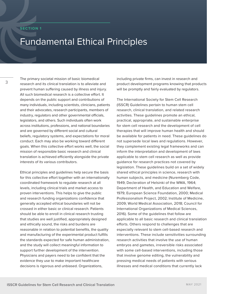#### <span id="page-2-0"></span>**SECTION 1**

# Fundamental Ethical Principles

3

The primary societal mission of basic biomedical research and its clinical translation is to alleviate and prevent human suffering caused by illness and injury. All such biomedical research is a collective effort. It depends on the public support and contributions of many individuals, including scientists, clinicians, patients and their advocates, research participants, members of industry, regulators and other governmental officials, legislators, and others. Such individuals often work across institutions, professions, and national boundaries and are governed by different social and cultural beliefs, regulatory systems, and expectations for moral conduct. Each may also be working toward different goals. When this collective effort works well, the social mission of responsible basic research and clinical translation is achieved efficiently alongside the private interests of its various contributors.

Ethical principles and guidelines help secure the basis for this collective effort together with an internationally coordinated framework to regulate research at all levels, including clinical trials and market access to proven interventions. This helps to give the public and research funding organizations confidence that generally accepted ethical boundaries will not be crossed in either basic or clinical research. Patients should be able to enroll in clinical research trusting that studies are well justified, appropriately designed and ethically sound, the risks and burdens are reasonable in relation to potential benefits, the quality and manufacturing of the experimental product fulfills the standards expected for safe human administration, and the study will collect meaningful information to support further development of the intervention. Physicians and payers need to be confident that the evidence they use to make important healthcare decisions is rigorous and unbiased. Organizations,

including private firms, can invest in research and product development programs knowing that products will be promptly and fairly evaluated by regulators.

The International Society for Stem Cell Research (ISSCR) Guidelines pertain to human stem cell research, clinical translation, and related research activities. These guidelines promote an ethical, practical, appropriate, and sustainable enterprise for stem cell research and the development of cell therapies that will improve human health and should be available for patients in need. These guidelines do not supersede local laws and regulations. However, they complement existing legal frameworks and can inform the interpretation and development of laws applicable to stem cell research as well as provide guidance for research practices not covered by legislation. These guidelines build on a set of widely shared ethical principles in science, research with human subjects, and medicine (Nuremberg Code, 1949; Decleration of Helsinki of the WMA, 1964; Department of Health, and Education and Welfare, 1979; European Science Foundation, 2000; Medical Professionalism Project, 2002; Institute of Medicine, 2009; World Medical Association, 2018; Council for International Organizations of Medical Sciences, 2016). Some of the guidelines that follow are applicable to all basic research and clinical translation efforts. Others respond to challenges that are especially relevant to stem cell-based research and interventions. These include sensitivities surrounding research activities that involve the use of human embryos and gametes, irreversible risks associated with some cell-based interventions, including those that involve genome editing, the vulnerability and pressing medical needs of patients with serious illnesses and medical conditions that currently lack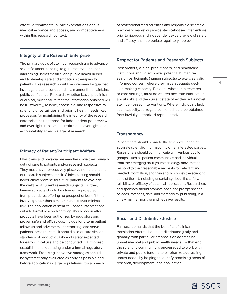effective treatments, public expectations about medical advance and access, and competitiveness within this research context.

of professional medical ethics and responsible scientific practices to market or provide stem cell-based interventions prior to rigorous and independent expert review of safety and efficacy and appropriate regulatory approval.

#### **Integrity of the Research Enterprise**

The primary goals of stem cell research are to advance scientific understanding, to generate evidence for addressing unmet medical and public health needs, and to develop safe and efficacious therapies for patients. This research should be overseen by qualified investigators and conducted in a manner that maintains public confidence. Research, whether basic, preclinical or clinical, must ensure that the information obtained will be trustworthy, reliable, accessible, and responsive to scientific uncertainties and priority health needs. Key processes for maintaining the integrity of the research enterprise include those for independent peer review and oversight, replication, institutional oversight, and accountability at each stage of research.

#### **Primacy of Patient/Participant Welfare**

Physicians and physician-researchers owe their primary duty of care to patients and/or research subjects. They must never excessively place vulnerable patients or research subjects at risk. Clinical testing should never allow promise for future patients to override the welfare of current research subjects. Further, human subjects should be stringently protected from procedures offering no prospect of benefit that involve greater than a minor increase over minimal risk. The application of stem cell-based interventions outside formal research settings should occur after products have been authorized by regulators and proven safe and efficacious, include long-term patient follow-up and adverse event reporting, and serve patients' best interests. It should also ensure similar standards of product quality and safety expected for early clinical use and be conducted in authorized establishments operating under a formal regulatory framework. Promising innovative strategies should be systematically evaluated as early as possible and before application in large populations. It is a breach

# **Respect for Patients and Research Subjects**

Researchers, clinical practitioners, and healthcare institutions should empower potential human research participants (human subjects) to exercise valid informed consent where they have adequate decision-making capacity. Patients, whether in research or care settings, must be offered accurate information about risks and the current state of evidence for novel stem cell-based interventions. Where individuals lack such capacity, surrogate consent should be obtained from lawfully authorized representatives.

#### **Transparency**

Researchers should promote the timely exchange of accurate scientific information to other interested parties. Researchers should communicate with various public groups, such as patient communities and individuals from the emerging do-it-yourself biology movement, to respond to their reasonable requests for relevant and needed information, and they should convey the scientific state of the art, including uncertainty about the safety, reliability, or efficacy of potential applications. Researchers and sponsors should promote open and prompt sharing of ideas, methods, data, and materials by publishing, in a timely manner, positive and negative results.

### **Social and Distributive Justice**

Fairness demands that the benefits of clinical translation efforts should be distributed justly and globally, with particular emphasis on addressing unmet medical and public health needs. To that end, the scientific community is encouraged to work with private and public funders to emphasize addressing unmet needs by helping to identify promising areas of research, development, and application.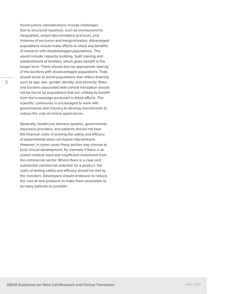Social justice considerations include challenges due to structural injustices, such as socioeconomic inequalities, extant discriminatory practices, and histories of exclusion and marginalization. Advantaged populations should make efforts to share any benefits of research with disadvantaged populations. This would include 'capacity building,' both training and establishment of facilities, which gives benefit in the longer term. There should also be appropriate sharing of the burdens with disadvantaged populations. Trials should strive to enroll populations that reflect diversity such as age, sex, gender identity, and ethnicity. Risks and burdens associated with clinical translation should not be borne by populations that are unlikely to benefit from the knowledge produced in these efforts. The scientific community is encouraged to work with governments and industry to develop mechanisms to reduce the cost of clinical applications.

Generally, healthcare delivery systems, governments, insurance providers, and patients should not bear the financial costs of proving the safety and efficacy of experimental stem cell-based interventions. However, in some cases these parties may choose to fund clinical development, for example if there is an unmet medical need and insufficient investment from the commercial sector. Where there is a clear and substantial commercial potential for a product, the costs of testing safety and efficacy should be met by the investors. Developers should endeavor to reduce the cost of new products to make them accessible to as many patients as possible.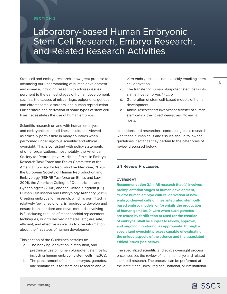# <span id="page-5-0"></span>**SECTION 2**

# Laboratory-based Human Embryonic Stem Cell Research, Embryo Research, and Related Research Activities

Stem cell and embryo research show great promise for advancing our understanding of human development and disease, including research to address issues pertinent to the earliest stages of human development, such as: the causes of miscarriage; epigenetic, genetic and chromosomal disorders; and human reproduction. Furthermore, the derivation of some types of stem cell lines necessitates the use of human embryos.

Scientific research on and with human embryos and embryonic stem cell lines in culture is viewed as ethically permissible in many countries when performed under rigorous scientific and ethical oversight. This is consistent with policy statements of other organizations, most notably, the American Society for Reproductive Medicine (Ethics in Embryo Research Task Force and Ethics Committee of the American Society for Reproductive Medicine, 2020), the European Society of Human Reproduction and Embryology (ESHRE Taskforce on Ethics and Law, 2001), the American College of Obstetricians and Gynecologists (2006) and the United Kingdom (UK) Human Fertilisation and Embryology Authority (2019). Creating embryos for research, which is permitted in relatively few jurisdictions, is required to develop and ensure both standard and novel methods involving IVF (including the use of mitochondrial replacement techniques, *in vitro* derived gametes, etc.) are safe, efficient, and effective as well as to give information about the first steps of human development.

This section of the Guidelines pertains to:

- a. The banking, derivation, distribution, and preclinical use of human pluripotent stem cells, including human embryonic stem cells (hESCs).
- b. The procurement of human embryos, gametes, and somatic cells for stem cell research and *in*

*vitro* embryo studies not explicitly entailing stem cell derivation.

- c. The transfer of human pluripotent stem cells into animal host embryos *in vitro*.
- d. Generation of stem cell-based models of human development.
- e. Animal research that involves the transfer of human stem cells or their direct derivatives into animal hosts.

Institutions and researchers conducting basic research with these human cells and tissues should follow the guidelines insofar as they pertain to the categories of review discussed below.

# **2.1 Review Processes**

#### **OVERSIGHT**

**Recommendation 2.1.1: All research that (a) involves preimplantation stages of human development,**  *in vitro* **human embryo culture, derivation of new embryo-derived cells or lines, integrated stem cellbased embryo models, or (b) entails the production of human gametes** *in vitro* **when such gametes are tested by fertilization or used for the creation of embryos, shall be subject to review, approval, and ongoing monitoring, as appropriate, through a specialized oversight process capable of evaluating the unique aspects of the science and the associated ethical issues (see below).**

The specialized scientific and ethics oversight process encompasses the review of human embryo and related stem cell research. The process can be performed at the institutional, local, regional, national, or international

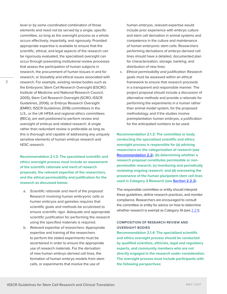committee, so long as the oversight process as a whole occurs effectively, impartially, and rigorously. Provided appropriate expertise is available to ensure that the scientific, ethical, and legal aspects of the research can be rigorously evaluated, the specialized oversight can occur through preexisting institutional review processes that assess the participation of human subjects in research, the procurement of human tissues in and for research, or biosafety and ethical issues associated with research. For example, existing review bodies such as the Embryonic Stem Cell Research Oversight (ESCRO; Institute of Medicine and National Research Council, 2005), Stem Cell Research Oversight (SCRO; ISSCR Guidelines, 2006), or Embryo Research Oversight (EMRO; ISSCR Guidelines 2016) committees in the U.S., or the UK HFEA and regional ethics committees (RECs), are well positioned to perform review and oversight of embryo and related research. A single rather than redundant review is preferable as long as this is thorough and capable of addressing any uniquely sensitive elements of human embryo research and hESC research.

<span id="page-6-0"></span>level or by some coordinated combination of those elements and need not be served by a single, specific

**Recommendation 2.1.2: The specialized scientific and ethics oversight process must include an assessment of the scientific rationale and merit of research proposals, the relevant expertise of the researchers, and the ethical permissibility and justification for the research as discussed below.** 

- a. *Scientific rationale and merit of the proposal:*  Research involving human embryonic cells or human embryos and gametes requires that scientific goals and methods be scrutinized to ensure scientific rigor. Adequate and appropriate scientific justification for performing the research using the specified materials is required.
- b. *Relevant expertise of researchers:* Appropriate expertise and training of the researchers to perform the stated experiments must be ascertained in order to ensure the appropriate use of research materials. For the derivation of new human embryo-derived cell lines, the formation of human embryo models from stem cells, or experiments that involve the use of

human embryos, relevant expertise would include prior experience with embryo culture and stem cell derivation in animal systems and competence in the culture and maintenance of human embryonic stem cells. Researchers performing derivations of embryo-derived cell lines should have a detailed, documented plan for characterization, storage, banking, and distribution of new lines.

c. *Ethical permissibility and justification:* Research goals must be assessed within an ethical framework to ensure that research proceeds in a transparent and responsible manner. The project proposal should include a discussion of alternative methods and provide a rationale for performing the experiments in a human rather than animal model system, for the proposed methodology, and if the studies involve preimplantation human embryos, a justification for the anticipated numbers to be used.

**Recommendation 2.1.3: The committee or body conducting the specialized scientific and ethics oversight process is responsible for (a) advising researchers on the categorization of research (see [Recommendation 2.2\)](#page-8-0), (b) determining whether a research proposal constitutes permissible or nonpermissible research, (c) monitoring and periodically reviewing ongoing research, and (d) overseeing the provenance of the human pluripotent stem cell lines used in Category 2 Research (see [Section 2.2.2\)](#page-11-0).** 

The responsible committee or entity should interpret these guidelines, define research practices, and monitor compliance. Researchers are encouraged to consult the committee or entity for advice on how to determine whether research is exempt as Category 1A [\(see 2.2.1](#page-9-0)).

# **COMPOSITION OF RESEARCH REVIEW AND OVERSIGHT BODIES**

**Recommendation 2.1.4: The specialized scientific and ethics oversight process should be conducted by qualified scientists, ethicists, legal and regulatory experts, and community members who are not directly engaged in the research under consideration. The oversight process must include participants with the following perspectives:**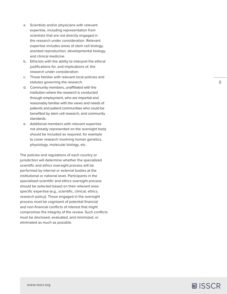- a. Scientists and/or physicians with relevant expertise, including representation from scientists that are not directly engaged in the research under consideration. Relevant expertise includes areas of stem cell biology, assisted reproduction, developmental biology, and clinical medicine.
- b. Ethicists with the ability to interpret the ethical justifications for, and implications of, the research under consideration.
- c. Those familiar with relevant local policies and statutes governing the research.
- d. Community members, unaffiliated with the institution where the research is conducted through employment, who are impartial and reasonably familiar with the views and needs of patients and patient communities who could be benefited by stem cell research, and community standards.
- e. Additional members with relevant expertise not already represented on the oversight body should be included as required, for example to cover research involving human genetics, physiology, molecular biology, etc.

The policies and regulations of each country or jurisdiction will determine whether the specialized scientific and ethics oversight process will be performed by internal or external bodies at the institutional or national level. Participants in the specialized scientific and ethics oversight process should be selected based on their relevant areaspecific expertise (e.g., scientific, clinical, ethics, research policy). Those engaged in the oversight process must be cognizant of potential financial and non-financial conflicts of interest that might compromise the integrity of the review. Such conflicts must be disclosed, evaluated, and minimized, or eliminated as much as possible.

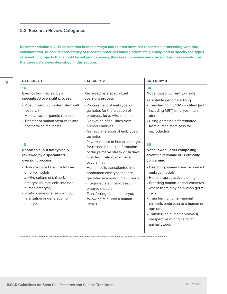# <span id="page-8-0"></span>**2.2 Research Review Categories**

**Recommendation 2.2: To ensure that human embryo and related stem cell research is proceeding with due consideration, to ensure consistency of research practices among scientists globally, and to specify the types of scientific projects that should be subject to review, the research review and oversight process should use the three categories described in this section.**

| <b>CATEGORY 1</b>                                                                                                                                                                                                                                                                                                 | <b>CATEGORY 2</b>                                                                                                                                                                                                                                                                                                                                                                         | <b>CATEGORY 3</b>                                                                                                                                                                                                                                                                                                                                                                                                                     |  |
|-------------------------------------------------------------------------------------------------------------------------------------------------------------------------------------------------------------------------------------------------------------------------------------------------------------------|-------------------------------------------------------------------------------------------------------------------------------------------------------------------------------------------------------------------------------------------------------------------------------------------------------------------------------------------------------------------------------------------|---------------------------------------------------------------------------------------------------------------------------------------------------------------------------------------------------------------------------------------------------------------------------------------------------------------------------------------------------------------------------------------------------------------------------------------|--|
| 1A<br>Exempt from review by a<br>specialized oversight process<br>• Most in vitro pluripotent stem cell<br>research<br>• Most in vitro organoid research<br>• Transfer of human stem cells into<br>postnatal animal hosts                                                                                         | $\overline{2}$<br>Reviewed by a specialized<br>oversight process<br>• Procurement of embryos, or<br>gametes for the creation of<br>embryos, for in vitro research<br>• Derivation of cell lines from<br>human embryos<br>• Genetic alteration of embryos or<br>gametes                                                                                                                    | 3A<br>Not allowed; currently unsafe<br>• Heritable genome editing<br>• Transferring mtDNA-modified (not<br>including MRT) embryos into a<br>uterus<br>• Using gametes differentiated<br>from human stem cells for<br>reproduction                                                                                                                                                                                                     |  |
| 1B<br>Reportable, but not typically<br>reviewed by a specialized<br>oversight process<br>• Non-integrated stem cell-based<br>embryo models<br>· In vitro culture of chimeric<br>embryos (human cells into non-<br>human embryos)<br>· In vitro gametogenesis without<br>fertilization or generation of<br>embryos | · In vitro culture of human embryos<br>for research until the formation<br>of the primitive streak or 14 days<br>from fertilization, whichever<br>occurs first<br>• Human cells transplanted into<br>nonhuman embryos that are<br>gestated in a non-human uterus<br>· Integrated stem cell-based<br>embryo models<br>• Transferring human embryos<br>following MRT into a human<br>uterus | 3B<br>Not allowed: lacks compelling<br>scientific rationale or is ethically<br>concerning<br>• Gestating human stem cell-based<br>embryo models<br>• Human reproductive cloning<br>• Breeding human-animal chimeras<br>where there may be human germ<br>cells.<br>• Transferring human-animal<br>chimeric embryo(s) to a human or<br>ape uterus<br>• Transferring human embryo(s),<br>irrespective of origins, to an<br>animal uterus |  |

Note: This table is designed to broadly describe the types of research contained under each category. See relevant sections for more information.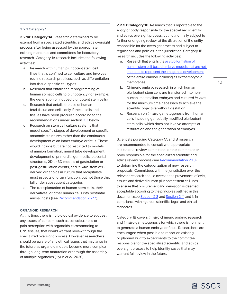#### <span id="page-9-0"></span>**2.2.1 Category 1**

2.2.1A: Category 1A. Research determined to be exempt from a specialized scientific and ethics oversight process after being assessed by the appropriate existing mandates and committees for laboratory research. Category 1A research includes the following activities:

- a. Research with human pluripotent stem cell lines that is confined to cell culture and involves routine research practices, such as differentiation into tissue-specific cell types.
- b. Research that entails the reprogramming of human somatic cells to pluripotency (for example, the generation of induced pluripotent stem cells).
- c. Research that entails the use of human fetal tissue and cells, only if these cells and tissues have been procured according to the recommendations under section [2.3](#page-14-0) below.
- d. Research on stem cell culture systems that model specific stages of development or specific anatomic structures rather than the continuous development of an intact embryo or fetus. These would include but are not restricted to models of amnion formation, neural tube development, development of primordial germ cells, placental structures, 2D or 3D models of gastrulation or post-gastrulation events, and *in vitro* stem cellderived organoids in culture that recapitulate most aspects of organ function, but not those that fall under subsequent categories.
- e. The transplantation of human stem cells, their derivatives, or other human cells into postnatal animal hosts (see [Recommendation 2.2.1.1\)](#page-10-0).

#### **ORGANOID RESEARCH**

At this time, there is no biological evidence to suggest any issues of concern, such as consciousness or pain perception with organoids corresponding to CNS tissues, that would warrant review through the specialized oversight process. However, researchers should be aware of any ethical issues that may arise in the future as organoid models become more complex through long-term maturation or through the assembly of multiple organoids (Hyun *et al.* 2020).

**2.2.1B: Category 1B.** Research that is reportable to the entity or body responsible for the specialized scientific and ethics oversight process, but not normally subject to further or ongoing review, at the discretion of the entity responsible for the oversight process and subject to regulations and policies in the jurisdiction. Category 1B research includes the following activities:

- a. Research that entails the *in vitro* [formation of](#page-64-0)  [human stem cell-based embryo models that are not](#page-64-0)  [intended to represent the integrated development](#page-64-0) of the entire embryo including its extraembryonic membranes.
- b. Chimeric embryo research in which human pluripotent stem cells are transferred into nonhuman, mammalian embryos and cultured *in vitro* for the minimum time necessary to achieve the scientific objective without gestation.
- c. Research on *in vitro* gametogenesis from human cells including genetically modified pluripotent stem cells, which does not involve attempts at fertilization and the generation of embryos.

Scientists pursuing Category 1A and B research are recommended to consult with appropriate institutional review committees or the committee or body responsible for the specialized scientific and ethics review process (see [Recommendation 2.1.3\)](#page-6-0) to determine the categorization of new research proposals. Committees with the jurisdiction over the relevant research should oversee the provenance of cells, tissues and derived human pluripotent stem cell lines to ensure that procurement and derivation is deemed acceptable according to the principles outlined in this document (see [Section 2.3](#page-14-0) and [Section 2.4](#page-18-0)) and is in compliance with rigorous scientific, legal, and ethical standards.

Category 1B covers *in vitro* chimeric embryo research and *in vitro* gametogenesis for which there is no intent to generate a human embryo or fetus. Researchers are encouraged when possible to report on existing or planned *in vitro* experiments to the committee responsible for the specialized scientific and ethics oversight process to help identify cases that may warrant full review in the future.

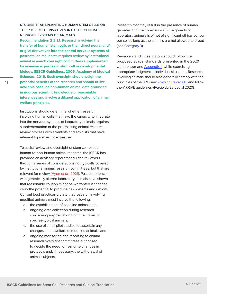<span id="page-10-0"></span>**STUDIES TRANSPLANTING HUMAN STEM CELLS OR THEIR DIRECT DERIVATIVES INTO THE CENTRAL NERVOUS SYSTEMS OF ANIMALS Recommendation 2.2.1.1: Research involving the transfer of human stem cells or their direct neural and/ or glial derivatives into the central nervous systems of postnatal animal hosts requires review by institutional animal research oversight committees supplemented by reviewer expertise in stem cell or developmental biology. (ISSCR Guidelines, 2006; Academy of Medical Sciences, 2011). Such oversight should weigh the potential benefits of the research and should utilize available baseline non-human animal data grounded in rigorous scientific knowledge or reasonable inferences and involve a diligent application of animal welfare principles.**

Institutions should determine whether research involving human cells that have the capacity to integrate into the nervous systems of laboratory animals requires supplementation of the pre-existing animal research review process with scientists and ethicists that have relevant topic-specific expertise.

To assist review and oversight of stem cell-based human-to-non-human animal research, the ISSCR has provided an advisory report that guides reviewers through a series of considerations not typically covered by institutional animal research committees, but that are relevant for review (Hyun *et al.*, 2021). Past experiences with genetically altered laboratory animals have shown that reasonable caution might be warranted if changes carry the potential to produce new defects and deficits. Current best practices dictate that research involving modified animals must involve the following:

- a. the establishment of baseline animal data;
- b. ongoing data collection during research concerning any deviation from the norms of species-typical animals;
- c. the use of small pilot studies to ascertain any changes in the welfare of modified animals; and
- d. ongoing monitoring and reporting to animal research oversight committees authorized to decide the need for real-time changes in protocols and, if necessary, the withdrawal of animal subjects.

Research that may result in the presence of human gametes and their precursors in the gonads of laboratory animals is of not of significant ethical concern per se, as long as the animals are not allowed to breed (see [Category 3\)](#page-13-0).

Reviewers and investigators should follow the proposed ethical standards presented in the 2020 white paper and [Appendix 1](#page-56-0), while exercising appropriate judgment in individual situations. Research involving animals should also generally comply with the principles of the 3Rs (see: [www.nc3rs.org.uk](http://www.nc3rs.org.uk)) and follow the 'ARRIVE guidelines' (Percie du Sert et. al 2020).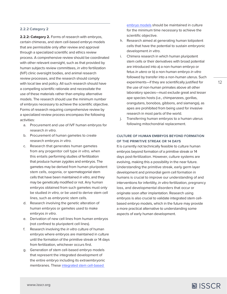#### <span id="page-11-0"></span>**2.2.2 Category 2**

**2.2.2: Category 2.** Forms of research with embryos, certain chimeras, and stem cell-based embryo models that are permissible only after review and approval through a specialized scientific and ethics review process. A comprehensive review should be coordinated with other relevant oversight, such as that provided by human subjects review committees, *in vitro* fertilization (IVF) clinic oversight bodies, and animal research review processes, and the research should comply with local law and policy. All such research should have a compelling scientific rationale and necessitate the use of these materials rather than employ alternative models. The research should use the minimum number of embryos necessary to achieve the scientific objective. Forms of research requiring comprehensive review by a specialized review process encompass the following activities:

- a. Procurement and use of IVF human embryos for research *in vitro*.
- b. Procurement of human gametes to create research embryos *in vitro*.
- c. Research that generates human gametes from any progenitor cell type *in vitro*, when this entails performing studies of fertilization that produce human zygotes and embryos. The gametes may be derived from human pluripotent stem cells, oogonia, or spermatogonial stem cells that have been maintained *in vitro*, and they may be genetically modified or not. Any human embryos obtained from such gametes must only be studied *in vitro*, or be used to derive stem cell lines, such as embryonic stem cells.
- d. Research involving the genetic alteration of human embryos or gametes used to make embryos *in vitro*.
- e. Derivation of new cell lines from human embryos (not confined to pluripotent cell lines).
- f. Research involving the *in vitro* culture of human embryos where embryos are maintained in culture until the formation of the primitive streak or 14 days from fertilization, whichever occurs first.
- g. Generation of stem cell-based embryo models that represent the integrated development of the entire embryo including its extraembryonic membranes. These [integrated stem cell-based](#page-64-0)

[embryo models](#page-64-0) should be maintained in culture for the minimum time necessary to achieve the scientific objective.

- h. Research aimed at generating human totipotent cells that have the potential to sustain embryonic development *in vitro*.
- i. Chimera research in which human pluripotent stem cells or their derivatives with broad potential are introduced into a) a non-human embryo or fetus *in utero* or b) a non-human embryo *in vitro* followed by transfer into a non-human uterus. Such experiments—if they are scientifically justified for the use of non-human primates above all other laboratory species—must exclude great and lesser ape species hosts (i.e., chimpanzees, gorillas, orangutans, bonobos, gibbons, and siamangs), as apes are prohibited from being used for invasive research in most parts of the world.
- j. Transferring human embryos to a human uterus following mitochondrial replacement.

#### **CULTURE OF HUMAN EMBRYOS BEYOND FORMATION OF THE PRIMITIVE STREAK OR 14 DAYS**

It is currently not technically feasible to culture human embryos beyond formation of a primitive streak or 14 days post-fertilization. However, culture systems are evolving, making this a possibility in the near future. Understanding the primitive streak, early germ layer development and primordial germ cell formation in humans is crucial to improve our understanding of and interventions for infertility, *in vitro* fertilization, pregnancy loss, and developmental disorders that occur or originate soon after implantation. Research using embryos is also crucial to validate integrated stem cellbased embryo models, which in the future may provide a more practical alternative to understanding some aspects of early human development.

**[www.isscr.org](https://www.closerlookatstemcells.org/)**

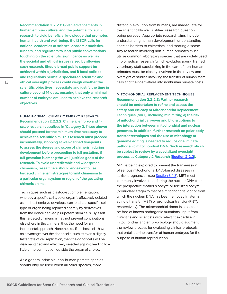**Recommendation 2.2.2.1: Given advancements in human embryo culture, and the potential for such research to yield beneficial knowledge that promotes human health and well-being, the ISSCR calls for national academies of science, academic societies, funders, and regulators to lead public conversations touching on the scientific significance as well as the societal and ethical issues raised by allowing such research. Should broad public support be achieved within a jurisdiction, and if local policies and regulations permit, a specialized scientific and ethical oversight process could weigh whether the scientific objectives necessitate and justify the time in culture beyond 14 days, ensuring that only a minimal number of embryos are used to achieve the research objectives.**

**HUMAN-ANIMAL CHIMERIC EMBRYO RESEARCH Recommendation 2.2.2.2: Chimeric embryo and** *in utero* **research described in 'Category 2, i' (see above) should proceed for the minimum time necessary to achieve the scientific aim. This research must proceed incrementally, stopping at well-defined timepoints to assess the degree and scope of chimerism during development before proceeding to full gestation, if full gestation is among the well-justified goals of the research. To avoid unpredictable and widespread chimerism, researchers should endeavor to use targeted chimerism strategies to limit chimerism to a particular organ system or region of the gestating chimeric animal.**

Techniques such as blastocyst complementation, whereby a specific cell type or organ is effectively deleted as the host embryo develops, can lead to a specific cell type or organ being replaced entirely by derivatives from the donor-derived pluripotent stem cells. By itself this targeted chimerism may not prevent contributions elsewhere in the chimera, thus the need for an incremental approach. Nonetheless, if the host cells have an advantage over the donor cells, such as even a slightly faster rate of cell replication, then the donor cells will be disadvantaged and effectively selected against, leading to a little or no contribution outside the organ of choice.

As a general principle, non-human primate species should only be used when all other species, more

distant in evolution from humans, are inadequate for the scientifically well justified research question being pursued. Appropriate research aims include understanding human development, understanding species barriers to chimerism, and treating disease. Any research involving non-human primates must utilize common laboratory species that are widely used in biomedical research (which excludes apes). Trained veterinary staff specializing in the care of non-human primates must be closely involved in the review and oversight of studies involving the transfer of human stem cells and their derivatives into nonhuman primate hosts.

**MITOCHONDRIAL REPLACEMENT TECHNIQUES Recommendation 2.2.2.3: Further research should be undertaken to refine and assess the safety and efficacy of Mitochondrial Replacement Techniques (MRT), including minimizing a) the risk of mitochondrial carryover and b) disruptions to the interaction between mitochondrial and nuclear genomes. In addition, further research on polar body transfer techniques and the use of mitophagy or gemome editing is needed to reduce or eliminate pathogenic mitochondrial DNA. Such research should be subject to review by a specialized oversight process as Category 2 Research ([Section 2.2.2\)](#page-11-0).**

MRT is being explored to prevent the transmission of serious mitochondrial DNA-based diseases in at-risk pregnancies (see [Section 3.4.8\)](#page-40-0). MRT most commonly involves transferring the nuclear DNA from the prospective mother's oocyte or fertilized oocyte (pronuclear stage) to that of a mitochondrial donor from which the nuclear DNA has been removed [maternal spindle transfer (MST) or pronuclear transfer (PNT), respectively]. The mitochondrial donor is selected to be free of known pathogenic mutations. Input from clinicians and scientists with relevant expertise in mitochondrial and embryo biology should augment the review process for evaluating clinical protocols that entail uterine transfer of human embryos for the purpose of human reproduction.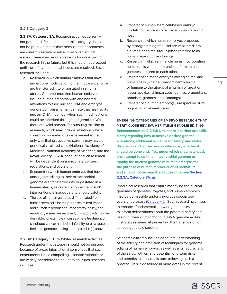#### <span id="page-13-0"></span>**2.2.3 Category 3**

2.2.3A: Category 3A. Research activities currently not permitted. Research under this category should not be pursued at this time because the approaches are currently unsafe or raise unresolved ethical issues. There may be valid reasons for undertaking the research in the future, but this should not proceed until the safety and ethical issues are resolved. Such research includes:

- a. Research in which human embryos that have undergone modification to their nuclear genome are transferred into or gestated in a human uterus. Genome-modified human embryos include human embryos with engineered alterations to their nuclear DNA and embryos generated from a human gamete that has had its nuclear DNA modified, when such modifications could be inherited through the germline. While there are valid reasons for pursuing this line of research, which may include situations where correcting a deleterious gene variant is the only way that prospective parents may have a genetically-related child (National Academy of Medicine, National Academy of Sciences, and the Royal Society, 2020), conduct of such research will be dependent on appropriate policies, regulations, and oversight.
- b. Research in which human embryos that have undergone editing to their mitochondrial genome are transferred into or gestated in a human uterus, as current knowledge of such interventions is inadequate to ensure safety.
- c. The use of human gametes differentiated from human stem cells for the purposes of fertilization and human reproduction. If the safety, policy, and regulatory issues are resolved, this approach may be desirable, for example in cases where treatment of childhood cancer has led to infertility, or as a route to heritable genome editing as indicated in (a) above.

**2.2.3B: Category 3B.** Prohibited research activities. Research under this category should not be pursued because of broad international consensus that such experiments lack a compelling scientific rationale or are widely considered to be unethical. Such research includes:

- a. Transfer of human stem cell-based embryo models to the uterus of either a human or animal host.
- b. Research in which human embryos produced by reprogramming of nuclei are implanted into a human or animal uterus (often referred to as human reproductive cloning).
- c. Research in which animal chimeras incorporating human cells with the potential to form human gametes are bred to each other.
- d. Transfer of chimeric embryos mixing animal and human cells (whether predominantly animal or human) to the uterus of a human or great or lesser ape (i.e., chimpanzees, gorillas, orangutans, bonobos, gibbons, and siamangs).
- e. Transfer of a human embryo(s), irrespective of its origins, to an animal uterus.

**EMERGING CATEGORIES OF EMBRYO RESEARCH THAT MERIT CLOSE REVIEW: HERITABLE GENOME EDITING Recommendation 2.2.3.1: Until there is further scientific clarity regarding how to achieve desired genetic alterations, additional evidence for safety, and wider discussion and consensus on ethics (i.e., whether it should be done and, if so, under which circumstances), any attempt to edit the mitochondrial genome or modify the nuclear genome of human embryos for the purpose of human reproduction is premature and should not be permitted at this time (see Section 2.2.3A, Category 3A, a).** 

Preclinical research that entails modifying the nuclear genomes of gametes, zygotes, and human embryos may be permissible under a rigorous specialized oversight process ([Category 2](#page-11-0)). Such research promises to enhance fundamental knowledge and is essential to inform deliberations about the potential safety and use of nuclear or mitochondrial DNA genome editing in strategies aimed at preventing the transmission of serious genetic disorders.

Scientists currently lack an adequate understanding of the fidelity and precision of techniques for genome editing of human embryos, as well as a full appreciation of the safety, ethics, and potential long-term risks and benefits to individuals born following such a process. This is described in more detail in the recent

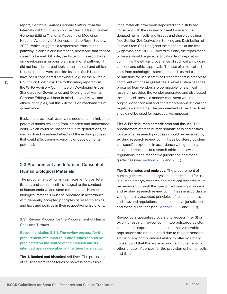<span id="page-14-0"></span>report, *Heritable Human Genome Editing,* from the International Commission on the Clinical Use of Human Genome Editing (National Academy of Medicine, National Academy of Sciences, and the Royal Society, 2020), which suggests a responsible translational pathway in certain circumstances, albeit one that cannot currently be met. Of note, the focus of this report was on developing a responsible translational pathway; it did not include a broad look at the societal and ethical issues, as these were outside its task. Such issues have been considered elsewhere (e.g. by the Nuffield Council on Bioethics). The forthcoming report from the WHO Advisory Committee on Developing Global Standards for Governance and Oversight of Human Genome Editing will bear in mind societal views and ethical principles, but this will focus on mechanisms of governance.

Basic and preclinical research is needed to minimize the potential harms resulting from intended and unintended edits, which could be passed to future generations, as well as direct or indirect effects of the editing process that could affect embryo viability or developmental potential.

# **2.3 Procurement and Informed Consent of Human Biological Materials**

The procurement of human gametes, embryos, fetal tissues, and somatic cells is integral to the conduct of human embryo and stem cell research. Human biological materials must be procured in accordance with generally accepted principles of research ethics and laws and policies in their respective jurisdictions.

**2.3.1 Review Process for the Procurement of Human Cells and Tissues**

**Recommendation 2.3.1. The review process for the procurement of human cells and tissues should be predicated on the source of the material and its intended use as described in the three tiers below.** 

**Tier 1. Banked and historical cell lines.** The procurement of cell lines from repositories or banks is permissible

if the materials have been deposited and distributed consistent with the original consent for use of the donated human cells and tissues and these guidelines (see Section 2.4, Derivation, Banking and Distribution of Human Stem Cell Lines) and the standards at the time (Sugarman *et al.* 2008). Toward this end, the repositories or banks should require certification from depositors confirming the ethical provenance of such cells, including consent and ethics approvals. The use of historical cell lines from pathological specimens, such as HeLa, are permissible for use in stem cell research that is otherwise compliant with these guidelines. Likewise, stem cell lines procured from vendors are permissible for stem cell research, provided the vendor generated and distributed the stem cell lines in a manner consistent with the original donor consent and contemporaneous ethical and regulatory standards. The procurement of Tier 1 cell lines should not be used for reproductive purposes.

**Tier 2. Fresh human somatic cells and tissues.** The procurement of fresh human somatic cells and tissues for stem cell research purposes should be reviewed by existing research review committees bolstered by stem cell specific expertise in accordance with generally accepted principles of research ethics and laws and regulations in the respective jurisdiction and these guidelines (see [Sections 2.3.2](#page-15-0) and [2.3.3](#page-17-0)).

**Tier 3. Gametes and embryos.** The procurement of human gametes and embryos that are destined for use in human embryo research and stem cell research must be reviewed through the specialized oversight process and existing research review committees in accordance with generally accepted principles of research ethics and laws and regulations in the respective jurisdiction and these guidelines (see [Sections 2.3.2](#page-15-0) and [2.3.3\)](#page-17-0).

Review by a specialized oversight process (Tier 3) or existing research review committee bolstered by stem cell-specific expertise must ensure that vulnerable populations are not exploited due to their dependent status or any compromised ability to offer voluntary consent and that there are no undue inducements or other undue influences for the provision of human cells and tissues.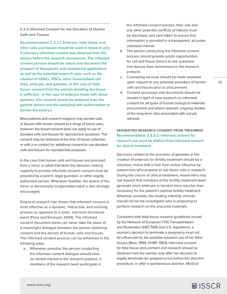<span id="page-15-0"></span>**2.3.2 Informed Consent for the Donation of Human Cells and Tissues** 

**Recommendation 2.3.2.1: Embryos, fetal tissue, and other cells and tissues should be used in research only if voluntary informed consent was obtained from the donors before the research commences. The informed consent process should be robust and document the prospect of therapeutic and commercial applications as well as the potential research uses, such as the creation of hESCs, iPSCs, other immortalized cell lines, embryos, and gametes. In the case of fetal tissue, consent from the woman donating the tissue is sufficient. In the case of embryos made with donor gametes, this consent should be obtained from the gamete donors and the party(ies) with authorization to**  donate the embryo.

Most patients and research subjects may donate cells or tissues with broad consent to a range of future uses; however, the broad consent does not apply to use of donated cells and tissues for reproductive purposes. The consent may be obtained at the time of tissue collection or with a re-contact for additional consent to use donated cells and tissues for reproductive purposes.

In the case that human cells and tissues are procured from a minor or adult that lacks the decision-making capacity to provide informed consent, consent must be provided by a parent, legal guardian, or other legally authorized person. Whenever feasible, the assent of the minor or decisionally incapacitated adult is also strongly encouraged.

Empirical research has shown that informed consent is most effective as a dynamic, interactive, and evolving process as opposed to a static, one-time disclosure event (Flory and Emanuel, 2004). The informed consent document alone can never take the place of a meaningful dialogue between the person obtaining consent and the donors of human cells and tissues. The informed consent process can be enhanced in the following ways:

a. Whenever possible, the person conducting the informed consent dialogue should have no vested interest in the research protocol. If members of the research team participate in

the informed consent process, their role and any other potential conflicts of interest must be disclosed, and care taken to ensure that information is provided in a transparent, accurate, unbiased manner.

- b. The person conducting the informed consent process should provide ample opportunities for cell and tissue donors to ask questions and discuss their involvement in the research protocol.
- c. Counseling services should be made available upon request to any potential providers of human cells and tissues prior to procurement.
- d. Consent processes and documents should be revised in light of new research on informed consent for all types of human biological materials procurement and where relevant, ongoing studies of the long-term risks associated with oocyte retrieval.

# **SEPARATING RESEARCH CONSENT FROM TREATMENT Recommendation 2.3.2.2: Informed consent for research use must be distinct from informed consent for clinical treatment.**

Decisions related to the provision of gametes or the creation of embryos for fertility treatment should be a voluntary choice that is free from undue influence by researchers who propose to use these cells in research. During the course of clinical treatment, researchers may not request that members of the fertility treatment team generate more embryos or harvest more oocytes than necessary for the patient's optimal fertility treatment. Wherever possible, the treating infertility clinician should not be the investigator who is proposing to perform research on the procured materials.

Consistent with fetal tissue research guidelines issued by the Network of European CNS Transplantation and Restoration (NECTAR) and U.S. regulations, a woman's decision to terminate a pregnancy must not be influenced by the possible research use of her fetus' tissues (Boer, 1994; OHRP, 1993). Informed consent for fetal tissue procurement and research should be obtained from the woman only after her decision to legally terminate her pregnancy but before the abortion procedure, or after a spontaneous abortion. Medical

16

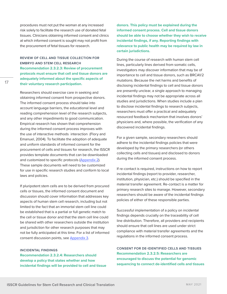procedures must not put the woman at any increased risk solely to facilitate the research use of donated fetal tissues. Clinicians obtaining informed consent and clinics at which informed consent is sought may not profit from the procurement of fetal tissues for research.

# **REVIEW OF CELL AND TISSUE COLLECTION FOR EMBRYO AND STEM CELL RESEARCH Recommendation 2.3.2.3: Review of procurement protocols must ensure that cell and tissue donors are adequately informed about the specific aspects of their voluntary research participation.**

Researchers should exercise care in seeking and obtaining informed consent from prospective donors. The informed consent process should take into account language barriers, the educational level and reading comprehension level of the research subjects, and any other impediments to good communication. Empirical research has shown that comprehension during the informed consent process improves with the use of interactive methods interaction (Flory and Emanuel, 2004). To facilitate the adoption of adequate and uniform standards of informed consent for the procurement of cells and tissues for research, the ISSCR provides template documents that can be downloaded and customized to specific protocols ([Appendix 2\)](#page-58-0). These sample documents will need to be customized for use in specific research studies and conform to local laws and policies.

If pluripotent stem cells are to be derived from procured cells or tissues, the informed consent document and discussion should cover information that addresses key aspects of human stem cell research, including but not limited to the fact that an immortal stem cell line could be established that is a partial or full genetic match to the cell or tissue donor and that the stem cell line could be shared with other researchers outside the institution and jurisdiction for other research purposes that may not be fully anticipated at this time. For a list of informed consent discussion points, see [Appendix 3.](#page-58-0)

#### **INCIDENTAL FINDINGS**

**Recommendation 2.3.2.4: Researchers should develop a policy that states whether and how incidental findings will be provided to cell and tissue**  **donors. This policy must be explained during the informed consent process. Cell and tissue donors should be able to choose whether they wish to receive incidental findings, if any. Reporting findings with relevance to public health may be required by law in certain jurisdictions.**

During the course of research with human stem cell lines, particularly lines derived from somatic cells, investigators may discover information that may be of importance to cell and tissue donors, such as BRCA1/2 mutations. Because the net harms and benefits of disclosing incidental findings to cell and tissue donors are presently unclear, a single approach to managing incidental findings may not be appropriate across all studies and jurisdictions. When studies include a plan to disclose incidental findings to research subjects, researchers must offer a practical and adequately resourced feedback mechanism that involves donors' physicians and, where possible, the verification of any discovered incidental findings.

For a given sample, secondary researchers should adhere to the incidental findings policies that were developed by the primary researchers (or others collecting cells and tissues) and disclosed to donors during the informed consent process.

If re-contact is required, instructions on how to report incidental findings (report to provider, researcher, institution, physician, etc.) should be specified in the material transfer agreement. Re-contact is a matter for primary research sites to manage. However, secondary researchers should be aware of the incidental findings policies of either of these responsible parties.

Successful implementation of a policy on incidental findings depends crucially on the traceability of cell line distribution. Therefore, all providers and recipients should ensure that cell lines are used under strict compliance with material transfer agreements and the regulations in the informed consent process.

**CONSENT FOR DE-IDENTIFIED CELLS AND TISSUES Recommendation 2.3.2.5: Researchers are encouraged to discuss the potential for genomic sequencing to connect de-identified cells and tissues**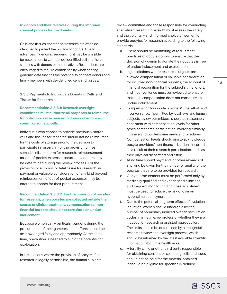#### <span id="page-17-0"></span>**to donors and their relatives during the informed consent process for the donation.**

Cells and tissues donated for research are often deidentified to protect the privacy of donors. Due to advances in genomic sequencing, it may be possible for researchers to connect de-identified cell and tissue samples with donors or their relatives. Researchers are encouraged to require confidentiality when sharing genomic data that has the potential to connect donors and family members with de-identified cells and tissues.

**2.3.3 Payments to Individuals Donating Cells and Tissue for Research** 

**Recommendation 2.3.3.1: Research oversight committees must authorize all proposals to reimburse for out-of-pocket expenses to donors of embryos, sperm, or somatic cells.**

Individuals who choose to provide previously stored cells and tissues for research should not be reimbursed for the costs of storage prior to the decision to participate in research. For the provision of fresh somatic cells or sperm for research, reimbursement for out-of-pocket expenses incurred by donors may be determined during the review process. For the provision of embryos or fetal tissue for research, no payment or valuable consideration of any kind beyond reimbursement of out-of-pocket expenses may be offered to donors for their procurement.

**Recommendation 2.3.3.2: For the provision of oocytes for research, when oocytes are collected outside the course of clinical treatment, compensation for nonfinancial burdens should not constitute an undue inducement.**

Because women carry particular burdens during the procurement of their gametes, their efforts should be acknowledged fairly and appropriately. At the same time, precaution is needed to avoid the potential for exploitation.

In jurisdictions where the provision of oocytes for research is legally permissible, the human subjects review committee and those responsible for conducting specialized research oversight must assess the safety and the voluntary and informed choice of women to provide oocytes for research according to the following standards:

- a. There should be monitoring of recruitment practices of oocyte donors to ensure that the decision of women to donate their oocytes is free of undue inducement and exploitation.
- b. In jurisdictions where research subjects are allowed compensation or valuable consideration for incurred non-financial burdens, the amount of financial recognition for the subject's time, effort, and inconvenience must be reviewed to ensure that such compensation does not constitute an undue inducement.
- c. Compensation for oocyte providers' time, effort, and inconvenience, if permitted by local laws and human subjects review committees, should be reasonably consistent with compensation levels for other types of research participation involving similarly invasive and burdensome medical procedures. Compensation levels should aim to acknowledge oocyte providers' non-financial burdens incurred as a result of their research participation, such as their physical discomfort and effort.
- d. At no time should payments or other rewards of any kind be given for the number or quality of the oocytes that are to be provided for research.
- e. Oocyte procurement must be performed only by medically qualified and experienced clinicians, and frequent monitoring and dose adjustment must be used to reduce the risk of ovarian hyperstimulation syndrome.
- f. Due to the potential long-term effects of ovulation induction, women should undergo a limited number of hormonally induced ovarian stimulation cycles in a lifetime, regardless of whether they are induced for research or assisted reproduction. The limits should be determined by a thoughtful research review and oversight process, which should be informed by the latest available scientific information about the health risks.
- g. A fertility clinic or other third party responsible for obtaining consent or collecting cells or tissues should not be paid for the material obtained. It should be eligible for specifically defined

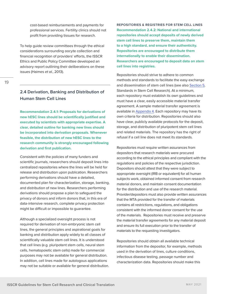<span id="page-18-0"></span>cost-based reimbursements and payments for professional services. Fertility clinics should not profit from providing tissues for research.

To help guide review committees through the ethical considerations surrounding oocyte collection and financial recognition of providers' efforts, the ISSCR Ethics and Public Policy Committee developed an advisory report outlining their deliberations on these issues (Haimes *et al.*, 2013).

# **2.4 Derivation, Banking and Distribution of Human Stem Cell Lines**

**Recommendation 2.4.1: Proposals for derivations of new hESC lines should be scientifically justified and executed by scientists with appropriate expertise. A clear, detailed outline for banking new lines should be incorporated into derivation proposals. Whenever feasible, the distribution of new hESC lines to the research community is strongly encouraged following derivation and first publication.**

Consistent with the policies of many funders and scientific journals, researchers should deposit lines into centralized repositories where the lines will be held for release and distribution upon publication. Researchers performing derivations should have a detailed, documented plan for characterization, storage, banking, and distribution of new lines. Researchers performing derivations should propose a plan to safeguard the privacy of donors and inform donors that, in this era of data-intensive research, complete privacy protection might be difficult or impossible to guarantee.

Although a specialized oversight process is not required for derivation of non-embryonic stem cell lines, the general principles and aspirational goals for banking and distribution apply widely to all classes of scientifically valuable stem cell lines. It is understood that cell lines (e.g. pluripotent stem cells, neural stem cells, hematopoietic stem cells) made for commercial purposes may not be available for general distribution. In addition, cell lines made for autologous applications may not be suitable or available for general distribution. **REPOSITORIES & REGISTRIES FOR STEM CELL LINES Recommendation 2.4.2: National and international repositories should accept deposits of newly derived stem cell lines to preserve them, maintain them to a high standard, and ensure their authenticity. Repositories are encouraged to distribute them internationally to enable their dissemination. Researchers are encouraged to deposit data on stem cell lines into registries.** 

Repositories should strive to adhere to common methods and standards to facilitate the easy exchange and dissemination of stem cell lines (see also [Section 5,](#page-54-0) Standards in Stem Cell Research). At a minimum, each repository must establish its own guidelines and must have a clear, easily accessible material transfer agreement. A sample material transfer agreement is available in [Appendix 4.](#page-59-0) Each repository may have its own criteria for distribution. Repositories should also have clear, publicly available protocols for the deposit, storage, and distribution of pluripotent stem cell lines and related materials. The repository has the right of refusal if a cell line does not meet its standards.

Repositories must require written assurances from depositors that research materials were procured according to the ethical principles and compliant with the regulations and policies of the respective jurisdiction. Depositors should attest that they were subject to appropriate oversight (IRB or equivalent) for all human subjects work, obtained informed consent from research material donors, and maintain consent documentation for the distribution and use of the research material. Provider/depositors must also provide written assurances that the MTA provided for the transfer of materials contains all restrictions, regulations, and obligations consistent with the informed donor consent for the use of the materials. Repositories must receive and preserve the material transfer agreements for any material deposit and ensure its full execution prior to the transfer of materials to the requesting investigators.

Repositories should obtain all available technical information from the depositor, for example, methods used in the derivation of lines, culture conditions, infectious disease testing, passage number and characterization data. Repositories should make this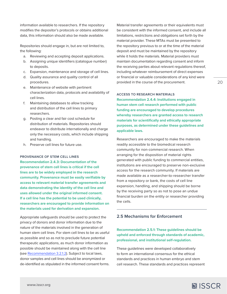<span id="page-19-0"></span>information available to researchers. If the repository modifies the depositor's protocols or obtains additional data, this information should also be made available.

Repositories should engage in, but are not limited to, the following:

- a. Reviewing and accepting deposit applications.
- b. Assigning unique identifiers (catalogue number) to deposits.
- c. Expansion, maintenance and storage of cell lines.
- d. Quality assurance and quality control of all procedures.
- e. Maintenance of website with pertinent characterization data, protocols and availability of cell lines.
- f. Maintaining databases to allow tracking and distribution of the cell lines to primary researchers.
- g. Posting a clear and fair cost schedule for distribution of materials. Repositories should endeavor to distribute internationally and charge only the necessary costs, which include shipping and handling.
- h. Preserve cell lines for future use.

#### **PROVENANCE OF STEM CELL LINES**

**Recommendation 2.4.3: Documentation of the provenance of stem cell lines is critical if the cell lines are to be widely employed in the research community. Provenance must be easily verifiable by access to relevant material transfer agreements and data demonstrating the identity of the cell line and uses allowed under the original informed consent. If a cell line has the potential to be used clinically, researchers are encouraged to provide information on the materials used for derivation and expansion.** 

Appropriate safeguards should be used to protect the privacy of donors and donor information due to the nature of the materials involved in the generation of human stem cell lines. For stem cell lines to be as useful as possible and so as not to preclude future potential therapeutic applications, as much donor information as possible should be maintained along with the cell line (see [Recommendation 3.2.1.2\)](#page-23-0). Subject to local laws, donor samples and cell lines should be anonymized or de-identified as stipulated in the informed consent forms. Material transfer agreements or their equivalents must be consistent with the informed consent, and include all limitations, restrictions and obligations set forth by the material provider. These MTAs must be presented to the repository previous to or at the time of the material deposit and must be maintained by the repository while it holds the materials. Material providers must maintain documentation regarding consent and inform the receiving parties about relevant regulations thereof, including whatever reimbursement of direct expenses or financial or valuable considerations of any kind were provided in the course of the procurement.

# **ACCESS TO RESEARCH MATERIALS**

**Recommendation 2.4.4: Institutions engaged in human stem cell research performed with public funding are encouraged to develop procedures whereby researchers are granted access to research materials for scientifically and ethically appropriate purposes, as determined under these guidelines and applicable laws.**

Researchers are encouraged to make the materials readily accessible to the biomedical research community for non-commercial research. When arranging for the disposition of material rights generated with public funding to commercial entities, institutions are encouraged to preserve non-exclusive access for the research community. If materials are made available as a researcher-to-researcher transfer from a repository or bank, the costs of cell line expansion, handling, and shipping should be borne by the receiving party so as not to pose an undue financial burden on the entity or researcher providing the cells.

# **2.5 Mechanisms for Enforcement**

# **Recommendation 2.5.1: These guidelines should be upheld and enforced through standards of academic, professional, and institutional self-regulation.**

These guidelines were developed collaboratively to form an international consensus for the ethical standards and practices in human embryo and stem cell research. These standards and practices represent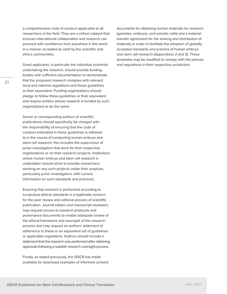a comprehensive code of conduct applicable to all researchers in the field. They are a critical catalyst that ensures international collaboration and research can proceed with confidence from anywhere in the world in a manner accepted as valid by the scientific and ethics communities.

Grant applicants, in particular the individual scientists undertaking the research, should provide funding bodies with sufficient documentation to demonstrate that the proposed research complies with relevant local and national regulations and these guidelines or their equivalent. Funding organizations should pledge to follow these guidelines or their equivalent and require entities whose research is funded by such organizations to do the same.

Senior or corresponding authors of scientific publications should specifically be charged with the responsibility of ensuring that the code of conduct embodied in these guidelines is adhered to in the course of conducting human embryo and stem cell research; this includes the supervision of junior investigators that work for their respective organizations or on their research projects. Institutions where human embryo and stem cell research is undertaken should strive to provide researchers working on any such projects under their auspices, particularly junior investigators, with current information on such standards and practices.

Ensuring that research is performed according to scrupulous ethical standards is a legitimate concern for the peer review and editorial process of scientific publication. Journal editors and manuscript reviewers may request access to research protocols and provenance documents to enable adequate review of the ethical framework and oversight of the research process and may request an authors' statement of adherence to these or an equivalent set of guidelines or applicable regulations. Authors should include a statement that the research was performed after obtaining approvals following a suitable research oversight process.

Finally, as stated previously, the ISSCR has made available for download examples of informed consent documents for obtaining human materials for research (gametes, embryos, and somatic cells) and a material transfer agreement for the sharing and distribution of materials in order to facilitate the adoption of globally accepted standards and practice of human embryo and stem cell research (Appendices 2 and 3). These templates may be modified to comply with the policies and regulations in their respective jurisdiction.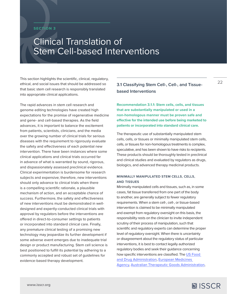# <span id="page-21-0"></span>**SECTION 3**

# Clinical Translation of Stem Cell-based Interventions

This section highlights the scientific, clinical, regulatory, ethical, and social issues that should be addressed so that basic stem cell research is responsibly translated into appropriate clinical applications.

The rapid advances in stem cell research and genome editing technologies have created high expectations for the promise of regenerative medicine and gene- and cell-based therapies. As the field advances, it is important to balance the excitement from patients, scientists, clinicians, and the media over the growing number of clinical trials for serious diseases with the requirement to rigorously evaluate the safety and effectiveness of each potential new intervention. There have been instances where some clinical applications and clinical trials occurred far in advance of what is warranted by sound, rigorous, and dispassionately assessed preclinical evidence. Clinical experimentation is burdensome for research subjects and expensive; therefore, new interventions should only advance to clinical trials when there is a compelling scientific rationale, a plausible mechanism of action, and an acceptable chance of success. Furthermore, the safety and effectiveness of new interventions must be demonstrated in welldesigned and expertly-conducted clinical trials with approval by regulators before the interventions are offered in direct-to-consumer settings to patients or incorporated into standard clinical care. Finally, any premature clinical testing of a promising new technology may jeopardize its further development if some adverse event emerges due to inadequate trial design or product manufacturing. Stem cell science is best positioned to fulfill its potential by adhering to a commonly accepted and robust set of guidelines for evidence-based therapy development.

# **3.1 Classifying Stem Cell-, Cell-, and Tissuebased Interventions**

**Recommendation 3.1.1: Stem cells, cells, and tissues that are substantially manipulated or used in a non-homologous manner must be proven safe and effective for the intended use before being marketed to patients or incorporated into standard clinical care.** 

The therapeutic use of substantially manipulated stem cells, cells, or tissues or minimally manipulated stem cells, cells, or tissues for non-homologous treatments is complex, speculative, and has been shown to have risks to recipients. These products should be thoroughly tested in preclinical and clinical studies and evaluated by regulators as drugs, biologics, and advanced therapy medicinal products.

## **MINIMALLY MANIPULATED STEM CELLS, CELLS, AND TISSUES**

Minimally manipulated cells and tissues, such as, in some cases, fat tissue transferred from one part of the body to another, are generally subject to fewer regulatory requirements. When a stem cell-, cell-, or tissue-based intervention is claimed to be minimally manipulated and exempt from regulatory oversight on this basis, the responsibility rests on the clinician to invite independent scrutiny of their process of manipulation, such that scientific and regulatory experts can determine the proper level of regulatory oversight. When there is uncertainty or disagreement about the regulatory status of particular interventions, it is best to contact legally authorized regulatory bodies and seek their guidance concerning how specific interventions are classified. The [US Food](https://www.fda.gov/vaccines-blood-biologics/cellular-gene-therapy-products/framework-regulation-regenerative-medicine-products)  [and Drug Administration,](https://www.fda.gov/vaccines-blood-biologics/cellular-gene-therapy-products/framework-regulation-regenerative-medicine-products) [European Medicines](http://www.ema.europa.eu/en/documents/scientific-guideline/reflection-paper-classification-advanced-therapy-medicinal-products_en-0.pdf)  [Agency,](http://www.ema.europa.eu/en/documents/scientific-guideline/reflection-paper-classification-advanced-therapy-medicinal-products_en-0.pdf) [Australian Therapeutic Goods Administration](https://www.tga.gov.au/sites/default/files/autologous-human-cells-and-tissues-products-regulation.pdf),

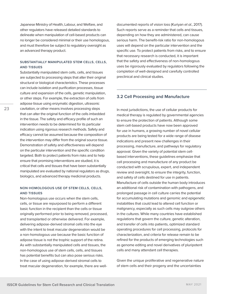<span id="page-22-0"></span>Japanese Ministry of Health, Labour, and Welfare, and other regulators have released detailed standards to delineate when manipulation of cell-based products can no longer be considered minimal or their use homologous, and must therefore be subject to regulatory oversight as an advanced therapy product.

#### **SUBSTANTIALLY MANIPULATED STEM CELLS, CELLS, AND TISSUES**

Substantially manipulated stem cells, cells, and tissues are subjected to processing steps that alter their original structural or biological characteristics. These processes can include isolation and purification processes, tissue culture and expansion of the cells, genetic manipulation, or other steps. For example, the extraction of cells from adipose tissue using enzymatic digestion, ultrasonic cavitation, or other means involves processing steps that can alter the original function of the cells imbedded in the tissue. The safety and efficacy profile of such an intervention needs to be determined for its particular indication using rigorous research methods. Safety and efficacy cannot be assumed because the composition of the intervention may differ from the original source tissue. Demonstration of safety and effectiveness will depend on the particular intervention and the specific condition targeted. Both to protect patients from risks and to help ensure that promising interventions are studied, it is critical that cells and tissues that have been substantially manipulated are evaluated by national regulators as drugs, biologics, and advanced therapy medicinal products.

#### **NON-HOMOLOGOUS USE OF STEM CELLS, CELLS, AND TISSUES**

Non-homologous use occurs when the stem cells, cells, or tissue are repurposed to perform a different basic function in the recipient than the cells or tissue originally performed prior to being removed, processed, and transplanted or otherwise delivered. For example, delivering adipose-derived stromal cells into the eye with the intent to treat macular degeneration would be a non-homologous use because the basic function of adipose tissue is not the trophic support of the retina. As with substantially manipulated cells and tissues, the non-homologous use of stem cells, cells, and tissues has potential benefits but can also pose serious risks. In the case of using adipose-derived stromal cells to treat macular degeneration, for example, there are welldocumented reports of vision loss (Kuriyan *et al.*, 2017). Such reports serve as a reminder that cells and tissues, depending on how they are administered, can cause serious harm. The benefit-risk ratio for non-homologous uses will depend on the particular intervention and the specific use. To protect patients from risks, and to ensure that necessary research is conducted, it is important that the safety and effectiveness of non-homologous uses be rigorously evaluated by regulators following the completion of well-designed and carefully controlled preclinical and clinical studies.

# **3.2 Cell Processing and Manufacture**

In most jurisdictions, the use of cellular products for medical therapy is regulated by governmental agencies to ensure the protection of patients. Although some stem cell-based products have now been approved for use in humans, a growing number of novel cellular products are being tested for a wide range of disease indications and present new challenges in their processing, manufacture, and pathways for regulatory approval. Given the variety of potential stem cellbased interventions, these guidelines emphasize that cell processing and manufacture of any product be conducted with scrupulous, expert, and independent review and oversight, to ensure the integrity, function, and safety of cells destined for use in patients. Manufacture of cells outside the human body introduces an additional risk of contamination with pathogens, and prolonged passage in cell culture carries the potential for accumulating mutations and genomic and epigenetic instabilities that could lead to altered cell function or malignancy, especially as such cells may outgrow others in the cultures. While many countries have established regulations that govern the culture, genetic alteration, and transfer of cells into patients, optimized standard operating procedures for cell processing, protocols for characterization, and criteria for release remain to be refined for the products of emerging technologies such as genome editing and novel derivatives of pluripotent cells and many attendant cell therapies.

Given the unique proliferative and regenerative nature of stem cells and their progeny and the uncertainties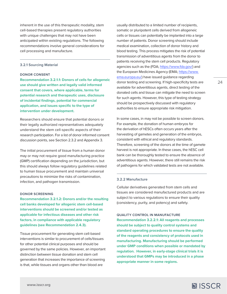<span id="page-23-0"></span>inherent in the use of this therapeutic modality, stem cell-based therapies present regulatory authorities with unique challenges that may not have been anticipated within existing regulations. The following recommendations involve general considerations for cell processing and manufacture.

#### **3.2.1 Sourcing Material**

#### **DONOR CONSENT**

**Recommendation 3.2.1.1: Donors of cells for allogeneic use should give written and legally valid informed consent that covers, where applicable, terms for potential research and therapeutic uses, disclosure of incidental findings, potential for commercial application, and issues specific to the type of intervention under development.**

Researchers should ensure that potential donors or their legally authorized representatives adequately understand the stem cell-specific aspects of their research participation. For a list of donor informed consent discussion points, see Section 2.3.2 and Appendix 3.

The initial procurement of tissue from a human donor may or may not require good manufacturing practice (GMP) certification depending on the jurisdiction, but this should always follow regulatory guidelines related to human tissue procurement and maintain universal precautions to minimize the risks of contamination, infection, and pathogen transmission.

#### **DONOR SCREENING**

**Recommendation 3.2.1.2: Donors and/or the resulting cell banks developed for allogenic stem cell-based interventions should be screened and/or tested as applicable for infectious diseases and other risk factors, in compliance with applicable regulatory guidelines (see Recommendation 2.4.3).**

Tissue procurement for generating stem cell-based interventions is similar to procurement of cells/tissues for other potential clinical purposes and should be governed by the same policies. However, an important distinction between tissue donation and stem cell generation that increases the importance of screening is that, while tissues and organs other than blood are

usually distributed to a limited number of recipients, somatic or pluripotent cells derived from allogeneic cells or tissues can potentially be implanted into a large number of patients. Donor screening should include medical examination, collection of donor history and blood testing. This process mitigates the risk of potential transmission of adventitious agents from the donor to patients receiving the stem cell products. Regulatory agencies such as the (FDA; <https://www.fda.gov/>) and the European Medicines Agency (EMA; [https://www.](https://www.ema.europa.eu/) [ema.europa.eu/](https://www.ema.europa.eu/)) have issued guidance regarding donor testing and screening. If high-specificity tests are available for adventitious agents, direct testing of the donated cells and tissue can mitigate the need to screen for such agents. However, this type of testing strategy should be prospectively discussed with regulatory authorities to ensure appropriate risk mitigation.

In some cases, in may not be possible to screen donors. For example, the donation of human embryos for the derivation of hESCs often occurs years after the harvesting of gametes and generation of the embryos, consistent with ethical and regulatory standards. Therefore, screening of the donors at the time of gamete harvest is not appropriate. In these cases, the hESC cell bank can be thoroughly tested to ensure the absence of adventitious agents. However, there still remains the risk of pathogens for which validated tests are not available.

#### **3.2.2 Manufacture**

Cellular derivatives generated from stem cells and tissues are considered manufactured products and are subject to various regulations to ensure their quality (consistency, purity, and potency) and safety.

#### **QUALITY CONTROL IN MANUFACTURE**

**Recommendation 3.2.2.1: All reagents and processes should be subject to quality control systems and standard operating procedures to ensure the quality of the reagents and consistency of protocols used in manufacturing. Manufacturing should be performed under GMP conditions when possible or mandated by regulation. However, in early-stage clinical trials it is understood that GMPs may be introduced in a phase appropriate manner in some regions.**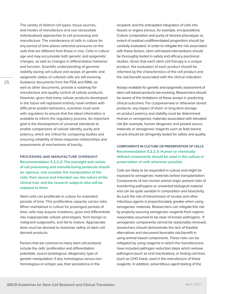The variety of distinct cell types, tissue sources, and modes of manufacture and use necessitate individualized approaches to cell processing and manufacture. The maintenance of cells in culture for any period of time places selective pressures on the cells that are different from those *in vivo*. Cells in culture age and may accumulate both genetic and epigenetic changes, as well as changes in differentiation behavior and function. Scientific understanding of genomic stability during cell culture and assays of genetic and epigenetic status of cultured cells are still evolving. Guidance documents from the FDA and EMA, as well as other documents, provide a roadmap for manufacture and quality control of cellular products. However, given that many cellular products developed in the future will represent entirely novel entities with difficult-to-predict behaviors, scientists must work with regulators to ensure that the latest information is available to inform the regulatory process. An important goal is the development of universal standards to enable comparisons of cellular identity, purity and potency, which are critical for comparing studies and ensuring reliability of dose-response relationships and assessments of mechanisms of toxicity.

**PROCESSING AND MANUFACTURE OVERSIGHT Recommendation 3.2.2.2: The oversight and review of cell processing and manufacturing protocols should be rigorous, and consider the manipulation of the cells, their source and intended use, the nature of the clinical trial, and the research subjects who will be exposed to them.**

Stem cells can proliferate in culture for extended periods of time. This proliferative capacity carries risks. When maintained in culture for prolonged periods of time, cells may acquire mutations, grow and differentiate into inappropriate cellular phenotypes, form benign or malignant outgrowths, and fail to mature. Appropriate tests must be devised to maximize safety of stem cell derived products.

Factors that are common to many stem cell products include the cells' proliferation and differentiation potentials, source (autologous, allogeneic), type of genetic manipulation, if any, homologous versus nonhomologous or ectopic use, their persistence in the

recipient, and the anticipated integration of cells into tissues or organs (versus, for example, encapsulation). Culture composition and purity of desired phenotype vs. extent of residual undifferentiated progenitors should be carefully evaluated. In order to mitigate the risk associated with these factors, stem cell-based interventions should be thoroughly tested in safety and efficacy preclinical studies. Given that each stem cell therapy is a unique product, the evaluation of each product should be informed by the characteristics of the cell product and the risk/benefit associated with the clinical indication.

Assays available for genetic and epigenetic assessment of stem cell-based products are evolving. Researchers should be aware of the limitations of these assays in predicting clinical outcomes. For cryopreserved or otherwise stored products, any impact of short- or long-term storage on product potency and stability must be determined. Human or xenogeneic materials associated with elevated risk (for example, human allogeneic and pooled source materials or xenogeneic reagents such as fetal bovine serum) should be stringently tested for safety and quality.

**COMPONENTS IN CULTURE OR PRESERVATION OF CELLS Recommendation 3.2.2.3: Human or chemically defined components should be used in the culture or preservation of cells whenever possible.** 

Cells are likely to be expanded in culture and might be exposed to xenogeneic materials before transplantation. Components of non-human animal origin present risks of transferring pathogens or unwanted biological material and can be quite variable in composition and bioactivity. As such the risk of transmission of viruses and other infectious agents is proportionately greater when using xenogeneic materials. Researchers can mitigate this risk by properly sourcing xenogeneic reagents from regions reasonably assumed to be clear of known pathogens. If xenogeneic components cannot be reasonably removed, researchers should demonstrate the lack of feasible alternatives and document favorable risk/benefit in using animal-based components. These risks can be mitigated by using reagents in which the manufacturers have included pathogen reduction steps which remove pathogens (such as viral inactivation), or testing cell lines (such as CHO lines), used in the manufacture of these reagents. In addition, adventitious agent testing of the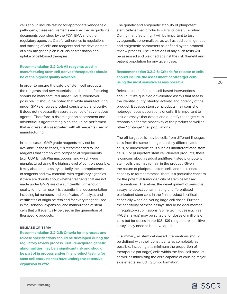<span id="page-25-0"></span>cells should include testing for appropriate xenogeneic pathogens; these requirements are specified in guidance documents published by the FDA, EMA and other regulatory agencies. Careful adherence to regulations and tracking of cells and reagents and the development of a risk mitigation plan is crucial to translation and uptake of cell-based therapies.

# **Recommendation 3.2.2.4: All reagents used in manufacturing stem cell-derived therapeutics should be of the highest quality available.**

In order to ensure the safety of stem cell products, the reagents and raw materials used in manufacturing should be manufactured under GMPs, whenever possible. It should be noted that while manufacturing under GMPs ensures product consistency and purity, it does not necessarily assure absence of adventitious agents. Therefore, a risk mitigation assessment and adventitious agent testing plan should be performed that address risks associated with all reagents used in manufacturing.

In some cases, GMP grade reagents may not be available. In these cases, it is recommended to use reagents that comply with compendial requirements (e.g., USP, British Pharmacopoeia) and which were manufactured using the highest level of controls possible. It may also be necessary to clarify the appropriateness of reagents and raw materials with regulatory agencies if there are doubts about whether reagents that are not made under GMPs are of a sufficiently high enough quality for human use. It is essential that documentation including lot numbers and certificates of analysis and certificates of origin be retained for every reagent used in the isolation, expansion, and manipulation of stem cells that will eventually be used in the generation of therapeutic products.

#### **RELEASE CRITERIA**

**Recommendation 3.2.2.5: Criteria for in process and release specifications should be developed during the regulatory review process. Culture-acquired genetic abnormalities may be a significant risk and should be part of in process and/or final product testing for stem cell products that have undergone extensive expansion** *in vitro***.**

The genetic and epigenetic stability of pluripotent stem cell-derived products warrants careful scrutiny. During manufacturing, it will be important to test cytogenetic abnormalities, as well as additional genetic and epigenetic parameters as defined by the protocol review process. The limitations of any such tests will be assessed and weighed against the risk /benefit and patient population for any given case.

# **Recommendation 3.2.2.6: Criteria for release of cells should include the assessment of off-target cells, using the most sensitive assays possible.**

Release criteria for stem cell-based interventions should utilize qualified or validated assays that assess the identity, purity, sterility, activity, and potency of the product. Because stem cell products may consist of heterogeneous populations of cells, it is important to include assays that detect and quantify the target cells responsible for the bioactivity of the product as well as other "off-target" cell populations.

The off-target cells may be cells from different lineages, cells from the same lineage, partially differentiated cells, or undesirable cells such as undifferentiated stem cells. For pluripotent stem cell-derived products, there is concern about residual undifferentiated pluripotent stem cells that may remain in the product. Given the nature of pluripotent stem cells and their innate capacity to form teratomas, there is a particular concern for the potential tumorigenicity of stem cell-based interventions. Therefore, the development of sensitive assays to detect contaminating undifferentiated pluripotent stem cells in the final product is critical, especially when delivering large cell doses. Further, the sensitivity of these assays should be documented in regulatory submissions. Some techniques (such as FACS analysis) may be suitable for doses of millions of cells but for doses in the 108–109 range more sensitive assays may need to be developed.

In summary, all stem cell-based interventions should be defined with their constituents as completely as possible, including at a minimum the proportion of therapeutic (on target) cells within the final cell product as well as minimizing the cells capable of causing major side effects, including tumor formation.

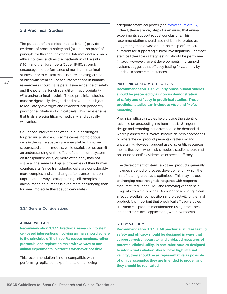### <span id="page-26-0"></span>**3.3 Preclinical Studies**

The purpose of preclinical studies is to (a) provide evidence of product safety and (b) establish proof-ofprinciple for therapeutic effects. International research ethics policies, such as the Declaration of Helsinki (1964) and the Nuremberg Code (1949), strongly encourage the performance of non-human animal studies prior to clinical trials. Before initiating clinical studies with stem cell-based interventions in humans, researchers should have persuasive evidence of safety and the potential for clinical utility in appropriate *in vitro* and/or animal models. These preclinical studies must be rigorously designed and have been subject to regulatory oversight and reviewed independently prior to the initiation of clinical trials. This helps ensure that trials are scientifically, medically, and ethically warranted.

Cell-based interventions offer unique challenges for preclinical studies. In some cases, homologous cells in the same species are unavailable. Immunesuppressed animal models, while useful, do not permit an understanding of the effect of the immune system on transplanted cells, or, more often, they may not share all the same biological properties of their human counterparts. Since transplanted cells are considerably more complex and can change after transplantation in unpredictable ways, extrapolating cell therapies in an animal model to humans is even more challenging than for small molecule therapeutic candidates.

#### **3.3.1 General Considerations**

#### **ANIMAL WELFARE**

**Recommendation 3.3.1.1: Preclinical research into stem cell-based interventions involving animals should adhere to the principles of the three Rs: reduce numbers, refine protocols, and replace animals with** *in vitro* **or nonanimal experimental platforms whenever possible.**

This recommendation is not incompatible with performing replication experiments or achieving adequate statistical power (see: [www.nc3rs.org.uk\)](http://www.nc3rs.org.uk). Indeed, these are key steps for ensuring that animal experiments support robust conclusions. This recommendation should also not be interpreted as suggesting that *in vitro* or non-animal platforms are sufficient for supporting clinical investigations. For most stem cell therapies safety testing should be performed *in vivo*. However, recent developments in organoid systems suggest that efficacy testing *in vitro* may by suitable in some circumstances.

#### **PRECLINICAL STUDY OBJECTIVES**

**Recommendation 3.3.1.2: Early phase human studies should be preceded by a rigorous demonstration of safety and efficacy in preclinical studies. These preclinical studies can include** *in vitro* **and** *in vivo* **modeling.** 

Preclinical efficacy studies help provide the scientific rationale for proceeding into human trials. Stringent design and reporting standards should be demanded where planned trials involve invasive delivery approaches or where the cell product presents greater risk and uncertainty. However, prudent use of scientific resources means that even when risk is modest, studies should rest on sound scientific evidence of expected efficacy.

The development of stem cell-based products generally includes a period of process development in which the manufacturing process is optimized. This may include exchanging research grade reagents with reagents manufactured under GMP and removing xenogeneic reagents from the process. Because these changes can affect the cellular composition and bioactivity of the final product, it is important that preclinical efficacy studies use stem cell product manufactured using processes intended for clinical applications, whenever feasible.

#### **STUDY VALIDITY**

**Recommendation 3.3.1.3: All preclinical studies testing safety and efficacy should be designed in ways that support precise, accurate, and unbiased measures of potential clinical utility. In particular, studies designed to inform trial initiation should have high internal validity; they should be as representative as possible of clinical scenarios they are intended to model, and they should be replicated.**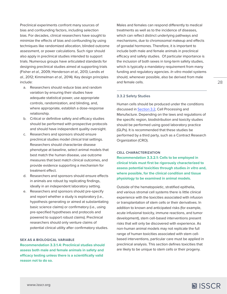<span id="page-27-0"></span>Preclinical experiments confront many sources of bias and confounding factors, including selection bias. For decades, clinical researchers have sought to minimize the effects of bias and confounding by using techniques like randomized allocation, blinded outcome assessment, or power calculations. Such rigor should also apply in preclinical studies intended to support trials. Numerous groups have articulated standards for designing preclinical studies aimed at supporting trials (Fisher *et al.*, 2009; Henderson *et al.*, 2013; Landis *et al.*, 2012; Kimmelman *et al.*, 2014). Key design principles include:

- a. Researchers should reduce bias and random variation by ensuring their studies have adequate statistical power, use appropriate controls, randomization, and blinding, and, where appropriate, establish a dose-response relationship.
- b. Critical or definitive safety and efficacy studies should be performed with prospective protocols and should have independent quality oversight.
- c. Researchers and sponsors should ensure preclinical studies model clinical trial settings. Researchers should characterize disease phenotype at baseline, select animal models that best match the human disease, use outcome measures that best match clinical outcomes, and provide evidence supporting a mechanism for treatment effect.
- d. Researchers and sponsors should ensure effects in animals are robust by replicating findings, ideally in an independent laboratory setting.
- e. Researchers and sponsors should pre-specify and report whether a study is exploratory (i.e., hypothesis generating or aimed at substantiating basic science claims) or confirmatory (i.e., using pre-specified hypotheses and protocols and powered to support robust claims). Preclinical researchers should only venture claims of potential clinical utility after confirmatory studies.

#### **SEX AS A BIOLOGICAL VARIABLE**

**Recommendation 3.3.1.4: Preclinical studies should assess both male and female animals in safety and efficacy testing unless there is a scientifically valid reason not to do so.**

Males and females can respond differently to medical treatments as well as to the incidence of diseases, which can reflect distinct underlying pathways and mechanisms, due to chromosomal makeup and effects of gonadal hormones. Therefore, it is important to include both male and female animals in preclinical efficacy and safety studies. Of particular importance is the inclusion of both sexes in long-term safety studies, which is typically a mandatory requirement from many funding and regulatory agencies. *In vitro* model systems should, whenever possible, also be derived from male and female cells.

#### **3.3.2 Safety Studies**

Human cells should be produced under the conditions discussed in [Section 3.2](#page-22-0), Cell Processing and Manufacture. Depending on the laws and regulations of the specific region, biodistribution and toxicity studies should be performed using good laboratory practice (GLPs). It is recommended that these studies be performed by a third party, such as a Contract Research Organization (CRO).

#### **CELL CHARACTERIZATION**

**Recommendation 3.3.2.1: Cells to be employed in clinical trials must first be rigorously characterized to assess potential toxicities through studies** *in vitro* **and, where possible, for the clinical condition and tissue physiology to be examined in animal models.**

Outside of the hematopoietic, stratified epithelia, and various stromal cell systems there is little clinical experience with the toxicities associated with infusion or transplantation of stem cells or their derivatives. In addition to known and anticipated risks (for example, acute infusional toxicity, immune reactions, and tumor development), stem cell-based interventions present risks that will only be discovered with experience. As non-human animal models may not replicate the full range of human toxicities associated with stem cellbased interventions, particular care must be applied in preclinical analysis. This section defines toxicities that are likely to be unique to stem cells or their progeny.

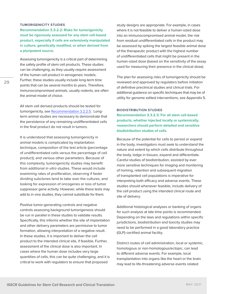#### **TUMORIGENICITY STUDIES**

**Recommendation 3.3.2.2: Risks for tumorigenicity must be rigorously assessed for any stem cell-based product, especially if cells are extensively manipulated in culture, genetically modified, or when derived from a pluripotent source.**

Assessing tumorigenicity is a critical part of determining the safety profile of stem cell products. These studies can be challenging, as they usually require assessment of the human cell product in xenogeneic models. Further, these studies usually include long-term time points that can be several months to years. Therefore, immunocompromised animals, usually rodents, are often the animal model of choice.

All stem cell derived products should be tested for tumorigenicity, see [Recommendation 3.2.2.5](#page-25-0). Longterm animal studies are necessary to demonstrate that the persistence of any remaining undifferentiated cells in the final product do not result in tumors.

It is understood that assessing tumorigenicity in animal models is complicated by implantation technique, composition of the test article (percentage of undifferentiated cells versus the percentage of cell product), and various other parameters. Because of this complexity, tumorigenicity studies may benefit from additional *in vitro* studies. These would include examining rates of proliferation, observing if faster dividing subclones tend to take over the cultures, and looking for expression of oncogenes or loss of tumor suppressor gene activity. However, while these tests may add to *in vivo* studies, they cannot substitute for them.

Positive tumor-generating controls and negative controls assessing background tumorigenesis should be run in parallel in these studies to validate results. Specifically, this informs whether the site of implantation and other delivery parameters are permissive to tumor formation, allowing interpretation of a negative result. In these studies, it is important to deliver the cell product to the intended clinical site, if feasible. Further, assessment of the clinical dose is also important. In cases where the human dose includes very large quantities of cells, this can be quite challenging, and it is critical to work with regulators to ensure that proposed

study designs are appropriate. For example, in cases where it is not feasible to deliver a human-sized dose into an immunocompromised animal model, the risk from residual undifferentiated cells in the product may be assessed by spiking the largest feasible animal dose of the therapeutic product with the highest number of undifferentiated cells that might be present in the human-sized dose (based on the sensitivity of the assay used for measuring their presence in the clinical dose).

The plan for assessing risks of tumorigenicity should be reviewed and approved by regulators before initiation of definitive preclinical studies and clinical trials. For additional guidance on specific techniques that may be of utility for genome edited interventions, see Appendix 5.

#### **BIODISTRIBUTION STUDIES**

**Recommendation 3.3.2.3: For all stem cell-based products, whether injected locally or systemically, researchers should perform detailed and sensitive biodistribution studies of cells.**

Because of the potential for cells to persist or expand in the body, investigators must seek to understand the nature and extent by which cells distribute throughout the body, lodge in tissues, expand and differentiate. Careful studies of biodistribution, assisted by ever more sensitive techniques for imaging and monitoring of homing, retention and subsequent migration of transplanted cell populations is imperative for interpreting both efficacy and adverse events. These studies should whenever feasible, include delivery of the cell product using the intended clinical route and site of delivery.

Additional histological analyses or banking of organs for such analysis at late time points is recommended. Depending on the laws and regulations within specific jurisdictions, biodistribution and toxicity studies may need to be performed in a good laboratory practice (GLP)-certified animal facility.

Distinct routes of cell administration, local or systemic, homologous or non-homologous/ectopic, can lead to different adverse events. For example, local transplantation into organs like the heart or the brain may lead to life-threatening adverse events related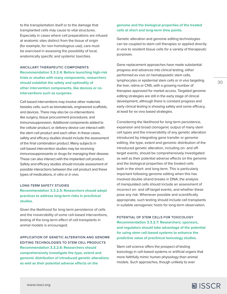to the transplantation itself or to the damage that transplanted cells may cause to vital structures. Especially in cases where cell preparations are infused at anatomic sites distinct from the tissue of origin (for example, for non-homologous use), care must be exercised in assessing the possibility of local, anatomically specific and systemic toxicities.

# **ANCILLARY THERAPEUTIC COMPONENTS Recommendation 3.3.2.4: Before launching high-risk trials or studies with many components, researchers should establish the safety and optimality of other intervention components, like devices or cointerventions such as surgeries.**

Cell-based interventions may involve other materials besides cells, such as biomaterials, engineered scaffolds, and devices. There may also be co-interventions like surgery, tissue procurement procedures, and immunosuppression. Additional components added to the cellular product, or delivery device can interact with the stem cell product and each other. In these cases, safety and efficacy studies should include the assessment of the final combination product. Many subjects in cell-based intervention studies may be receiving immunosuppressants or drugs for managing their disease. These can also interact with the implanted cell product. Safety and efficacy studies should include assessment of possible interactions between the cell product and these types of medications, *in vitro* or *in vivo*.

#### **LONG-TERM SAFETY STUDIES**

# **Recommendation 3.3.2.5: Researchers should adopt practices to address long-term risks in preclinical studies.**

Given the likelihood for long-term persistence of cells and the irreversibility of some cell-based interventions, testing of the long-term effect of cell transplants in animal models is encouraged.

**APPLICATION OF GENETIC ALTERATION AND GENOME EDITING TECHNOLOGIES TO STEM CELL PRODUCTS Recommendation 3.3.2.6: Researchers should comprehensively investigate the type, extent and genomic distribution of introduced genetic alterations as well as their potential adverse effects on the** 

#### **genome and the biological properties of the treated cells at short and long-term time points.**

Genetic alteration and genome editing technologies can be coupled to stem cell therapies or applied directly *in vivo* to resident tissue cells for a variety of therapeutic purposes.

Gene replacement approaches have made substantial progress and advances into clinical testing, either performed ex vivo on hematopoietic stem cells, lymphocytes or epidermal stem cells or *in vivo* targeting the liver, retina or CNS, with a growing number of therapies approved for market access. Targeted genome editing strategies are still in the early stage of clinical development, although there is constant progress and early clinical testing is showing safety and some efficacy, at least for ex vivo based strategies.

Considering the likelihood for long-term persistence, expansion and broad clonogenic output of many stem cell types and the irreversibility of any genetic alteration introduced by integrating gene transfer or genome editing, the type, extent and genomic distribution of the introduced genetic alteration, including on- and offtarget events, should be comprehensively investigated as well as their potential adverse effects on the genome and the biological properties of the treated cells both in the short- and long-term. This is particularly important following genome editing when this has involved double strand breaks in DNA; the analysis of manipulated cells should include an assessment of incorrect on- and off-target events, and whether these pose any risk. Whenever possible and scientifically appropriate, such testing should include cell transplants in suitable xenogeneic hosts for long-term observation.

**POTENTIAL OF STEM CELLS FOR TOXICOLOGY Recommendation 3.3.2.7: Researchers, sponsors, and regulators should take advantage of the potential for using stem cell-based systems to enhance the predictive value of preclinical toxicology studies.**

Stem cell science offers the prospect of testing toxicology in cell-based systems or artificial organs that more faithfully mimic human physiology than animal models. Such approaches, though unlikely to ever

**[www.isscr.org](https://www.closerlookatstemcells.org/)**

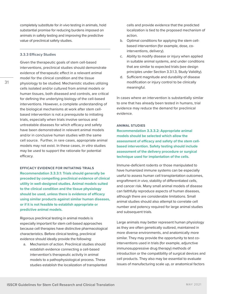<span id="page-30-0"></span>completely substitute for *in vivo* testing in animals, hold substantial promise for reducing burdens imposed on animals in safety testing and improving the predictive value of preclinical safety studies.

#### **3.3.3 Efficacy Studies**

Given the therapeutic goals of stem cell-based interventions, preclinical studies should demonstrate evidence of therapeutic effect in a relevant animal model for the clinical condition and the tissue physiology to be studied. Mechanistic studies utilizing cells isolated and/or cultured from animal models or human tissues, both diseased and controls, are critical for defining the underlying biology of the cell-based interventions. However, a complete understanding of the biological mechanisms at work after stem cellbased intervention is not a prerequisite to initiating trials, especially when trials involve serious and untreatable diseases for which efficacy and safety have been demonstrated in relevant animal models and/or in conclusive human studies with the same cell source. Further, in rare cases, appropriate animal models may not exist. In these cases, *in vitro* studies may be used to support the rationale for potential efficacy.

**EFFICACY EVIDENCE FOR INITIATING TRIALS Recommendation 3.3.3.1: Trials should generally be preceded by compelling preclinical evidence of clinical utility in well-designed studies. Animal models suited to the clinical condition and the tissue physiology should be used, unless there is evidence of efficacy using similar products against similar human diseases, or if it is not feasible to establish appropriate or predictive animal models.**

Rigorous preclinical testing in animal models is especially important for stem cell-based approaches because cell therapies have distinctive pharmacological characteristics. Before clinical testing, preclinical evidence should ideally provide the following:

a. Mechanism of action. Preclinical studies should establish evidence connecting a cell-based intervention's therapeutic activity in animal models to a pathophysiological process. These studies establish the localization of transplanted cells and provide evidence that the predicted localization is tied to the proposed mechanism of action.

- b. Optimal conditions for applying the stem cellbased intervention (for example, dose, cointerventions, delivery).
- c. Ability to modify disease or injury when applied in suitable animal systems, and under conditions that are similar to expected trials (see design principles under Section 3.3.1.3, Study Validity).
- d. Sufficient magnitude and durability of disease modification or injury control to be clinically meaningful.

In cases where an intervention is substantially similar to one that has already been tested in humans, trial evidence may reduce the demand for preclinical evidence.

#### **ANIMAL STUDIES**

**Recommendation 3.3.3.2: Appropriate animal models should be selected which allow the assessment of efficacy and safety of the stem cellbased intervention. Safety testing should include assessment of the delivery procedure or surgical technique used for implantation of the cells.**

Immune-deficient rodents or those manipulated to have humanized immune systems can be especially useful to assess human cell transplantation outcomes, engraftment *in vivo*, stability of differentiated cells, and cancer risk. Many small animal models of disease can faithfully reproduce aspects of human diseases, although there are considerable limitations. Small animal studies should also attempt to correlate cell number and potency required for large animal studies and subsequent trials.

Large animals may better represent human physiology as they are often genetically outbred, maintained in more diverse environments, and anatomically more similar. They may provide the opportunity to test cointerventions used in trials (for example, adjunctive immunosuppressive drug therapy) methods of introduction or the compatibility of surgical devices and cell products. They also may be essential to evaluate issues of manufacturing scale up, or anatomical factors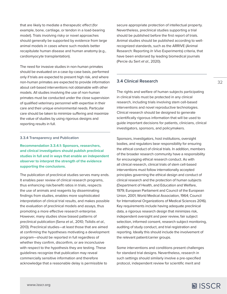<span id="page-31-0"></span>that are likely to mediate a therapeutic effect (for example, bone, cartilage, or tendon in a load-bearing model). Trials involving risky or novel approaches should generally be supported by evidence from large animal models in cases where such models better recapitulate human disease and human anatomy (e.g., cardiomyocyte transplantation).

The need for invasive studies in non-human primates should be evaluated on a case-by-case basis, performed only if trials are expected to present high risk, and where non-human primates are expected to provide information about cell-based interventions not obtainable with other models. All studies involving the use of non-human primates must be conducted under the close supervision of qualified veterinary personnel with expertise in their care and their unique environmental needs. Particular care should be taken to minimize suffering and maximize the value of studies by using rigorous designs and reporting results in full.

#### **3.3.4 Transparency and Publication**

**Recommendation 3.3.4.1: Sponsors, researchers, and clinical investigators should publish preclinical studies in full and in ways that enable an independent observer to interpret the strength of the evidence supporting the conclusions.**

The publication of preclinical studies serves many ends. It enables peer review of clinical research programs, thus enhancing risk/benefit ratios in trials, respects the use of animals and reagents by disseminating findings from studies, enables more sophisticated interpretation of clinical trial results, and makes possible the evaluation of preclinical models and assays, thus promoting a more effective research enterprise. However, many studies show biased patterns of preclinical publication (Sena *et al.*, 2010; Tsilidis *et al.*, 2013). Preclinical studies—at least those that are aimed at confirming the hypotheses motivating a development program—should be reported in full regardless of whether they confirm, disconfirm, or are inconclusive with respect to the hypothesis they are testing. These guidelines recognize that publication may reveal commercially sensitive information and therefore acknowledge that a reasonable delay is permissible to

secure appropriate protection of intellectual property. Nevertheless, preclinical studies supporting a trial should be published before the first report of trials. Animal studies should be published according to wellrecognized standards, such as the ARRIVE (Animal Research: Reporting *In Vivo* Experiments) criteria, that have been endorsed by leading biomedical journals (Percie du Sert *et al.*, 2020).

#### **3.4 Clinical Research**

The rights and welfare of human subjects participating in clinical trials must be protected in any clinical research, including trials involving stem cell-based interventions and novel reproductive technologies. Clinical research should be designed to generate scientifically rigorous information that will be used to guide important decisions for patients, clinicians, clinical investigators, sponsors, and policymakers.

Sponsors, investigators, host institutions, oversight bodies, and regulators bear responsibility for ensuring the ethical conduct of clinical trials. In addition, members of the broader research community have a responsibility for encouraging ethical research conduct. As with all clinical research, clinical trials of stem cell-based interventions must follow internationally accepted principles governing the ethical design and conduct of clinical research and the protection of human subjects (Department of Health, and Education and Welfare, 1979; European Parliament and Council of the European Union, 2001; World Medical Association, 1964; Council for International Organizations of Medical Sciences 2016). Key requirements include having adequate preclinical data, a rigorous research design that minimizes risk, independent oversight and peer review, fair subject selection, informed consent, research subject monitoring, auditing of study conduct, and trial registration and reporting. Ideally this should include the involvement of the relevant patient/carrier groups.

Some interventions and conditions present challenges for standard trial designs. Nevertheless, research in such settings should similarly involve a pre-specified protocol, independent review for scientific merit and

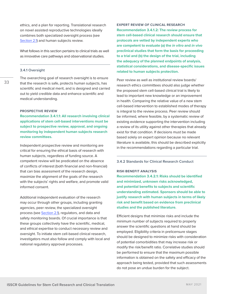<span id="page-32-0"></span>ethics, and a plan for reporting. Translational research on novel assisted reproductive technologies ideally combines both specialized oversight process (see [Section 2.1](#page-5-0)) and human subjects review.

What follows in this section pertains to clinical trials as well as innovative care pathways and observational studies.

#### **3.4.1 Oversight**

33

The overarching goal of research oversight is to ensure that the research is safe, protects human subjects, has scientific and medical merit, and is designed and carried out to yield credible data and enhance scientific and medical understanding.

#### **PROSPECTIVE REVIEW**

**Recommendation 3.4.1.1: All research involving clinical applications of stem cell-based interventions must be subject to prospective review, approval, and ongoing monitoring by independent human subjects research review committees.**

Independent prospective review and monitoring are critical for ensuring the ethical basis of research with human subjects, regardless of funding source. A competent review will be predicated on the absence of conflicts of interest (both financial and non-financial) that can bias assessment of the research design, maximize the alignment of the goals of the research with the subjects' rights and welfare, and promote valid informed consent.

Additional independent evaluation of the research may occur through other groups, including granting agencies, peer review, the specialized oversight process (see [Section 2.1\)](#page-5-0), regulators, and data and safety monitoring boards. Of crucial importance is that these groups collectively have the scientific, medical, and ethical expertise to conduct necessary review and oversight. To initiate stem cell-based clinical research, investigators must also follow and comply with local and national regulatory approval processes.

**EXPERT REVIEW OF CLINICAL RESEARCH Recommendation 3.4.1.2: The review process for stem cell-based clinical research should ensure that protocols are vetted by independent experts who are competent to evaluate (a) the** *in vitro* **and** *in vivo* **preclinical studies that form the basis for proceeding to a trial and (b) the design of the trial, including the adequacy of the planned endpoints of analysis, statistical considerations, and disease-specific issues related to human subjects protection.**

Peer review as well as institutional review boards/ research ethics committees should also judge whether the proposed stem cell-based clinical trial is likely to lead to important new knowledge or an improvement in health. Comparing the relative value of a new stem cell-based intervention to established modes of therapy is integral to the review process. Peer review should be informed, where feasible, by a systematic review of existing evidence supporting the intervention including a review of its utility against other therapies that already exist for that condition. If decisions must be made based solely on expert opinion because no relevant literature is available, this should be described explicitly in the recommendations regarding a particular trial.

#### **3.4.2 Standards for Clinical Research Conduct**

#### **RISK-BENEFIT ANALYSIS**

**Recommendation 3.4.2.1: Risks should be identified and minimized, unknown risks acknowledged, and potential benefits to subjects and scientific understanding estimated. Sponsors should be able to justify research with human subjects in terms of likely risk and benefit based on evidence from preclinical studies and the published literature.** 

Efficient designs that minimize risks and include the minimum number of subjects required to properly answer the scientific questions at hand should be employed. Eligibility criteria in prelicensure stages should be designed to minimize risks with consideration of potential comorbidities that may increase risk or modify the risk/benefit ratio. Correlative studies should be performed to ensure that the maximum possible information is obtained on the safety and efficacy of the approach being tested, provided that such assessments do not pose an undue burden for the subject.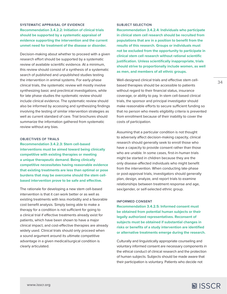# **SYSTEMATIC APPRAISAL OF EVIDENCE Recommendation 3.4.2.2: Initiation of clinical trials should be supported by a systematic appraisal of evidence supporting the intervention and the current unmet need for treatment of the disease or disorder.**

Decision-making about whether to proceed with a given research effort should be supported by a systematic review of available scientific evidence. At a minimum, this review should consist of a synthesis of a systematic search of published and unpublished studies testing the intervention in animal systems. For early-phase clinical trials, the systematic review will mostly involve synthesizing basic and preclinical investigations, while for late phase studies the systematic review should include clinical evidence. The systematic review should also be informed by accessing and synthesizing findings involving the testing of similar intervention strategies as well as current standard of care. Trial brochures should summarize the information gathered from systematic review without any bias.

#### **OBJECTIVES OF TRIALS**

**Recommendation 3.4.2.3: Stem cell-based interventions must be aimed toward being clinically competitive with existing therapies or meeting a unique therapeutic demand. Being clinically competitive necessitates having reasonable evidence that existing treatments are less than optimal or pose burdens that may be overcome should the stem cellbased intervention prove to be safe and effective.**

The rationale for developing a new stem cell-based intervention is that it can work better or as well as existing treatments with less morbidity and a favorable cost benefit analysis. Simply being able to make a therapy for a condition is not sufficient for going to a clinical trial if effective treatments already exist for patients, which have been shown to have a major clinical impact, and cost-effective therapies are already widely used. Clinical trials should only proceed when a sound argument around its ultimate competitive advantage in a given medical/surgical condition is clearly articulated.

#### **SUBJECT SELECTION**

**Recommendation 3.4.2.4: Individuals who participate in clinical stem cell research should be recruited from populations that are in a position to benefit from the results of this research. Groups or individuals must not be excluded from the opportunity to participate in clinical stem cell research without rational scientific justification. Unless scientifically inappropriate, trials should strive to proportionally include women, as well as men, and members of all ethnic groups.** 

Well-designed clinical trials and effective stem cellbased therapies should be accessible to patients without regard to their financial status, insurance coverage, or ability to pay. In stem cell-based clinical trials, the sponsor and principal investigator should make reasonable efforts to secure sufficient funding so that no person who meets eligibility criteria is prevented from enrollment because of their inability to cover the costs of participation.

Assuming that a particular condition is not thought to adversely affect decision-making capacity, clinical research should generally seek to enroll those who have a capacity to provide consent rather than those who are unable. In some cases, first-in-human trials might be started in children because they are the only disease-affected individuals who might benefit from the intervention. When conducting late-phase or post-approval trials, investigators should generally plan, design, analyze, and report trials to examine relationships between treatment response and age, sex/gender, or self-selected ethnic group.

#### **INFORMED CONSENT**

**Recommendation 3.4.2.5: Informed consent must be obtained from potential human subjects or their legally authorized representatives. Reconsent of subjects must be obtained if substantial changes in risks or benefits of a study intervention are identified or alternative treatments emerge during the research.**

Culturally and linguistically appropriate counseling and voluntary informed consent are necessary components in the ethical conduct of clinical research and the protection of human subjects. Subjects should be made aware that their participation is voluntary. Patients who decide not

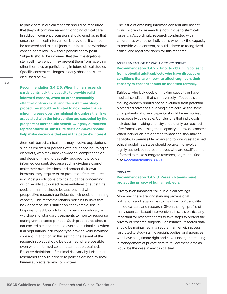to participate in clinical research should be reassured that they will continue receiving ongoing clinical care. In addition, consent discussions should emphasize that once the stem cell intervention is provided, it cannot be removed and that subjects must be free to withdraw consent for follow up without penalty at any point. Subjects should be informed that the investigational stem cell intervention may prevent them from receiving other therapies or participating in future clinical studies. Specific consent challenges in early phase trials are discussed below.

**Recommendation 3.4.2.6: When human research participants lack the capacity to provide valid informed consent, when no other reasonably effective options exist, and the risks from study procedures should be limited to no greater than a minor increase over the minimal risk unless the risks associated with the intervention are exceeded by the prospect of therapeutic benefit. A legally authorized representative or substitute decision-maker should help make decisions that are in the patient's interest.**

Stem cell-based clinical trials may involve populations, such as children or persons with advanced neurological disorders, who may lack knowledge, comprehension and decision-making capacity required to provide informed consent. Because such individuals cannot make their own decisions and protect their own interests, they require extra protection from research risk. Most jurisdictions provide guidance concerning which legally authorized representatives or substitute decision-makers should be approached when prospective research participants lack decision-making capacity. This recommendation pertains to risks that lack a therapeutic justification, for example, tissue biopsies to test biodistribution, sham procedures, or withdrawal of standard treatments to monitor response during unmedicated periods. Such procedures should not exceed a minor increase over the minimal risk when trial populations lack capacity to provide valid informed consent. In addition, in this setting, the assent of the research subject should be obtained where possible even when informed consent cannot be obtained. Because definitions of minimal risk vary by jurisdiction, researchers should adhere to policies defined by local human subjects review committees.

The issue of obtaining informed consent and assent from children for research is not unique to stem cell research. Accordingly, research conducted with children, as with other individuals who lack the capacity to provide valid consent, should adhere to recognized ethical and legal standards for this research.

**ASSESSMENT OF CAPACITY TO CONSENT Recommendation 3.4.2.7: Prior to obtaining consent from potential adult subjects who have diseases or conditions that are known to affect cognition, their capacity to consent should be assessed formally.**

Subjects who lack decision-making capacity or have medical conditions that can adversely affect decisionmaking capacity should not be excluded from potential biomedical advances involving stem cells. At the same time, patients who lack capacity should be recognized as especially vulnerable. Conclusions that individuals lack decision-making capacity should only be reached after formally assessing their capacity to provide consent. When individuals are deemed to lack decision-making capacity, as permissible by law and following established ethical guidelines, steps should be taken to involve legally authorized representatives who are qualified and informed to make surrogate research judgments. See also Recommendation 3.4.2.6.

#### **PRIVACY**

# **Recommendation 3.4.2.8: Research teams must protect the privacy of human subjects.**

Privacy is an important value in clinical settings. Moreover, there are longstanding professional obligations and legal duties to maintain confidentiality in medical care and research. Given the high profile of many stem cell-based intervention trials, it is particularly important for research teams to take steps to protect the privacy of research subjects. For instance, research data should be maintained in a secure manner with access restricted to study staff, oversight bodies, and agencies who have a legitimate right and have undergone training in management of private data to review these data as would be the case in any clinical trial.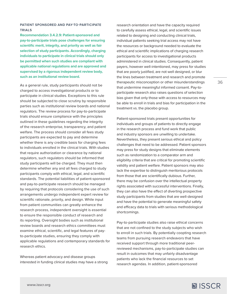# **PATIENT SPONSORED AND PAY-TO-PARTICIPATE TRIALS**

**Recommendation 3.4.2.9: Patient-sponsored and pay-to-participate trials pose challenges for ensuring scientific merit, integrity, and priority as well as fair selection of study participants. Accordingly, charging individuals to participate in clinical trials should only be permitted when such studies are compliant with applicable national regulations and are approved and supervised by a rigorous independent review body, such as an institutional review board.** 

As a general rule, study participants should not be charged to access investigational products or to participate in clinical studies. Exceptions to this rule should be subjected to close scrutiny by responsible parties such as institutional review boards and national regulators. The review process for pay-to-participate trials should ensure compliance with the principles outlined in these guidelines regarding the integrity of the research enterprise, transparency, and patient welfare. The process should consider all fees study participants are expected to pay and determine whether there is any credible basis for charging fees to individuals enrolled in the clinical trials. With studies that require authorization or clearance by national regulators, such regulators should be informed that study participants will be charged. They must then determine whether any and all fees charged to study participants comply with ethical, legal, and scientific standards. The potential liabilities of patient-sponsored and pay-to-participate research should be managed by requiring that protocols considering the use of such arrangements undergo independent expert review for scientific rationale, priority, and design. While input from patient communities can greatly enhance the research process, independent oversight is essential to ensure the responsible conduct of research and its reporting. Oversight bodies such as institutional review boards and research ethics committees must examine ethical, scientific, and legal features of payto-participate studies, ensuring they comply with applicable regulations and contemporary standards for research ethics.

Whereas patient advocacy and disease groups interested in funding clinical studies may have a strong research orientation and have the capacity required to carefully assess ethical, legal, and scientific issues related to designing and conducting clinical trials, individual patients seeking trial access may not have the resources or background needed to evaluate the ethical and scientific implications of charging research participants for access to investigational products administered in clinical studies. Consequently, patient payers, however well-intentioned, may press for studies that are poorly justified, are not well designed, or blur the lines between treatment and research and promote therapeutic misconception or other misunderstandings that undermine meaningful informed consent. Pay-toparticipate research also raises questions of selection bias given that only those with access to resources may be able to enroll in trials and bias for participation in the treatment vs. the placebo group.

Patient-sponsored trials present opportunities for individuals and groups of patients to directly engage in the research process and fund work that public and industry sponsors are unwilling to undertake. Nevertheless, they present serious ethical and policy challenges that need to be addressed. Patient sponsors may press for study designs that eliminate elements such as randomization to a comparator arm and eligibility criteria that are critical for promoting scientific validity and patient welfare. Patient sponsors may also lack the expertise to distinguish meritorious protocols from those that are scientifically dubious. Further, there may be confusion over the intellectual property rights associated with successful interventions. Finally, they can also have the effect of diverting prospective study participants from studies that are well-designed and have the potential to generate meaningful safety and efficacy data to trials with serious methodological shortcomings.

Pay-to-participate studies also raise ethical concerns that are not confined to the study subjects who wish to enroll in such trials. By potentially coopting research teams from pursuing research endeavors that have received support through more traditional peerreviewed mechanisms, pay-to-participate studies can result in outcomes that may unfairly disadvantage patients who lack the financial resources to set research agendas. In addition, patient-sponsored

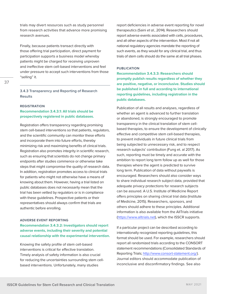trials may divert resources such as study personnel from research activities that advance more promising research avenues.

Finally, because patients transact directly with those offering trial participation, direct payment for participation supports a business model whereby patients might be charged for receiving unproven and ineffective stem cell-based interventions and feel under pressure to accept such interventions from those "selling" it.

**3.4.3 Transparency and Reporting of Research Results**

#### **REGISTRATION**

# **Recommendation 3.4.3.1: All trials should be prospectively registered in public databases.**

Registration offers transparency regarding promising stem cell-based interventions so that patients, regulators, and the scientific community can monitor these efforts and incorporate them into future efforts, thereby minimizing risk and maximizing benefits of clinical trials. Registration also promotes integrity in scientific research, such as ensuring that scientists do not change primary endpoints after studies commence or otherwise take steps that might compromise the quality of research data. In addition, registration promotes access to clinical trials for patients who might not otherwise have a means of knowing about them. However, having a trial listed on public databases does not necessarily mean that the trial has been vetted by regulators or is in compliance with these guidelines. Prospective patients or their representatives should always confirm that trials are authentic before enrolling.

## **ADVERSE EVENT REPORTING**

# **Recommendation 3.4.3.2: Investigators should report adverse events, including their severity and potential causal relationship with the experimental intervention.**

Knowing the safety profile of stem cell-based interventions is critical for effective translation. Timely analysis of safety information is also crucial for reducing the uncertainties surrounding stem cellbased interventions. Unfortunately, many studies

report deficiencies in adverse event reporting for novel therapeutics (Saini *et al.*, 2014). Researchers should report adverse events associated with cells, procedures, and all other aspects of the intervention. Most if not all national regulatory agencies mandate the reporting of such events, as they would for any clinical trial, and thus trials of stem cells should do the same at all trial phases.

## **PUBLICATION**

**Recommendation 3.4.3.3: Researchers should promptly publish results regardless of whether they are positive, negative, or inconclusive. Studies should be published in full and according to international reporting guidelines, including registration in the public databases.**

Publication of all results and analyses, regardless of whether an agent is advanced to further translation or abandoned, is strongly encouraged to promote transparency in the clinical translation of stem cellbased therapies, to ensure the development of clinically effective and competitive stem cell-based therapies, to prevent individuals in future clinical trials from being subjected to unnecessary risk, and to respect research subjects' contribution (Fung et. al 2017). As such, reporting must be timely and accurate with the ambition to report long term follow up as well for those therapies where the agent is predicted to survive long term. Publication of data without paywalls is encouraged. Researchers should also consider ways to share individual research subject data, provided that adequate privacy protections for research subjects can be assured. A U.S. Institute of Medicine Report offers principles on sharing clinical trial data (Institute of Medicine, 2015). Researchers, sponsors, and others should adhere to these principles. Additional information is also available from the AllTrials initiative [\(https://www.alltrials.net\)](https://www.alltrials.net), which the ISSCR supports.

If a particular project can be described according to internationally recognized reporting guidelines, this format should be used. For example, researchers should report all randomized trials according to the CONSORT statement recommendations (Consolidated Standards of Reporting Trials; [http://www.consort-statement.org/\)](http://www.consort-statement.org/). Journal editors should accommodate publication of inconclusive and disconfirmatory findings. See also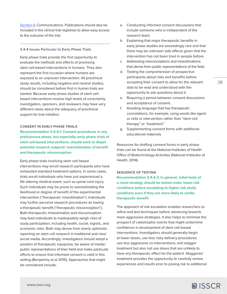<span id="page-37-0"></span>[Section 4](#page-50-0), Communications. Publications should also be included in the clinical trial registries to allow easy access to the outcome of the trial.

#### **3.4.4 Issues Particular to Early Phase Trials**

Early phase trials provide the first opportunity to evaluate the methods and effects of promising stem cell-based interventions in humans. They also represent the first occasion where humans are exposed to an unproven intervention. All preclinical study results, including negative and neutral studies, should be considered before first in human trials are started. Because early phase studies of stem cellbased interventions involve high levels of uncertainty, investigators, sponsors, and reviewers may have very different views about the adequacy of preclinical support for trial initiation.

### **CONSENT IN EARLY PHASE TRIALS**

**Recommendation 3.4.4.1: Consent procedures in any prelicensure phase, but especially early phase trials of stem cell-based interventions, should work to dispel potential research subjects' overestimation of benefit and therapeutic misconception.**

Early phase trials involving stem cell-based interventions may enroll research participants who have exhausted standard treatment options. In some cases, trials enroll individuals who have just experienced a life-altering medical event, such as spinal cord injury. Such individuals may be prone to overestimating the likelihood or degree of benefit of the experimental intervention ("therapeutic misestimation"). Individuals may further perceive research procedures as having a therapeutic benefit ("therapeutic misconception"). Both therapeutic misestimation and misconception may lead individuals to inadequately weigh risks of study participation, including health, social, logistic, and economic risks. Both may derive from overly optimistic reporting on stem cell research in traditional and new/ social media. Accordingly, investigators should adopt a position of therapeutic equipoise, be aware of media/ public representations of their field and make particular efforts to ensure that informed consent is valid in this setting (Benjaminy et.al 2015). Approaches that might be considered include:

- a. Conducting informed consent discussions that include someone who is independent of the research team.
- b. Explaining that major therapeutic benefits in early phase studies are exceedingly rare and that there may be unknown side effects given that the intervention has not been tried in people before.
- c. Addressing misconceptions and misestimations that derive from public representations of the field.
- d. Testing the comprehension of prospective participants about risks and benefits before accepting their consent to allow for the relevant data to be read and understood with the opportunity to ask questions about it.
- e. Requiring a period between consent discussions and acceptance of consent.
- f. Avoiding language that has therapeutic connotations, for example, using words like agent or cells or intervention rather than "stem cell therapy" or "treatment."
- g. Supplementing consent forms with additional educational materials.

Resources for drafting consent forms in early phase trials can be found at the National Institutes of Health Office of Biotechnology Activities (National Institutes of Health, 2014).

### **SEQUENCE OF TESTING**

**Recommendation 3.4.4.2: In general, initial tests of a novel strategy should be tested under lower-risk conditions before escalating to higher risk study conditions even if they are more likely to confer therapeutic benefit.**

The approach of risk escalation enables researchers to refine and test techniques before advancing towards more aggressive strategies. It also helps to minimize the prospect of catastrophic events that might undermine confidence in development of stem cell-based interventions. Investigators should generally begin at lower doses, use less risky delivery procedures, use less aggressive co-interventions, and stagger treatment but also not use doses that are unlikely to have any therapeutic effect for the patient. Staggered treatment provides the opportunity to carefully review experiences and results prior to posing risk to additional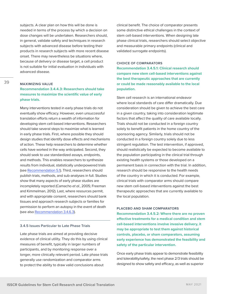subjects. A clear plan on how this will be done is needed in terms of the process by which a decision on dose changes will be undertaken. Researchers should, in general, validate safety and techniques in research subjects with advanced disease before testing their products in research subjects with more recent disease onset. There may nevertheless be situations where, because of delivery or disease target, a cell product is not suitable for initial evaluation in individuals with advanced disease.

# **MAXIMIZING VALUE**

# **Recommendation 3.4.4.3: Researchers should take measures to maximize the scientific value of early phase trials.**

Many interventions tested in early phase trials do not eventually show efficacy. However, even unsuccessful translation efforts return a wealth of information for developing stem cell-based interventions. Researchers should take several steps to maximize what is learned in early phase trials. First, where possible they should design studies that identify dose effects and mechanisms of action. These help researchers to determine whether cells have worked in the way anticipated. Second, they should seek to use standardized assays, endpoints, and methods. This enables researchers to synthesize results from individual, statistically underpowered trials (see [Recommendation 5.1](#page-54-0)). Third, researchers should publish trials, methods, and sub-analyses in full. Studies show that many aspects of early phase studies are incompletely reported (Camacho *et al.*, 2005; Freeman and Kimmelman, 2012). Last, where resources permit, and with appropriate consent, researchers should bank tissues and approach research subjects or families for permission to perform an autopsy in the event of death (see also [Recommendation 3.4.6.3\)](#page-40-0).

#### **3.4.5 Issues Particular to Late Phase Trials**

Late phase trials are aimed at providing decisive evidence of clinical utility. They do this by using clinical measures of benefit, typically in larger numbers of participants, and by monitoring response over a longer, more clinically relevant period. Late phase trials generally use randomization and comparator arms to protect the ability to draw valid conclusions about

clinical benefit. The choice of comparator presents some distinctive ethical challenges in the context of stem cell-based interventions. When designing late phase clinical trials, researchers should select objective and measurable primary endpoints (clinical and validated surrogate endpoints).

## **CHOICE OF COMPARATORS**

**Recommendation 3.4.5.1: Clinical research should compare new stem cell-based interventions against the best therapeutic approaches that are currently or could be made reasonably available to the local population.**

Stem cell research is an international endeavor where local standards of care differ dramatically. Due consideration should be given to achieve the best care in a given country, taking into consideration legitimate factors that affect the quality of care available locally. Trials should not be conducted in a foreign country solely to benefit patients in the home country of the sponsoring agency. Similarly, trials should not be conducted in a foreign country solely due to less stringent regulation. The test intervention, if approved, should realistically be expected to become available to the population participating in the clinical trial through existing health systems or those developed on a permanent basis in connection with the trial. In addition, research should be responsive to the health needs of the country in which it is conducted. For example, clinical trials with comparator arms should compare new stem cell-based interventions against the best therapeutic approaches that are currently available to the local population.

## **PLACEBO AND SHAM COMPARATORS**

**Recommendation 3.4.5.2: Where there are no proven effective treatments for a medical condition and stem cell-based interventions involve invasive delivery, it may be appropriate to test them against historical controls, placebo, or sham comparators, assuming early experience has demonstrated the feasibility and safety of the particular intervention.**

Once early phase trials appear to demonstrate feasibility and tolerability/safety, the next phase 2/3 trials should be designed to show safety and efficacy, as well as superior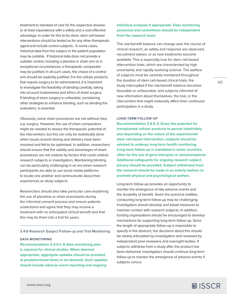treatment to standard of care for the respective disease or at least equivalence with a safety and a cost-effective advantage. In order for this to be done, stem cell-based interventions should be tested as for any other therapeutic agent and include control subjects. In some cases, historical data from the subject or the patient population may be suitable. If historical data does not provide a suitable control, including a placebo or sham arm or in exceptional circumstances, a therapeutic comparator may be justified. In all such cases, the choice of a control arm should be explicitly justified. For the cellular products that require surgery to be administered, it is important to investigate the feasibility of blinding carefully, taking into account invasiveness and ethics of sham surgery. If blinding of sham surgery is unfeasible, considering other strategies to enhance blinding, such as blinding the evaluators, is essential.

Obviously, some sham procedures are not without risks, e.g. surgery. However, the use of sham comparators might be needed to assess the therapeutic potential of the intervention, but this can only be realistically done when issues around dosing and delivery have been resolved and felt to be optimized. In addition, researchers should ensure that the validity and advantages of sham procedures are not undone by factors that could unblind research subjects or investigators. Maintaining blinding can be particularly challenging in an era when research participants are able to use social media platforms to locate one another and communicate about their experiences as study subjects.

Researchers should also take particular care explaining the use of placebos or sham procedures during the informed consent process and ensure patients understand and agree that they may receive a treatment with no anticipated clinical benefit and that this may tie them into a trial for years.

### **3.4.6 Research Subject Follow-up and Trial Monitoring**

#### **DATA MONITORING**

**[www.isscr.org](https://www.closerlookatstemcells.org/)**

**Recommendation 3.4.6.1: A data-monitoring plan is required for clinical studies. When deemed appropriate, aggregate updates should be provided at predetermined times or on-demand. Such updates should include adverse event reporting and ongoing** 

# **statistical analyses if appropriate. Data monitoring personnel and committees should be independent from the research team.**

The risk/benefit balance can change over the course of clinical research, as safety and response are observed, recruitment wanes, or as new treatments become available. This is especially true for stem cell-based intervention trials, which are characterized by high uncertainty and rapidly evolving science. The welfare of subjects must be carefully monitored throughout the duration of stem cell-based clinical trials, the study interrupted if the risk/benefit balance becomes favorable or unfavorable, and subjects informed of new information about themselves, the trial, or the intervention that might materially affect their continued participation in a study.

#### **LONG-TERM FOLLOW-UP**

**Recommendation 3.4.6.2: Given the potential for transplanted cellular products to persist indefinitely and depending on the nature of the experimental stem cell-based intervention, subjects should be advised to undergo long-term health monitoring. Long-term follow-up is mandated in some countries, often for the use of gene therapies or xenotransplants. Additional safeguards for ongoing research subject privacy should be provided. Subject withdrawal from the research should be made in an orderly fashion to promote physical and psychological welfare.**

Long-term follow-up provides an opportunity to monitor the emergence of late adverse events and the durability of benefit. Given the practical realities, conducting long-term follow-up may be challenging. Investigators should develop and adopt measures to maintain contact with research subjects. In addition, funding organizations should be encouraged to develop mechanisms for supporting long-term follow-up. Since the length of appropriate follow-up is impossible to specify in the abstract, the decisions about this should be clearly articulated by investigators and reviewed by independent peer-reviewers and oversight bodies. If subjects withdraw from a study after the product has been delivered, investigators should continue long-term follow-up to monitor the emergence of adverse events if subjects concur.

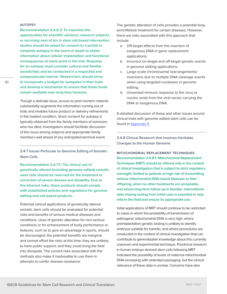## <span id="page-40-0"></span>**AUTOPSY**

**Recommendation 3.4.6.3: To maximize the opportunities for scientific advance, research subjects or surviving next of kin in stem cell-based intervention studies should be asked for consent to a partial or complete autopsy in the event of death to obtain information about cellular implantation and functional consequences at some point in the trial. Requests for an autopsy must consider cultural and familial sensitivities and be conducted in a respectful and compassionate manner. Researchers should strive to incorporate a budget for autopsies in their trials and develop a mechanism to ensure that these funds remain available over long time horizons.**

Though a delicate issue, access to post-mortem material substantially augments the information coming out of trials and enables future product or delivery refinements in the treated condition. Since consent for autopsy is typically obtained from the family members of someone who has died, investigators should facilitate discussion of this issue among subjects and appropriate family members well ahead of any anticipated terminal event.

**3.4.7 Issues Particular to Genome Editing of Somatic Stem Cells** 

**Recommendation 3.4.7.1: The clinical use of genetically altered (including genome-edited) somatic stem cells should be reserved for the treatment or correction of severe disease and disability. Due to the inherent risks, these products should comply with established policies and regulations for genome editing and cell-based products.** 

Potential clinical applications of genetically altered somatic stem cells should be evaluated for potential risks and benefits of serious medical diseases and conditions. Uses of genetic alteration for non-serious conditions or for enhancement of body performance or features, such as to give an advantage in sports, should be discouraged: the potential benefits are marginal and cannot offset the risks at this time; they are unlikely to have public support; and they could bring the field into disrepute. The current risks associated with the methods also make it inadvisable to use them in attempts to confer disease resistance.

The genetic alteration of cells provides a potential longterm/lifetime treatment for certain diseases. However, there are risks associated with this approach that include:

- a. Off-target effects from the insertion of exogenous DNA in gene replacement applications.
- b. Incorrect on-target and off-target genetic events in genome editing applications.
- c. Large-scale chromosomal rearrangements/ inversions due to multiple DNA cleavage events when using targeted nucleases in genome editing.
- d. Unwanted immune response to the virus or nucleic acids from the viral vector carrying the DNA or exogenous DNA.

A detailed discussion of these and other issues around clinical trials with genome-edited stem cells can be found in [Appendix 5.](#page-59-0)

**3.4.8 Clinical Research that Involves Heritable Changes to the Human Genome**

**MITOCHONDRIAL REPLACEMENT TECHNIQUES Recommendation 3.4.8.1: Mitochondrial Replacement Techniques (MRT) should be offered only in the context of clinical investigation that is subject to strict regulatory oversight, limited to patients at high risk of transmitting serious mitochondrial DNA-based diseases to their offspring, when no other treatments are acceptable, and where long-term follow-up is feasible. International data sharing arising from initial uses is essential to help inform the field and ensure its appropriate use.**

Initial applications of MRT should continue to be restricted to cases in which the probability of transmission of pathogenic mitochondrial DNA is very high, where preimplantation genetic testing is unlikely to identify embryos suitable for transfer, and where procedures are conducted in the context of clinical investigation that can contribute to generalizable knowledge about this currently unproven and experimental technique. Preclinical research in human embryo-derived stem cells following MRT indicated the possibility of levels of maternal mitochondrial DNA increasing with extended passaging, but the clinical relevance of these data is unclear. Concerns have also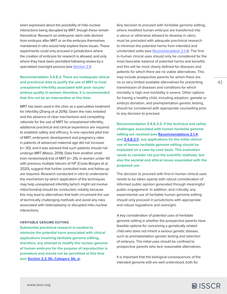been expressed about the possibility of mito-nuclear interactions being disrupted by MRT, though these remain theoretical. Research on embryonic stem cells derived from embryos after MRT or on the embryos themselves maintained *in vitro* would help explore these issues. These experiments could only proceed in jurisdictions where the creation of embryos for research is allowed, and only where they have been permitted following review by a specialized oversight process (see [Section 2.1](#page-5-0)).

# **Recommendation 3.4.8.2: There are inadequate clinical and preclinical data to justify the use of MRT to treat unexplained infertility associated with poor oocyte/ embryo quality in women; therefore, it is recommended that this not be an intervention at this time.**

MRT has been used in the clinic as a speculative treatment for infertility (Zhang et al 2016). Given the risks entailed and the absence of clear mechanisms and compelling rationale for the use of MRT for unexplained infertility, additional preclinical and clinical experience are required to establish safety and efficacy. In one reported pilot trial of MRT, embryonic development and pregnancy rates in patients of advanced maternal age did not increase (n= 30), and it was advised that such patients should not undergo MRT (Mazur, 2019). Data from another small (non-randomized) trial of MRT (n= 25), in women under 40 with previous multiple failures of IVF (Costa-Borges et al, 2020), suggest that further controlled trials and follow-up are required. Research conducted *in vitro* to understand the mechanism by which application of the techniques may help unexplained infertility (which might not involve mitochondria) should be conducted, notably because this may lead to alternatives that both circumvent the use of technically challenging methods and avoid any risks associated with heteroplasmy or disrupted mito-nuclear interactions.

#### **HERITABLE GENOME EDITING**

**Substantial preclinical research is needed to minimize the potential harm associated with clinical applications involving heritable genome editing; therefore, any attempt to modify the nuclear genome of human embryos for the purpose of reproduction is premature and should not be permitted at this time (see [Section 2.2.3A, Category 3A, a](#page-13-0)).** 

Any decision to proceed with heritable genome editing, where modified human embryos are transferred into a uterus or otherwise allowed to develop *in utero*, must be preceded with adequate preclinical research to minimize the potential harms from intended and unintended edits (see [Recommendation 2.1.4](#page-6-0)). The firstin-human clinical uses should only be considered for the most favorable balance of potential harms and benefits and this will be most clearly defined for diseases and patients for which there are no viable alternatives. This may include prospective parents for whom there are no or very limited available alternatives for preventing transmission of diseases and conditions for which mortality is high and morbidity is severe. Other options for having a healthy child, including adoption, gamete or embryo donation, and preimplantation genetic testing, should be considered with appropriate counselling prior to any decision to proceed.

**Recommendation 3.4.8.3.2: If the technical and safety challenges associated with human heritable genome editing are resolved (see [Recommendations 2.1.4](#page-6-0) and 3.4.8.3.1), any applications for the initial clinical use of human heritable genome editing should be evaluated on a case-by-case basis. This evaluation needs to consider not just the scientific methods, but also the societal and ethical issues associated with the proposed use.** 

The decision to proceed with first-in-human clinical uses needs to be taken openly with robust consideration of informed public opinion generated through meaningful public engagement. In addition, and critically, any experimental use of heritable human genome editing should only proceed in jurisdictions with appropriate and robust regulations and oversight.

A key consideration of potential uses of heritable genome editing is whether the prospective parents have feasible options for conceiving a genetically related child who does not inherit a serious genetic disease, such as preimplantation genetic testing and selection of embryos. The initial uses should be confined to prospective parents who lack reasonable alternatives.

It is important that the biological consequences of the intended genome edit are well understood, both for

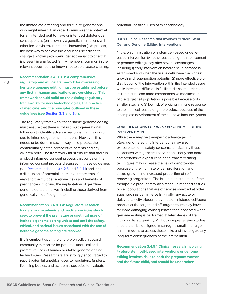the immediate offspring and for future generations who might inherit it, in order to minimize the potential for an intended edit to have unintended deleterious consequences (on its own, via genetic interactions with other loci, or via environmental interactions). At present, the best way to achieve this goal is to use editing to change a known pathogenic genetic variant to one that is present in unaffected family members, common in the relevant population, or known not to be disease-causing.

**Recommendation 3.4.8.3.3: A comprehensive regulatory and ethical framework for overseeing heritable genome editing must be established before any first-in-human applications are considered. This framework should build on the existing regulatory frameworks for new biotechnologies, the practice of medicine, and the principles outlined in these guidelines (see [Section 3.3](#page-26-0) and [3.4](#page-31-0)).** 

The regulatory framework for heritable genome editing must ensure that there is robust multi-generational follow-up to identify adverse reactions that may occur due to inherited genome alterations. However, this needs to be done in such a way as to protect the confidentiality of the prospective parents and any children born. The framework must ensure that there is a robust informed consent process that builds on the informed consent process discussed in these guidelines (see [Recommendations 3.4.2.5](#page-33-0) and [3.4.4.1](#page-37-0)) and includes a discussion of potential alternative treatments (if any) and the multigenerational risks and benefits of pregnancies involving the implantation of germline genome edited embryos, including those derived from genetically modified gametes.

**Recommendation 3.4.8.3.4: Regulators, research funders, and academic and medical societies should seek to prevent the premature or unethical uses of heritable genome editing unless and until the safety, ethical, and societal issues associated with the use of heritable genome editing are resolved.** 

It is incumbent upon the entire biomedical research community to monitor for potential unethical and premature uses of human heritable genome editing technologies. Researchers are strongly encouraged to report potential unethical uses to regulators, funders, licensing bodies, and academic societies to evaluate

potential unethical uses of this technology.

# **3.4.9 Clinical Research that Involves** *in utero* **Stem Cell and Genome Editing Interventions**

*In utero* administration of a stem cell-based or genebased intervention (whether based on gene replacement or genome editing) may offer several advantages, including 1) early intervention before tissue damage is established and when the tissue/cells have the highest growth and regeneration potential; 2) more effective biodistribution of the intervention within the intended tissue while interstitial diffusion is facilitated, tissue barriers are still immature, and more comprehensive modification of the target cell population is possible because of its smaller size; and 3) low risk of eliciting immune response to the stem cell-based or gene product, because of the incomplete development of the adaptive immune system.

# **CONSIDERATIONS FOR** *IN UTERO* **GENOME EDITING INTERVENTIONS**

While there may be therapeutic advantages, *in utero* genome editing interventions may also exacerbate some safety concerns, particularly those associated with genetic interventions. Early and more comprehensive exposure to gene transfer/editing techniques may increase the risk of genotoxicity, because of the high rate of cell proliferation and tissue growth and increased proportion of selfrenewing progenitors. The broad biodistribution of the therapeutic product may also reach unintended tissues or cell populations that are otherwise shielded at older ages, such as germline cells. Finally, any acute or delayed toxicity triggered by the administered cell/gene product at the target and off-target tissues may have far more damaging consequences than observed when genome editing is performed at later stages of life, including teratogenicity. Ad hoc comprehensive studies should thus be designed in surrogate small and large animal models to assess these risks and investigate any long-term consequences of the intervention.

**Recommendation 3.4.9.1 Clinical research involving**  *in utero* **stem cell-based interventions or genome editing involves risks to both the pregnant woman and the future child, and should be undertaken**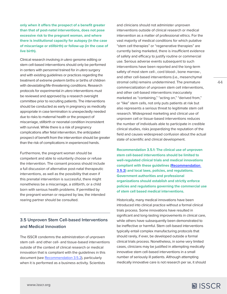**only when it offers the prospect of a benefit greater than that of post-natal interventions, does not pose excessive risk to the pregnant woman, and where there is institutional capacity for autopsy (in the case of miscarriage or stillbirth) or follow-up (in the case of live birth).** 

Clinical research involving *in utero* genome editing or stem cell-based interventions should only be performed in centers with personnel trained for *in utero* surgery and with existing guidelines or practices regarding the treatment of extreme preterm births or births of children with devastating/life-threatening conditions. Research protocols for experimental *in utero* interventions must be reviewed and approved by a research oversight committee prior to recruiting patients. The interventions should be conducted as early in pregnancy as medically appropriate in case termination is unexpectedly needed due to risks to maternal health or the prospect of miscarriage, stillbirth or neonatal condition inconsistent with survival. While there is a risk of pregnancy complications after fetal intervention, the anticipated prospect of benefit from the intervention should be greater than the risk of complications in experienced hands.

Furthermore, the pregnant woman should be competent and able to voluntarily choose or refuse the intervention. The consent process should include a full discussion of alternative post-natal therapeutic interventions, as well as the possibility that even if this prenatal intervention is successful, there might nonetheless be a miscarriage, a stillbirth, or a child born with serious health problems. If permitted by the pregnant woman or required by law, the intended rearing partner should be consulted.

# **3.5 Unproven Stem Cell-based Interventions and Medical Innovation**

The ISSCR condemns the administration of unproven stem cell- and other cell- and tissue-based interventions outside of the context of clinical research or medical innovation that is compliant with the guidelines in this document (see [Recommendation 3.5.2\)](#page-44-0), particularly when it is performed as a business activity. Scientists

and clinicians should not administer unproven interventions outside of clinical research or medical intervention as a matter of professional ethics. For the vast majority of medical conditions for which putative "stem cell therapies" or "regenerative therapies" are currently being marketed, there is insufficient evidence of safety and efficacy to justify routine or commercial use. Serious adverse events subsequent to such interventions have been reported and the long-term safety of most stem cell-, cord blood-, bone marrow-, and other cell-based interventions (i.e., mesenchymal stromal cells) remains undetermined. The premature commercialization of unproven stem cell interventions, and other cell-based interventions inaccurately marketed as "containing," "acting on," "derived from," or "like" stem cells, not only puts patients at risk but also represents a serious threat to legitimate stem cell research. Widespread marketing and clinical use of unproven cell or tissue-based interventions reduces the number of individuals able to participate in credible clinical studies, risks jeopardizing the reputation of the field and causes widespread confusion about the actual state of scientific and clinical development.

**Recommendation 3.5.1: The clinical use of unproven stem cell-based interventions should be limited to well-regulated clinical trials and medical innovations compliant with these guidelines ([Recommendation](#page-44-0)  [3.5.2](#page-44-0)) and local laws, policies, and regulations. Government authorities and professional organizations should establish and strictly enforce policies and regulations governing the commercial use of stem cell based medical interventions.**

Historically, many medical innovations have been introduced into clinical practice without a formal clinical trials process. Some innovations have resulted in significant and long-lasting improvements in clinical care, while others have subsequently been demonstrated to be ineffective or harmful. Stem cell-based interventions typically entail complex manufacturing protocols that should rarely, if ever, be developed outside a formal clinical trials process. Nonetheless, in some very limited cases, clinicians may be justified in attempting medically innovative stem cell-based interventions in a small number of seriously ill patients. Although attempting medically innovative care is not research per se, it should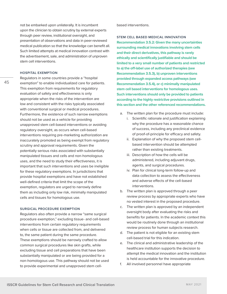<span id="page-44-0"></span>not be embarked upon unilaterally. It is incumbent upon the clinician to obtain scrutiny by external experts through peer review, institutional oversight, and presentation of observations and data in peer-reviewed medical publication so that the knowledge can benefit all. Such limited attempts at medical innovation contrast with the advertisement, sale, and administration of unproven stem cell interventions.

#### **HOSPITAL EXEMPTION**

Regulators in some countries provide a "hospital exemption" to enable individualized care for patients. This exemption from requirements for regulatory evaluation of safety and effectiveness is only appropriate when the risks of the intervention are low and consistent with the risks typically associated with conventional surgical or medical procedures. Furthermore, the existence of such narrow exemptions should not be used as a vehicle for providing unapproved stem cell-based interventions or avoiding regulatory oversight, as occurs when cell-based interventions requiring pre-marketing authorization are inaccurately promoted as being exempt from regulatory scrutiny and approval requirements. Given the potentially serious risks associated with substantially manipulated tissues and cells and non-homologous uses, and the need to study their effectiveness, it is important that such interventions and uses be ineligible for these regulatory exemptions. In jurisdictions that provide hospital exemptions and have not established well-defined criteria that limit the scope of the exemption, regulators are urged to narrowly define them as including only low risk, minimally manipulated cells and tissues for homologous use.

### **SURGICAL PROCEDURE EXEMPTION**

Regulators also often provide a narrow "same surgical procedure exemption," excluding tissue- and cell-based interventions from certain regulatory requirements when cells or tissue are collected from, and delivered to, the same patient during the same procedure. These exemptions should be narrowly crafted to allow common surgical procedures like skin grafts, while excluding tissue and cell preparations that have been substantially manipulated or are being provided for a non-homologous use. This pathway should not be used to provide experimental and unapproved stem cellbased interventions.

**STEM CELL BASED MEDICAL INNOVATION Recommendation 3.5.2: Given the many uncertainties surrounding medical innovations involving stem cells and their direct derivatives, this pathway is rarely ethically and scientifically justifiable and should be limited to a very small number of patients and restricted to a) the off-label use of authorized therapies (see Recommendation 3.5.3), b) unproven interventions provided through expanded access pathways (see Recommendation 3.5.4), or c) minimally manipulated stem cell based interventions for homologous uses. Such interventions should only be provided to patients according to the highly restrictive provisions outlined in this section and the other referenced recommendations.**

- a. The written plan for the procedure must include:
	- i. Scientific rationale and justification explaining why the procedure has a reasonable chance of success, including any preclinical evidence of proof-of-principle for efficacy and safety.
	- ii. Explanation of why the proposed stem cellbased intervention should be attempted rather than existing treatments.
	- iii. Description of how the cells will be administered, including adjuvant drugs, agents, and surgical procedures.
	- iv. Plan for clinical long-term follow-up and data collection to assess the effectiveness and adverse effects of the cell-based interventions.
- b. The written plan is approved through a peer review process by appropriate experts who have no vested interest in the proposed procedure.
- c. The written plan is approved by an independent oversight body after evaluating the risks and benefits for patients. In the academic context this would be routinely done through an institutional review process for human subjects research.
- d. The patient is not eligible for an existing stem cell-based trial for this indication.
- e. The clinical and administrative leadership of the healthcare institution supports the decision to attempt the medical innovation and the institution is held accountable for the innovative procedure.
- f. All involved personnel have appropriate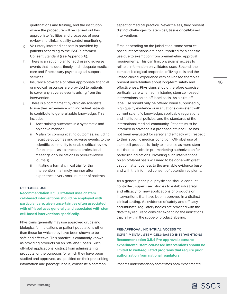qualifications and training, and the institution where the procedure will be carried out has appropriate facilities and processes of peer review and clinical quality control monitoring.

- g. Voluntary informed consent is provided by patients according to the ISSCR Informed Consent Standard (see Appendix 6).
- h. There is an action plan for addressing adverse events that includes timely and adequate medical care and if necessary psychological support services.
- i. Insurance coverage or other appropriate financial or medical resources are provided to patients to cover any adverse events arising from the intervention.
- j. There is a commitment by clinician-scientists to use their experience with individual patients to contribute to generalizable knowledge. This includes:
	- i. Ascertaining outcomes in a systematic and objective manner
	- ii. A plan for communicating outcomes, including negative outcomes and adverse events, to the scientific community to enable critical review (for example, as abstracts to professional meetings or publications in peer-reviewed journals).
	- iii. Initiating a formal clinical trial for the intervention in a timely manner after experience a very small number of patients.

# **OFF-LABEL USE**

**Recommendation 3.5.3 Off-label uses of stem cell-based interventions should be employed with particular care, given uncertainties often associated with off-label uses generally and associated with stem cell-based interventions specifically.**

Physicians generally may use approved drugs and biologics for indications or patient populations other than those for which they have been shown to be safe and effective. This practice is commonly known as providing products on an "off-label" basis. Such off-label applications, distinct from administering products for the purposes for which they have been studied and approved, as specified on their prescribing information and package labels, constitute a common

aspect of medical practice. Nevertheless, they present distinct challenges for stem cell, tissue or cell-based interventions.

First, depending on the jurisdiction, some stem cellbased interventions are not authorized for a specific use due to exemption from premarketing approval requirements. This can limit physicians' access to reliable information on validated uses. Second, the complex biological properties of living cells and the limited clinical experience with cell-based therapies present uncertainties about long-term safety and effectiveness. Physicians should therefore exercise particular care when administering stem cell-based interventions on an off-label basis. As a rule, offlabel use should only be offered when supported by high quality evidence or in situations consistent with current scientific knowledge, applicable regulations and institutional policies, and the standards of the international medical community. Patients must be informed in advance if a proposed off-label use has not been evaluated for safety and efficacy with respect to their specific medical condition. Off-label use of stem cell products is likely to increase as more stem cell therapies obtain pre-marketing authorization for particular indications. Providing such interventions on an off-label basis will need to be done with great caution, attentiveness to the available evidence base, and with the informed consent of potential recipients.

As a general principle, physicians should conduct controlled, supervised studies to establish safety and efficacy for new applications of products or interventions that have been approved in a distinct clinical setting. As evidence of safety and efficacy accumulates, regulatory bodies are provided with the data they require to consider expanding the indications that fall within the scope of product labeling.

**PRE-APPROVAL NON-TRIAL ACCESS TO EXPERIMENTAL STEM CELL-BASED INTERVENTIONS Recommendation 3.5.4 Pre-approval access to experimental stem cell-based interventions should be limited to well-regulated programs that require prior authorization from national regulators.**

Patients understandably sometimes seek experimental

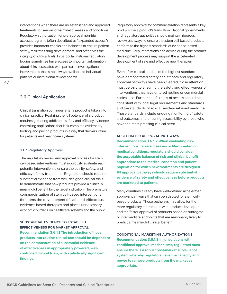interventions when there are no established and approved treatments for serious or terminal diseases and conditions. Regulatory authorization for pre-approval non-trial access programs (often described as "expanded access") provides important checks and balances to ensure patient safety, facilitates drug development, and preserves the integrity of clinical trials. In particular, national regulatory bodies sometimes have access to important information about risks associated with particular investigational interventions that is not always available to individual patients or institutional review boards.

# **3.6 Clinical Application**

Clinical translation continues after a product is taken into clinical practice. Realizing the full potential of a product requires gathering additional safety and efficacy evidence, controlling applications that lack complete evidentiary footing, and pricing products in a way that delivers value for patients and healthcare systems.

## **3.6.1 Regulatory Approval**

The regulatory review and approval process for stem cell-based interventions must rigorously evaluate each potential intervention to ensure the quality, safety, and efficacy of new treatments. Regulators should require substantial evidence from well-designed clinical trials to demonstrate that new products provide a clinically meaningful benefit for the target indication. The premature commercialization of stem cell-based interventions threatens the development of safe and efficacious evidence-based therapies and places unnecessary economic burdens on healthcare systems and the public.

**SUBSTANTIAL EVIDENCE TO ESTABLISH EFFECTIVENESS FOR MARKET APPROVAL Recommendation 3.6.1.1 The introduction of novel products into routine clinical use should be dependent on the demonstration of substantial evidence of effectiveness in appropriately powered, wellcontrolled clinical trials, with statistically significant findings.**

Regulatory approval for commercialization represents a key pivot point in a product's translation. National governments and regulatory authorities should maintain rigorous review pathways to ensure that stem cell-based products conform to the highest standards of evidence-based medicine. Early interactions and advice during the product development process may support the accelerated development of safe and effective new therapies.

Even after clinical studies of the highest standard have demonstrated safety and efficacy and regulatory approval pathways have been cleared, close attention must be paid to ensuring the safety and effectiveness of interventions that have entered routine or commercial clinical use. Further, the fairness of access should be consistent with local legal requirements and standards and the standards of ethical, evidence-based medicine. These standards include ongoing monitoring of safety and outcomes and ensuring accessibility by those who have the most pressing clinical need.

**ACCELERATED APPROVAL PATHWAYS Recommendation 3.6.1.2 When evaluating new interventions for rare diseases or life-threatening medical conditions, regulators should consider the acceptable balance of risk and clinical benefit appropriate to the medical condition and patient population for which new treatments are designed. All approval pathways should require substantial evidence of safety and effectiveness before products are marketed to patients.** 

Many countries already have well-defined accelerated approval pathways that can be adapted for stem cellbased products. These pathways may allow for the more regulatory interactions with product developers and the faster approval of products based on surrogate or intermediate endpoints that are reasonably likely to predict a meaningful clinical benefit.

**CONDITIONAL MARKETING AUTHORIZATIONS Recommendation: 3.6.1.3 In jurisdictions with conditional approval mechanisms, regulators must ensure there is a robust post-market surveillance system whereby regulators have the capacity and power to remove products from the market as appropriate.**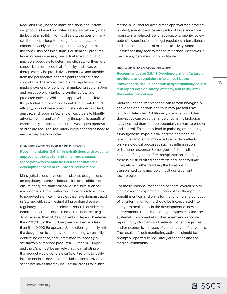Regulators may need to make decisions about stem cell products based on limited safety and efficacy data (Bubela et al 2015). In terms of safety, the goal of many cell therapies is long-term engraftment, thus, side effects may only become apparent many years after the conclusion of clinical trials. For stem cell products targeting rare diseases, clinical trial size and duration may be inadequate to determine efficacy. Furthermore, randomized controlled trials for risky and invasive therapies may be prohibitively expensive and unethical from the perspective of participants enrolled in the control arm. Therefore, international regulators have made provisions for conditional marketing authorization and post approval studies to confirm safety and predicted efficacy. While post approval studies have the potential to provide additional data on safety and efficacy, product developers must continue to collect, analyze, and report safety and efficacy data to identify adverse events and confirm any therapeutic benefit of conditionally authorized products. When post approval studies are required, regulatory oversight bodies need to ensure they are conducted.

# **CONSIDERATIONS FOR RARE DISEASES Recommendation 3.6.1.4 In jurisdictions with existing approval pathways for orphan or rare diseases, those pathways should be used to facilitate the development of stem cell-based interventions.**

Many jurisdictions have orphan disease designations for regulatory approval, because it is often difficult to ensure adequate statistical power in clinical trials for rare diseases. These pathways may accelerate access to approved stem cell therapies that have demonstrated safety and efficacy. In establishing orphan disease regulatory standards, jurisdictions should consider: the definition of orphan disease based on incidence (e.g., Japan—fewer than 50,000 patients in Japan; US—fewer than 200,000 in the US; Europe—prevalence is less than 5 in 10,000 Europeans). Jurisdictions generally limit the designation to serious, life-threatening, chronically debilitating disease, and unmet medical needs (no satisfactory authorized products). Further, in Europe and the US, it must be unlikely that the marketing of the product would generate sufficient returns to justify investment in its development. Jurisdictions provide a set of incentives that may include: tax credits for clinical

testing, a voucher for accelerated approval for a different product, scientific advice and protocol assistance from regulators, a reduced fee for applications, priority review, potential coordination amongst regulators, internationally and extended periods of market exclusivity. Some jurisdictions may seek to recapture financial incentives if the therapy becomes highly profitable.

### **BIO- AND PHARMACOVIGILANCE**

**Recommendation 3.6.1.5 Developers, manufacturers, providers, and regulators of stem cell-based interventions should continue to systematically collect and report data on safety, efficacy, and utility after they enter clinical use.**

Stem cell-based interventions can remain biologically active for long periods and thus may present risks with long latencies. Additionally, stem cells and their derivatives can exhibit a range of dynamic biological activities and therefore be potentially difficult to predict and control. These may lead to pathologies including tumorigenesis, hyperplasia, and the secretion of bioactive factors that may exert secondary effects on physiological processes such as inflammation or immune response. Some types of stem cells are capable of migration after transplantation, meaning there is a risk of off-target effects and inappropriate integration. Further, tracking the locations of transplanted cells may be difficult using current technologies.

For these reasons, monitoring patients' overall health status over the expected duration of the therapeutic benefit is critical and plans for the funding and conduct of long-term monitoring should be incorporated into study protocols early in the development of new interventions. These monitoring activities may include systematic post-market studies, event and outcome reporting by clinicians and patients, patient registries, and/or economic analyses of comparative effectiveness. The results of such monitoring activities should be promptly reported to regulatory authorities and the medical community.

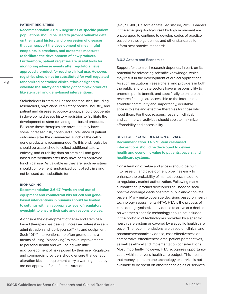## **PATIENT REGISTRIES**

**Recommendation 3.6.1.6 Registries of specific patient populations should be used to provide valuable data on the natural history and progression of diseases that can support the development of meaningful endpoints, biomarkers, and outcomes measures to facilitate the development of new products. Furthermore, patient registries are useful tools for monitoring adverse events after regulators have approved a product for routine clinical use. However, registries should not be substituted for well-regulated randomized controlled clinical trials designed to evaluate the safety and efficacy of complex products like stem cell and gene-based interventions.** 

Stakeholders in stem cell-based therapeutics, including researchers, physicians, regulatory bodies, industry, and patient and disease advocacy groups, should cooperate in developing disease history registries to facilitate the development of stem cell and gene-based products. Because these therapies are novel and may have some increased risk, continued surveillance of patient outcomes after the commercial launch of the cell or gene products is recommended. To this end, registries should be established to collect additional safety, efficacy, and durability data on stem cell and genebased interventions after they have been approved for clinical use. As valuable as they are, such registries should complement randomized controlled trials and not be used as a substitute for them.

#### **BIOHACKING**

**Recommendation 3.6.1.7 Provision and use of equipment and commercial kits for cell and genebased interventions in humans should be limited to settings with an appropriate level of regulatory oversight to ensure their safe and responsible use.** 

Alongside the development of gene- and stem cellbased therapies has been an increased interest in selfadministration and 'do-it-yourself' kits and equipment. Such "DIY" interventions are often promoted as a means of using "biohacking" to make improvements to personal health and well-being with little acknowledgment of risks posed by their use. Regulators and commercial providers should ensure that genetic alteration kits and equipment carry a warning that they are not approved for self-administration

(e.g., SB-180, California State Legislature, 2019). Leaders in the emerging do-it-yourself biology movement are encouraged to continue to develop codes of practice based on these guidelines and other standards to inform best practice standards.

#### **3.6.2 Access and Economics**

Support for stem cell research depends, in part, on its potential for advancing scientific knowledge, which may result in the development of clinical applications. As such, institutions, researchers, and providers in both the public and private sectors have a responsibility to promote public benefit, and specifically to ensure that research findings are accessible to the international scientific community and, importantly, equitable access to safe and effective therapies for those who need them. For these reasons, research, clinical, and commercial activities should seek to maximize affordability and accessibility.

# **DEVELOPER CONSIDERATION OF VALUE Recommendation 3.6.2.1: Stem cell-based interventions should be developed to deliver health and economic value to patients, payers, and healthcare systems.**

Consideration of value and access should be built into research and development pipelines early to enhance the probability of market access in addition to regulatory market authorization. Following market authorization, product developers still need to seek positive coverage decisions from public and/or private payers. Many make coverage decisions based on health technology assessments (HTA). HTA is the process of considering synthesized evidence to arrive at a decision on whether a specific technology should be included in the portfolio of technologies provided by a specific health care system or covered by a specific health care payer. The recommendations are based on clinical and pharmacoeconomic evidence, cost-effectiveness or comparative-effectiveness data, patient perspectives, as well as ethical and implementation considerations. Most importantly, however, HTA recognizes opportunity costs within a payer's health care budget. This means that money spent on one technology or service is not available to be spent on other technologies or services.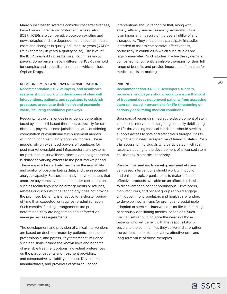Many public health systems consider cost effectiveness, based on an incremental cost-effectiveness ratio (ICER). ICERs are comparative between existing and new therapies and are dependent on direct healthcare costs and changes in quality-adjusted life years (QALYs: life expectancy in years X quality of life). The level of the ICER threshold varies between countries and/or payers. Some payers have a differential ICER threshold for complex and specialist health care, which include Orphan Drugs.

**REIMBURSEMENT AND PAYER CONSIDERATIONS Recommendation 3.6.2.2: Payers, and healthcare systems should work with developers of stem cell interventions, patients, and regulators to establish processes to evaluate their health and economic value, including conditional pathways.**

Recognizing the challenges in evidence generation faced by stem cell-based therapies, especially for rare diseases, payers in some jurisdictions are considering coordination of conditional reimbursement models with conditional regulatory approval models. These models rely on expanded powers of regulators for post-market oversight and infrastructure and systems for post-market surveillance, since evidence generation is shifted to varying extents to the post-market period. These approaches will rely heavily on the availability and quality of post-marketing data, and the associated analytic capacity. Further, alternative payment plans that amortize payments over time are under consideration, such as technology leasing arrangements or refunds, rebates or discounts if the technology does not provide the promised benefits, is effective for a shorter periodof-time than expected, or requires re-administration. Such complex funding arrangements are predetermined; they are negotiated and enforced via managed access agreements.

The development and provision of clinical interventions are based on decisions made by patients, healthcare professionals, and payers. Key factors that influence such decisions include the known risks and benefits of available treatment options, individual preferences on the part of patients and treatment providers, and comparative availability and cost. Developers, manufacturers, and providers of stem cell-based

interventions should recognize that, along with safety, efficacy, and accessibility, economic value is an important measure of the overall utility of any therapeutic. They should thus participate in studies intended to assess comparative effectiveness, particularly in countries in which such studies are legally mandated. Such studies involve the systematic comparison of currently available therapies for their full range of benefits and provide important information for medical decision-making.

## **PRICING**

**Recommendation 3.6.2.3: Developers, funders, providers, and payers should work to ensure that cost of treatment does not prevent patients from accessing stem cell-based interventions for life-threatening or seriously debilitating medical conditions.**

Sponsors of research aimed at the development of stem cell-based interventions targeting seriously debilitating or life-threatening medical conditions should seek to support access to safe and efficacious therapeutics to any patient in need, irrespective of financial status. Posttrial access for individuals who participated in clinical research leading to the development of a licensed stem cell therapy is a particular priority.

Private firms seeking to develop and market stem cell-based interventions should work with public and philanthropic organizations to make safe and effective products available on an affordable basis to disadvantaged patient populations. Developers, manufacturers, and patient groups should engage with government regulators and health care funders to develop mechanisms for prompt and sustainable adoption of stem cell interventions for life-threatening or seriously debilitating medical conditions. Such mechanisms should balance the needs of those patients who will benefit with the responsibility of payers to the communities they serve and strengthen the evidence base for the safety, effectiveness, and long-term value of those therapies.

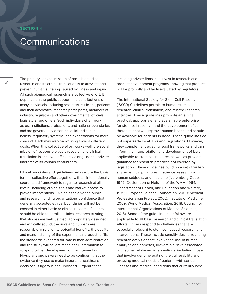## <span id="page-50-0"></span>**SECTION 4**

# Communications

51

The primary societal mission of basic biomedical research and its clinical translation is to alleviate and prevent human suffering caused by illness and injury. All such biomedical research is a collective effort. It depends on the public support and contributions of many individuals, including scientists, clinicians, patients and their advocates, research participants, members of industry, regulators and other governmental officials, legislators, and others. Such individuals often work across institutions, professions, and national boundaries and are governed by different social and cultural beliefs, regulatory systems, and expectations for moral conduct. Each may also be working toward different goals. When this collective effort works well, the social mission of responsible basic research and clinical translation is achieved efficiently alongside the private interests of its various contributors.

Ethical principles and guidelines help secure the basis for this collective effort together with an internationally coordinated framework to regulate research at all levels, including clinical trials and market access to proven interventions. This helps to give the public and research funding organizations confidence that generally accepted ethical boundaries will not be crossed in either basic or clinical research. Patients should be able to enroll in clinical research trusting that studies are well justified, appropriately designed and ethically sound, the risks and burdens are reasonable in relation to potential benefits, the quality and manufacturing of the experimental product fulfills the standards expected for safe human administration, and the study will collect meaningful information to support further development of the intervention. Physicians and payers need to be confident that the evidence they use to make important healthcare decisions is rigorous and unbiased. Organizations,

including private firms, can invest in research and product development programs knowing that products will be promptly and fairly evaluated by regulators.

The International Society for Stem Cell Research (ISSCR) Guidelines pertain to human stem cell research, clinical translation, and related research activities. These guidelines promote an ethical, practical, appropriate, and sustainable enterprise for stem cell research and the development of cell therapies that will improve human health and should be available for patients in need. These guidelines do not supersede local laws and regulations. However, they complement existing legal frameworks and can inform the interpretation and development of laws applicable to stem cell research as well as provide guidance for research practices not covered by legislation. These guidelines build on a set of widely shared ethical principles in science, research with human subjects, and medicine (Nuremberg Code, 1949; Decleration of Helsinki of the WMA, 1964; Department of Health, and Education and Welfare, 1979; European Science Foundation, 2000; Medical Professionalism Project, 2002; Institute of Medicine, 2009; World Medical Association, 2018; Council for International Organizations of Medical Sciences, 2016). Some of the guidelines that follow are applicable to all basic research and clinical translation efforts. Others respond to challenges that are especially relevant to stem cell-based research and interventions. These include sensitivities surrounding research activities that involve the use of human embryos and gametes, irreversible risks associated with some cell-based interventions, including those that involve genome editing, the vulnerability and pressing medical needs of patients with serious illnesses and medical conditions that currently lack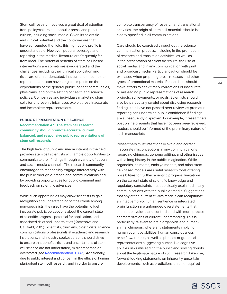Stem cell research receives a great deal of attention from policymakers, the popular press, and popular culture, including social media. Given its scientific and clinical potential and the controversies that have surrounded the field, this high public profile is understandable. However, popular coverage and reporting in the medical literature are frequently far from ideal. The potential benefits of stem cell-based interventions are sometimes exaggerated and the challenges, including their clinical application and risks, are often understated. Inaccurate or incomplete representations can have tangible impacts on the expectations of the general public, patient communities, physicians, and on the setting of health and science policies. Companies and individuals marketing stem cells for unproven clinical uses exploit those inaccurate and incomplete representations.

# **PUBLIC REPRESENTATION OF SCIENCE Recommendation 4.1: The stem cell research community should promote accurate, current, balanced, and responsive public representations of stem cell research.**

The high level of public and media interest in the field provides stem cell scientists with ample opportunities to communicate their findings through a variety of popular and social media channels. The research community is encouraged to responsibly engage interactively with the public through outreach and communications and by providing opportunities for public comment and feedback on scientific advances.

While such opportunities may allow scientists to gain recognition and understanding for their work among non-specialists, they also have the potential to fuel inaccurate public perceptions about the current state of scientific progress, potential for application, and associated risks and uncertainties (Kamenova and Caulfield, 2015). Scientists, clinicians, bioethicists, science communications professionals at academic and research institutions, and industry spokespersons should strive to ensure that benefits, risks, and uncertainties of stem cell science are not understated, misrepresented or overstated (see [Recommendation 3.3.4.1](#page-31-0)). Additionally, due to public interest and concern in the ethics of human pluripotent stem cell research, and in order to ensure

complete transparency of research and translational activities, the origin of stem cell materials should be clearly specified in all communications.

Care should be exercised throughout the science communication process, including in the promotion of research and translation activities, as well as in the presentation of scientific results, the use of social media, and in any communication with print and broadcast media. Particular caution should be exercised when preparing press releases and other types of promotional material. Researchers should make efforts to seek timely corrections of inaccurate or misleading public representations of research projects, achievements, or goals. Scientists should also be particularly careful about disclosing research findings that have not passed peer review, as premature reporting can undermine public confidence if findings are subsequently disproven. For example, if researchers post online preprints that have not been peer-reviewed, readers should be informed of the preliminary nature of such manuscripts.

Researchers must intentionally avoid and correct inaccurate misconceptions in any communications regarding chimeras, genome editing, and other issues with a long history in the public imagination. While organoids, chimeras, embryo models, and other stem cell-based models are useful research tools offering possibilities for further scientific progress, limitations on the current state of scientific knowledge and regulatory constraints must be clearly explained in any communications with the public or media. Suggestions that any of the current *in vitro* models can recapitulate an intact embryo, human sentience or integrated brain function are unfounded overstatements that should be avoided and contradicted with more precise characterizations of current understanding. This is particularly relevant to brain organoids and humananimal chimeras, where any statements implying human cognitive abilities, human consciousness or self-awareness, as well as phrases or graphical representations suggesting human-like cognitive abilities risks misleading the public and sowing doubts about the legitimate nature of such research. Likewise, forward-looking statements on inherently uncertain developments, such as predictions on time required

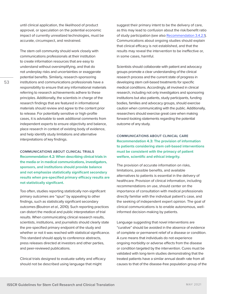until clinical application, the likelihood of product approval, or speculation on the potential economic impact of currently unrealized technologies, must be accurate, circumspect, and restrained.

The stem cell community should work closely with communications professionals at their institution to create information resources that are easy to understand without oversimplifying, and that do not underplay risks and uncertainties or exaggerate potential benefits. Similarly, research-sponsoring institutions and communications professionals have a responsibility to ensure that any informational materials referring to research achievements adhere to these principles. Additionally, the scientists in charge of the research findings that are featured in informational materials should review and agree to the content prior to release. For potentially sensitive or high-profile cases, it is advisable to seek additional comments from independent experts to ensure objectivity and balance, place research in context of existing body of evidence, and help identify study limitations and alternative interpretations of key findings.

**COMMUNICATIONS ABOUT CLINICAL TRIALS Recommendation 4.2: When describing clinical trials in the media or in medical communications, investigators, sponsors, and institutions should provide balance and not emphasize statistically significant secondary results when pre-specified primary efficacy results are not statistically significant.** 

Too often, studies reporting statistically non-significant primary outcomes are "spun" by appealing to other findings, such as statistically significant secondary outcomes (Boutron *et al.*, 2010). Such reporting practices can distort the medical and public interpretation of trial results. When communicating clinical research results, scientists, institutions, and journalists should clearly state the pre-specified primary endpoint of the study and whether or not it was reached with statistical significance. This standard should apply to conference abstracts, press releases directed at investors and other parties, and peer-reviewed publications.

Clinical trials designed to evaluate safety and efficacy should not be described using language that might

suggest their primary intent to be the delivery of care, as this may lead to confusion about the risk/benefit ratio of study participation (see also [Recommendation 3.4.2.1\)](#page-32-0). Communications about ongoing studies should explain that clinical efficacy is not established, and that the results may reveal the intervention to be ineffective or, in some cases, harmful.

Scientists should collaborate with patient and advocacy groups promote a clear understanding of the clinical research process and the current state of progress in developing stem cell-based treatments for specific medical conditions. Accordingly, all involved in clinical research, including not only investigators and sponsoring institutions but also patients, study participants, funding bodies, families and advocacy groups, should exercise caution when communicating with the public. Additionally, researchers should exercise great care when making forward-looking statements regarding the potential outcome of any study.

**COMMUNICATIONS ABOUT CLINICAL CARE Recommendation 4.3: The provision of information to patients considering stem cell-based interventions must be consistent with the primacy of patient welfare, scientific and ethical integrity.**

The provision of accurate information on risks, limitations, possible benefits, and available alternatives to patients is essential in the delivery of healthcare. Provision of clinical information, including recommendations on use, should center on the importance of consultation with medical professionals directly familiar with the individual patient's case, and the seeking of independent expert opinion. The goal of clinical communications is to enable autonomous, wellinformed decision-making by patients.

Language suggesting that novel interventions are "curative" should be avoided in the absence of evidence of complete or permanent relief of a disease or condition. A cure means that individuals do not experience ongoing morbidity or adverse effects from the disease or condition targeted by the intervention. Cures must be validated with long-term studies demonstrating that the treated patients have a similar annual death rate from all causes to that of the disease-free population group of the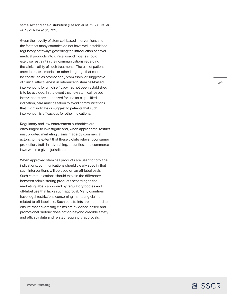same sex and age distribution (Easson *et al.*, 1963; Frei *et al.*, 1971; Ravi *et al.*, 2018).

Given the novelty of stem cell-based interventions and the fact that many countries do not have well-established regulatory pathways governing the introduction of novel medical products into clinical use, clinicians should exercise restraint in their communications regarding the clinical utility of such treatments. The use of patient anecdotes, testimonials or other language that could be construed as promotional, promissory, or suggestive of clinical effectiveness in reference to stem cell-based interventions for which efficacy has not been established is to be avoided. In the event that new stem cell-based interventions are authorized for use for a specified indication, care must be taken to avoid communications that might indicate or suggest to patients that such intervention is efficacious for other indications.

Regulatory and law enforcement authorities are encouraged to investigate and, when appropriate, restrict unsupported marketing claims made by commercial actors, to the extent that these violate relevant consumer protection, truth in advertising, securities, and commerce laws within a given jurisdiction.

When approved stem cell products are used for off-label indications, communications should clearly specify that such interventions will be used on an off-label basis. Such communications should explain the difference between administering products according to the marketing labels approved by regulatory bodies and off-label use that lacks such approval. Many countries have legal restrictions concerning marketing claims related to off-label use. Such constraints are intended to ensure that advertising claims are evidence-based and promotional rhetoric does not go beyond credible safety and efficacy data and related regulatory approvals.

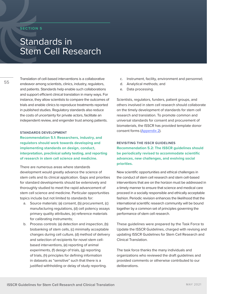# <span id="page-54-0"></span>**SECTION 5**

# Standards in Stem Cell Research

Translation of cell-based interventions is a collaborative endeavor among scientists, clinics, industry, regulators, and patients. Standards help enable such collaborations and support efficient clinical translation in many ways. For instance, they allow scientists to compare the outcomes of trials and enable clinics to reproduce treatments reported in published studies. Regulatory standards also reduce the costs of uncertainty for private actors, facilitate an independent review, and engender trust among patients.

## **STANDARDS DEVELOPMENT**

**Recommendation 5.1: Researchers, industry, and regulators should work towards developing and implementing standards on design, conduct, interpretation, preclinical safety testing, and reporting of research in stem cell science and medicine.**

There are numerous areas where standards development would greatly advance the science of stem cells and its clinical application. Gaps and priorities for standard developments should be extensively and thoroughly studied to meet the rapid advancement of stem cell science and medicine. Particular opportunities topics include but not limited to standards for:

- a. Source materials: (a) consent, (b) procurement, (c) manufacturing regulations, (d) cell potency assays primary quality attributes, (e) reference materials for calibrating instruments;
- b. Process controls: (a) detection and inspection, (b) biobanking of stem cells, (c) minimally acceptable changes during cell culture, (d) method of delivery and selection of recipients for novel stem cellbased interventions, (e) reporting of animal experiments, (f) design of trials, (g) reporting of trials, (h) principles for defining information in datasets as "sensitive" such that there is a justified withholding or delay of study reporting.
- c. Instrument, facility, environment and personnel;
- d. Analytical methods; and
- e. Data processing.

Scientists, regulators, funders, patient groups, and others involved in stem cell research should collaborate on the timely development of standards for stem cell research and translation. To promote common and universal standards for consent and procurement of biomaterials, the ISSCR has provided template donor consent forms [\(Appendix 2](#page-58-0)).

**REVISITING THE ISSCR GUIDELINES Recommendation 5.2: The ISSCR guidelines should be periodically revised to accommodate scientific advances, new challenges, and evolving social priorities.**

New scientific opportunities and ethical challenges in the conduct of stem cell research and stem cell-based interventions that are on the horizon must be addressed in a timely manner to ensure that science and medical care proceed in a socially responsible and ethically acceptable fashion. Periodic revision enhances the likelihood that the international scientific research community will be bound together by a common set of principles governing the performance of stem cell research.

These guidelines were prepared by the Task Force to Update the ISSCR Guidelines, charged with revising and updating ISSCR Guidelines for Stem Cell Research and Clinical Translation.

The task force thanks the many individuals and organizations who reviewed the draft guidelines and provided comments or otherwise contributed to our deliberations.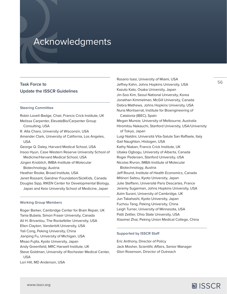# Acknowledgments

# **Task Force to Update the ISSCR Guidelines**

### **Steering Committee**

Robin Lovell-Badge, Chair, Francis Crick Institute, UK Melissa Carpenter, ElevateBio/Carpenter Group Consulting, USA R. Alta Charo, University of Wisconsin, USA Amander Clark, University of California, Los Angeles, USA George Q. Daley, Harvard Medical School, USA Insoo Hyun, Case Western Reserve University School of Medicine/Harvard Medical School, USA Jürgen Knoblich, IMBA-Institute of Molecular Biotechnology, Austria Heather Rooke, Broad Institute, USA Janet Rossant, Gairdner Foundation/SickKids, Canada Douglas Sipp, RIKEN Center for Developmental Biology, Japan and Keio University School of Medicine, Japan

#### **Working Group Members**

Roger Barker, Cambridge Center for Brain Repair, UK Tania Bubela, Simon Fraser University, Canada Ali H. Brivanlou, The Rockefeller University, USA Ellen Clayton, Vanderbilt University, USA Yali Cong, Peking University, China Jianping Fu, University of Michigan, USA Misao Fujita, Kyoto University, Japan Andy Greenfield, MRC Harwell Institute, UK Steve Goldman, University of Rochester Medical Center, USA Lori Hill, MD Anderson, USA

Rosario Isasi, University of Miami, USA Jeffrey Kahn, Johns Hopkins University, USA Kazuto Kato, Osaka University, Japan Jin-Soo Kim, Seoul National University, Korea Jonathan Kimmelman, McGill University, Canada Debra Mathews, Johns Hopkins University, USA Nuria Montserrat, Institute for Bioengineering of Catalonia (IBEC), Spain Megan Munsie, University of Melbourne, Australia Hiromitsu Nakauchi, Stanford University, USA/University of Tokyo, Japan Luigi Naldini, Università Vita-Salute San Raffaele, Italy Gail Naughton, Histogen, USA Kathy Niakan, Francis Crick Institute, UK Ubaka Ogbogu, University of Alberta, Canada Roger Pedersen, Stanford University, USA Nicolas Rivron, IMBA-Institute of Molecular Biotechnology, Austria Jeff Round, Institute of Health Economics, Canada Mitinori Saitou, Kyoto University, Japan Julie Steffann, Université Paris Descartes, France Jeremy Sugarman, Johns Hopkins University, USA Azim Surani, University of Cambridge, UK Jun Takahashi, Kyoto University, Japan Fuchou Tang, Peking University, China Leigh Turner, University of Minnesota, USA Patti Zettler, Ohio State University, USA Xiaomei Zhai, Peking Union Medical College, China

## **Supported by ISSCR Staff**

Eric Anthony, Director of Policy Jack Mosher, Scientific Affairs, Senior Manager Glori Rosenson, Director of Outreach

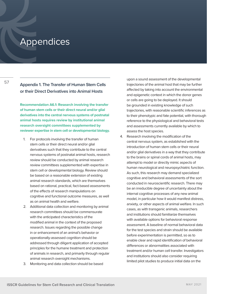# **Appendices**

57

# **Appendix 1. The Transfer of Human Stem Cells or their Direct Derivatives into Animal Hosts**

**Recommendation A6.1: Research involving the transfer of human stem cells or their direct neural and/or glial derivatives into the central nervous systems of postnatal animal hosts requires review by institutional animal research oversight committees supplemented by reviewer expertise in stem cell or developmental biology.**

- 1. For protocols involving the transfer of human stem cells or their direct neural and/or glial derivatives such that they contribute to the central nervous systems of postnatal animal hosts, research review should be conducted by animal research review committees supplemented with expertise in stem cell or developmental biology. Review should be based on a reasonable extension of existing animal research standards, which are themselves based on rational, practical, fact-based assessments of the effects of research manipulations on cognitive and functional outcome measures, as well as on animal health and welfare.
- 2. Additional data collection and monitoring by animal research committees should be commensurate with the anticipated characteristics of the modified animal in the context of the proposed research. Issues regarding the possible change in or enhancement of an animal's behavior or operationally-assessed cognition should be addressed through diligent application of accepted principles for the humane treatment and protection of animals in research, and primarily through regular animal research oversight mechanisms.
- 3. Monitoring and data collection should be based

upon a sound assessment of the developmental trajectories of the animal host that may be further affected by taking into account the environmental and epigenetic context in which the donor genes or cells are going to be deployed. It should be grounded in existing knowledge of such trajectories, with reasonable scientific inferences as to their phenotypic and fate potential, with thorough reference to the physiological and behavioral tests and assessments currently available by which to assess the host species.

4. Research involving the modification of the central nervous system, as established with the introduction of human stem cells or their neural and/or glial derivatives in a way that they contribute to the brains or spinal cords of animal hosts, may attempt to model or directly mimic aspects of human neurological and neuropsychiatric function. As such, this research may demand specialized cognitive and behavioral assessments of the sort conducted in neuroscientific research. There may be an irreducible degree of uncertainty about the internal cognitive processes of any new animal model, in particular how it would manifest distress, anxiety, or other aspects of animal welfare. In such cases, as with transgenic animals, researchers and institutions should familiarize themselves with available options for behavioral response assessment. A baseline of normal behavioral data for the test species and strain should be available before experimentation is permitted, so as to enable clear and rapid identification of behavioral differences or abnormalities associated with treatment and/or human cell transfer. Investigators and institutions should also consider requiring limited pilot studies to produce initial data on the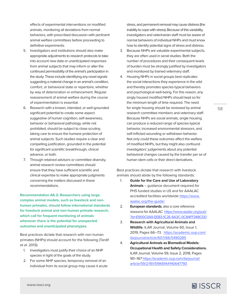effects of experimental interventions on modified animals, monitoring all deviations from normal behaviors, with prescribed discussion with pertinent animal welfare committees before proceeding to definitive experiments.

- 5. Investigators and institutions should also make appropriate adjustments to research protocols to take into account new data or unanticipated responses from animal subjects that may inform or alter the continued permissibility of the animal's participation in the study. These include identifying any novel signals suggesting a material change in an animal's condition, comfort, or behavioral state or repertoire, whether by way of deterioration or enhancement. Regular reassessment of animal welfare during the course of experimentation is essential.
- 6. Research with a known, intended, or well-grounded significant potential to create some aspect suggestive of human cognition, self-awareness, behavior or behavioral pathology, while not prohibited, should be subject to close scrutiny, taking care to ensure the humane protection of animal subjects. Such studies require a clear and compelling justification, grounded in the potential for significant scientific breakthrough, clinical advance, or both.
- 7. Through retained advisors or committee diversity, animal research review committees should ensure that they have sufficient scientific and clinical expertise to make appropriate judgments concerning the matters discussed in these recommendations.

**Recommendation A6.2: Researchers using large, complex animal models, such as livestock and nonhuman primates, should follow international standards for livestock animal and non-human primate research, which call for frequent monitoring of animals whenever there is the potential for unexpected outcomes and unanticipated phenotypes.** 

Best practices dictate that research with non-human primates (NHPs) should account for the following (Tardif *et al.* 2013):

- 1. Investigators must justify their choice of an NHP species in light of the goals of the study.
- 2. For some NHP species, temporary removal of an individual from its social group may cause it acute

stress, and permanent removal may cause distress (the inability to cope with stress). Because of this variability, investigators and veterinarian staff must be aware of normal behaviors of individual NHPs and must know how to identify potential signs of stress and distress.

- 3. Because NHPs are valuable experimental subjects, they are often used in serial studies. Both the number of procedures and their consequent levels of burden must be strongly justified by investigators and monitored by trained veterinary staff.
- 4. Housing NHPs in social groups best replicates the social interactions they experience in the wild and thereby promotes species-typical behaviors and psychological well-being. For this reason, any singly housed modified NHPs should kept so for the minimum length of time required. The need for single housing should be reviewed by animal research committee members and veterinary staff. Because NHPs are social animals, single housing can produce a reduced range of species-typical behavior, increased environmental stressors, and self-inflicted wounding or withdrawn behavior. Not only could these outcomes affect the welfare of modified NHPs, but they might also confound investigators' judgements about any potential behavioral changes caused by the transfer per se of human stem cells or their direct derivatives.

Best practices dictate that research with livestock animals should abide by the following standards:

- 1. **Guide for the Care and Use of Laboratory Animals** – guidance document required for PHS funded studies in US and for AAALAC accredited facilities worldwide [https://www.](https://www.aaalac.org/the-guide/) [aaalac.org/the-guide/](https://www.aaalac.org/the-guide/)
- 2. **European standards**, also a core reference resource for AAALAC [https://www.aaalac.org/pub/](https://www.aaalac.org/pub/?id=E900C0A9-EEB3-1C2E-6A3C-0C84FF348CDD) [?id=E900C0A9-EEB3-1C2E-6A3C-0C84FF348CDD](https://www.aaalac.org/pub/?id=E900C0A9-EEB3-1C2E-6A3C-0C84FF348CDD)
- 3. **Research with Agricultural Animals and Wildlife.** ILAR Journal, Volume 60, Issue 1, 2019, Pages 66–73. [https://academic.oup.com/](https://academic.oup.com/ilarjournal/article/60/1/66/5490285) [ilarjournal/article/60/1/66/5490285](https://academic.oup.com/ilarjournal/article/60/1/66/5490285)
- 4. **Agricultural Animals as Biomedical Models: Occupational Health and Safety Considerations.**  ILAR Journal, Volume 59, Issue 2, 2018, Pages 161–167 [https://academic.oup.com/ilarjournal/](https://academic.oup.com/ilarjournal/article/59/2/161/5196514#140647793) [article/59/2/161/5196514#140647793](https://academic.oup.com/ilarjournal/article/59/2/161/5196514#140647793)

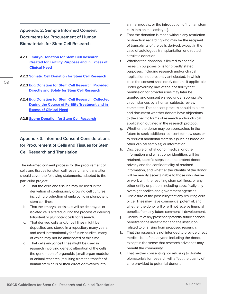<span id="page-58-0"></span>**Appendix 2. Sample Informed Consent Documents for Procurement of Human Biomaterials for Stem Cell Research**

- **A2.1 [Embryo Donation for Stem Cell Research;](https://www.isscr.org/docs/default-source/2021-guidelines-update/updated-2021-ic-embryo-donation-for-research.doc)  [Created for Fertility Purposes and in Excess of](https://www.isscr.org/docs/default-source/2021-guidelines-update/updated-2021-ic-embryo-donation-for-research.doc)  [Clinical Need](https://www.isscr.org/docs/default-source/2021-guidelines-update/updated-2021-ic-embryo-donation-for-research.doc)**
- **A2.2 [Somatic Cell Donation for Stem Cell Research](https://www.isscr.org/docs/default-source/2021-guidelines-update/updated-2021-ic-somatic-cell-donation-for-induced-pluripotent-stem-cell-research.doc)**
- **A2.3 [Egg Donation for Stem Cell Research; Provided](https://www.isscr.org/docs/default-source/2021-guidelines-update/updated-2021-ic-egg-procurement-for-research.doc)  [Directly and Solely for Stem Cell Research](https://www.isscr.org/docs/default-source/2021-guidelines-update/updated-2021-ic-egg-procurement-for-research.doc)**
- **A2.4 [Egg Donation for Stem Cell Research; Collected](https://www.isscr.org/docs/default-source/2021-guidelines-update/updated-2021-ic-egg-donation-for-research.doc)  [During the Course of Fertility Treatment and in](https://www.isscr.org/docs/default-source/2021-guidelines-update/updated-2021-ic-egg-donation-for-research.doc)  [Excess of Clinical Need](https://www.isscr.org/docs/default-source/2021-guidelines-update/updated-2021-ic-egg-donation-for-research.doc)**
- **A2.5 [Sperm Donation for Stem Cell Research](https://www.isscr.org/docs/default-source/2021-guidelines-update/updated-2021-ic-sperm-donation-for-research.doc)**

# **Appendix 3. Informed Consent Considerations for Procurement of Cells and Tissues for Stem Cell Research and Translation**

The informed consent process for the procurement of cells and tissues for stem cell research and translation should cover the following statements, adapted to the particular project:

- a. That the cells and tissues may be used in the derivation of continuously growing cell cultures, including production of embryonic or pluripotent stem cell lines.
- b. That the embryos or tissues will be destroyed, or isolated cells altered, during the process of deriving totipotent or pluripotent cells for research.
- c. That derived cells and/or cell lines might be deposited and stored in a repository many years and used internationally for future studies, many of which may not be anticipated at this time.
- d. That cells and/or cell lines might be used in research involving genetic alteration of the cells, the generation of organoids (small organ models) or animal research (resulting from the transfer of human stem cells or their direct derivatives into

animal models, or the introduction of human stem cells into animal embryos).

- e. That the donation is made without any restriction or direction regarding who may be the recipient of transplants of the cells derived, except in the case of autologous transplantation or directed altruistic donation.
- f. Whether the donation is limited to specific research purposes or is for broadly stated purposes, including research and/or clinical application not presently anticipated, in which case the consent shall notify donors, if applicable under governing law, of the possibility that permission for broader uses may later be granted and consent waived under appropriate circumstances by a human subjects review committee. The consent process should explore and document whether donors have objections to the specific forms of research and/or clinical application outlined in the research protocol.
- g. Whether the donor may be approached in the future to seek additional consent for new uses or to request additional materials (such as blood or other clinical samples) or information.
- h. Disclosure of what donor medical or other information and what donor identifiers will be retained, specific steps taken to protect donor privacy and the confidentiality of retained information, and whether the identity of the donor will be readily ascertainable to those who derive or work with the resulting stem cell lines, or any other entity or person, including specifically any oversight bodies and government agencies.
- i. Disclosure of the possibility that any resulting cells or cell lines may have commercial potential, and whether the donor will or will not receive financial benefits from any future commercial development.
- j. Disclosure of any present or potential future financial benefits to the investigator and the institution related to or arising from proposed research.
- k. That the research is not intended to provide direct medical benefit to anyone including the donor, except in the sense that research advances may benefit the community.
- l. That neither consenting nor refusing to donate biomaterials for research will affect the quality of care provided to potential donors.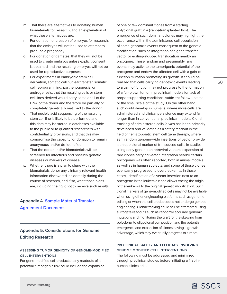- <span id="page-59-0"></span>m. That there are alternatives to donating human biomaterials for research, and an explanation of what these alternatives are.
- n. For donation or creation of embryos for research, that the embryos will not be used to attempt to produce a pregnancy.
- o. For donation of gametes, that they will not be used to create embryos unless explicit consent is obtained and the resulting embryos will not be used for reproductive purposes.
- p. For experiments in embryonic stem cell derivation, somatic cell nuclear transfer, somatic cell reprogramming, parthenogenesis, or androgenesis, that the resulting cells or stem cell lines derived would carry some or all of the DNA of the donor and therefore be partially or completely genetically matched to the donor.
- q. That nucleic acid sequencing of the resulting stem cell line is likely to be performed and this data may be stored in databases available to the public or to qualified researchers with confidentiality provisions, and that this may compromise the capacity for donation to remain anonymous and/or de-identified.
- r. That the donor and/or biomaterials will be screened for infectious and possibly genetic diseases or markers of disease.
- s. Whether there is a plan to share with the biomaterials donor any clinically relevant health information discovered incidentally during the course of research, and if so, what those plans are, including the right not to receive such results.

# **Appendix 4. [Sample Material Transfer](http://www.isscr.org/docs/default-source/guidelines/MTA.docx)  [Agreement Document](http://www.isscr.org/docs/default-source/guidelines/MTA.docx)**

# **Appendix 5. Considerations for Genome Editing Research**

# **ASSESSING TUMORIGENICITY OF GENOME-MODIFIED CELL INTERVENTIONS**

For gene-modified cell products early readouts of a potential tumorigenic risk could include the expansion of one or few dominant clones from a starting polyclonal graft in a (xeno)-transplanted host. The emergence of such dominant clones may highlight the occurrence within the administered cell population of some genotoxic events consequent to the genetic modification, such as integration of a gene transfer vector or editing-induced translocation nearby an oncogene. These random and presumably rare events may activate the tumorigenic potential of the oncogene and endow the affected cell with a gain-offunction mutation promoting its growth. It should be realized that cells carrying genotoxic events leading to a gain of function may not progress to the formation of a full-blown tumor in preclinical models for lack of proper supporting conditions, sufficient follow-up time or the small scale of the study. On the other hand, such could develop in humans, where more cells are administered and clinical persistence may extend far longer than in conventional preclinical models. Clonal tracking of administered cells *in vivo* has been primarily developed and validated as a safety readout in the field of hematopoietic stem cell gene therapy, where semirandom genome-wide insertions of vector provide a unique clonal marker of transduced cells. In studies using early generation retroviral vectors, expansion of rare clones carrying vector integration nearby certain oncogenes was often reported, both in animal models as well as in human subjects, and some of these clones eventually progressed to overt leukemia. In these cases, identification of a vector insertion next to an oncogene in the leukemic clone allows tracing the origin of the leukemia to the original genetic modification. Such clonal markers of gene-modified cells may not be available when using other engineering platforms such as genome editing or when the cell product does not undergo genetic engineering. Clonal tracking could still be attempted using surrogate readouts such as randomly acquired genomic mutations and monitoring the graft for the skewing from polyclonal to oligoclonal composition and the potential emergence and expansion of clones having a growth advantage, which may eventually progress to tumors.

# **PRECLINICAL SAFETY AND EFFICACY INVOLVING GENOME MODIFIED CELL INTERVENTIONS**

The following must be addressed and minimized through preclinical studies before initiating a first-inhuman clinical trial.

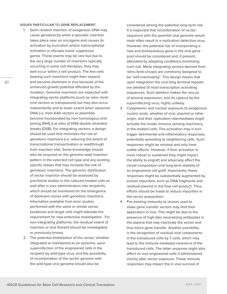## **ISSUES PARTICULAR TO GENE REPLACEMENT**

- 1. Semi-random insertion of exogenous DNA may cause genotoxicity when a sporadic insertion takes place near an oncogene and causes its activation by truncation and/or transcriptional activation or disrupts tumor suppressor genes. These events may be rare but due to the very large number of insertions typically occurring in some cell therapies, they may well occur within a cell product. The few cells bearing such insertions might then expand and become dominant in vivo because of the enhanced growth potential afforded by the mutation. Genome insertions are expected with integrating vector platforms (such as retro-/lentiviral vectors or transposons) but may also occur inadvertently and to lower extent when episomal DNA (i.e. from AAV vectors or plasmids) become incorporated by non-homologous end joining (NHEJ) at sites of DNA double-stranded breaks (DSB). For integrating vectors, a design should be used that minimizes the risk of genotoxic insertions (i.e. reducing the extent of transcriptional transactivation or readthrough from insertion site). Some knowledge should also be acquired on the genome-wide insertion pattern in the selected cell type and any existing specific biases that may increase the risk of genotoxic insertions. The genomic distribution of vector insertion should be assessed by preclinical studies in the cultured treated cells as well after in vivo administration into recipients, which should be monitored for the emergence of dominant clones with genotoxic insertions. Information available from prior studies performed with the same or similar vector backbone and target cells might alleviate the requirement for new extensive investigation. For non-integrating platforms, the residual extent of insertion or lack thereof should be investigated or previously known.
- 2. The potential mobilization of the vector, whether integrated or maintained as an episome, upon superinfection of the engineered cells in the recipient by wild-type virus, and the possibility of recombination of the vector genome with the wild-type viral genome should also be

considered among the potential long-term risk. It is expected that recombination of vector sequence with the parental viral genome would most often result in a replication-defective virus. However, the potential risk of incorporating a new and biohazardous gene in the viral gene pool should be considered and, if present, alleviated by adopting conditions minimizing such risk. Many integrating vectors derived from retro-/lenti-viruses are commonly designed to be "self-inactivating". This design means that upon integration the viral long terminal repeats are deleted of most transcription activating sequences. Such deletion makes the rescue of proviral expression, and its capture by the superinfecting virus, highly unlikely.

- 3. Cytoplasmic and nuclear exposure to exogenous nucleic acids, whether of viral, plasmid or other origin, and their replication intermediates might activate the innate immune sensing machinery in the treated cells. This activation may in turn trigger detrimental and inflammatory responses, potentially spreading to neighboring cells. Such responses might be minimal and only have subtle effects. However, if their activation is more robust or sustained they might impact the ability to engraft and adversely affect the clonal composition and long-term stability of an engineered cell graft. Importantly, these responses might be substantially augmented by excess impurities, such as DNA fragments and residual plasmid in the final cell product. Thus, efforts should be made to reduce impurities in the vector preparation.
- 4. Pre-existing immunity to viruses used to make gene transfer vectors may limit their application in vivo. This might be due to the presence of high-titer neutralizing antibodies in the plasma that may inactivate the vector and thus block gene transfer. Another possibility is the recognition of residual viral components in the transduced cells by T-cells, which may lead to the immune-mediated clearance of the transduced cells. The latter response might also affect ex vivo engineered cells if administered shortly after vector exposure. These immune responses may impact the in vivo survival of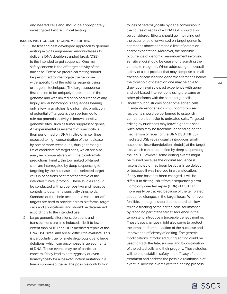engineered cells and should be appropriately investigated before clinical testing.

### **ISSUES PARTICULAR TO GENOME EDITING**

- 1. The first and best developed approach to genome editing exploits engineered endonucleases to deliver a DNA double-stranded break (DSB) to the intended target sequence. One main safety concern is the off-target activity of the nuclease. Extensive preclinical testing should be performed to interrogate the genomewide specificity of the editing reagents using orthogonal techniques. The target sequence is first chosen to be uniquely represented in the genome and with limited or no occurrence of any highly similar homologous sequences bearing only a few mismatches. Bioinformatic prediction of potential off targets is then performed to rule out potential activity in known sensitive genomic sites (such as tumor suppressor genes). An experimental assessment of specificity is then performed on DNA in vitro or in cell lines exposed to high concentration of the nuclease by one or more techniques, thus generating a list of candidate off-target sites, which are also analyzed comparatively with the bioinformatic predictions. Finally, the top ranked off-target sites are interrogated by deep sequencing for targeting by the nuclease in the selected target cells in conditions best representative of the intended clinical protocol. These studies should be conducted with proper positive and negative controls to determine sensitivity thresholds. Standard or threshold acceptance values for off targets are hard to provide across platforms, target cells and applications, and should be determined accordingly to the intended use.
- 2. Large genomic alterations, deletions and translocations are also induced, albeit to lower extent than NHEJ and HDR-mediated repair, at the DNA DSB sites, and are all difficult to evaluate. This is particularly true for allele drop-outs due to large deletions, which can encompass large segments of DNA. These events may be of particular concern if they lead to hemizygosity or even homozygosity for a loss-of-function mutation in a tumor suppressor gene. The possible contribution

to loss of heterozygosity by gene conversion in the course of repair of a DNA DSB should also be considered. Efforts should go into ruling out the occurrence of unwanted on-target genomic alterations above a threshold limit of detection and/or expectation. Moreover, the possible occurrence of genomic rearrangement involving sensitive loci should be cause for discarding the candidate reagents. When addressing the overall safety of a cell product that may comprise a small fraction of cells bearing genomic alterations below the threshold of detection one may be able to draw upon available past experience with geneand cell-based interventions using the same or other platforms with the same target cells.

3. Biodistribution studies of genome edited cells in suitable xenogeneic immunocompromised recipients should be performed to establish comparable behavior to untreated cells. Targeted editing by nucleases may leave a genetic scar. Such scars may be traceable, depending on the mechanism of repair of the DNA DSB. NHEJmediated DSB repair usually introduces small nucleotide insertion/deletions (indels) at the target site, which can be identified by deep sequencing the locus. However, some editing events might be missed because the original sequence is reconstituted or has been lost by a large deletion or because it was involved in a translocation. If only one base has been changed, it will be difficult to distinguish it from a sequencing error. Homology directed repair (HDR) of DSB can more easily be tracked because of the templated sequence changes in the target locus. Whenever feasible, strategies should be adopted to allow reliable tracking of the edited cells, for instance by recoding part of the target sequence in the template to introduce a traceable genetic marker. These base changes might also serve to protect the template from the action of the nuclease and improve the efficiency of editing. The genetic modifications introduced during editing could be used to track the fate, survival and biodistribution of the edited cells and their progeny. These studies will help to establish safety and efficacy of the treatment and address the possible relationship of eventual adverse events with the editing process

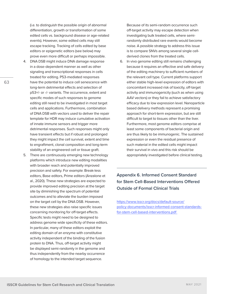(i.e. to distinguish the possible origin of abnormal differentiation, growth or transformation of some edited cells vs. background disease or age-related events). However, some edited cells may still escape tracking. Tracking of cells edited by base editors or epigenetic editors (see below) may prove even more difficult or perhaps impossible.

- 4. DNA DSB might induce DNA damage response in a dose-dependent manner as well as other signaling and transcriptional responses in cells treated for editing. P53-mediated responses have the potential to induce cell senescence with long-term detrimental effects and selection of p53+/- or -/- variants. The occurrence, extent and specific modes of such responses to genome editing still need to be investigated in most target cells and applications. Furthermore, combination of DNA DSB with vectors used to deliver the repair template for HDR may induce cumulative activation of innate immune sensors and trigger more detrimental responses. Such responses might only have transient effects but if robust and prolonged they might impact the cell survival, extent and time to engraftment, clonal composition and long-term stability of an engineered cell or tissue graft.
- 5. There are continuously emerging new technology platforms which introduce new editing modalities with broader reach and potentially improved precision and safety. For example: Break-less editors, Base editors, Prime editors (Anzalone et al., 2020). These new strategies are expected to provide improved editing precision at the target site by diminishing the spectrum of potential outcomes and to alleviate the burden imposed on the target cell by the DNA DSB. However, these new strategies also raise specific issues concerning monitoring for off-target effects. Specific tests might need to be designed to address genome wide specificity of these editors. In particular, many of these editors exploit the editing domain of an enzyme with constitutive activity independent of the binding of the fusion protein to DNA. Thus, off-target activity might be displayed semi-randomly in the genome and thus independently from the nearby occurrence of homology to the intended target sequence.

Because of its semi-random occurrence such off-target activity may escape detection when investigating bulk treated cells, where semirandomly distributed rare events would become noise. A possible strategy to address this issue is to compare SNVs among several single cellderived clones from the treated cells.

6. In vivo genome editing still remains challenging because it requires an effective and safe delivery of the editing machinery to sufficient numbers of the relevant cell type. Current platforms support either stable high-level expression of editors with concomitant increased risk of toxicity, off-target activity and immunogenicity (such as when using AAV vectors) or they fail to achieve satisfactory efficacy due to low expression level. Nanoparticle based delivery methods represent a promising approach for short-term expression, but are still difficult to target to tissues other than the liver. Furthermore, most genome editors comprise at least some components of bacterial origin and are thus likely to be immunogenic. The sustained expression or even the residual presence of such material in the edited cells might impact their survival in vivo and this risk should be appropriately investigated before clinical testing.

**Appendix 6. Informed Consent Standard for Stem Cell-Based Interventions Offered Outside of Formal Clinical Trials**

[https://www.isscr.org/docs/default-source/](https://www.isscr.org/docs/default-source/policy-documents/isscr-informed-consent-standards-for-stem-cell-based-interventions.pdf) [policy-documents/isscr-informed-consent-standards](https://www.isscr.org/docs/default-source/policy-documents/isscr-informed-consent-standards-for-stem-cell-based-interventions.pdf)[for-stem-cell-based-interventions.pdf](https://www.isscr.org/docs/default-source/policy-documents/isscr-informed-consent-standards-for-stem-cell-based-interventions.pdf)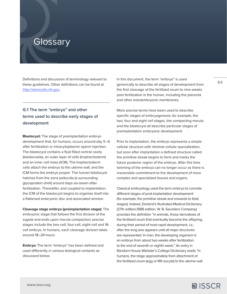# **Glossary**

Definitions and discussion of terminology relevant to these guidelines. Other definitions can be found at <http://stemcells.nih.gov>.

# **G.1 The term "embryo" and other terms used to describe early stages of development**

**Blastocyst:** The stage of preimplantation embryo development that, for humans, occurs around day 5–6 after fertilization or intracytoplasmic sperm injection. The blastocyst contains a fluid filled central cavity (blastocoele), an outer layer of cells (trophectoderm) and an inner cell mass (ICM). The trophectoderm cells attach the embryo to the uterine wall, and the ICM forms the embryo proper. The human blastocyst hatches from the zona pellucida (a surrounding glycoprotein shell) around days six-seven after fertilization. Thereafter, and coupled to implantation, the ICM of the blastocyst begins to organize itself into a flattened embryonic disc and associated amnion.

**Cleavage stage embryo (preimplantation stage):** The embryonic stage that follows the first division of the zygote and ends upon morula compaction; precise stages include the two-cell, four-cell, eight-cell and 16 cell embryo. In humans, each cleavage division takes around 18–24 hours.

**Embryo:** The term "embryo" has been defined and used differently in various biological contexts as discussed below.

In this document, the term "embryo" is used generically to describe all stages of development from the first cleavage of the fertilized ovum to nine weeks post fertilization in the human, including the placenta and other extraembryonic membranes.

More precise terms have been used to describe specific stages of embryogenesis; for example, the two, four and eight cell stages, the compacting morula and the blastocyst all describe particular stages of preimplantation embryonic development.

Prior to implantation, the embryo represents a simple cellular structure with minimal cellular specialization, but soon after implantation a defined structure called the primitive streak begins to form and marks the future posterior region of the embryo. After this time twinning of the embryo can no longer occur as there is irreversible commitment to the development of more complex and specialized tissues and organs.

Classical embryology used the term embryo to connote different stages of post-implantation development (for example, the primitive streak and onwards to fetal stages). Indeed, Dorland's Illustrated Medical Dictionary (27th edition,1988 edition, W. B. Saunders Company) provides the definition "in animals, those derivatives of the fertilized ovum that eventually become the offspring, during their period of most rapid development, i.e., after the long axis appears until all major structures are represented. In man, the developing organism is an embryo from about two weeks after fertilization to the end of seventh or eighth week." An entry in Random House Webster's College Dictionary reads "in humans, the stage approximately from attachment of the fertilized ovum (egg or MII oocyte) to the uterine wall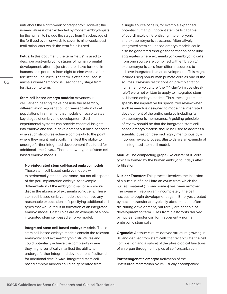until about the eighth week of pregnancy." However, the nomenclature is often extended by modern embryologists for the human to include the stages from first cleavage of the fertilized ovum onwards to seven to nine weeks post fertilization, after which the term fetus is used.

**Fetus:** In this document, the term "fetus" is used to describe post-embryonic stages of human prenatal development, after major structures have formed. In humans, this period is from eight to nine weeks after fertilization until birth. The term is often not used in animals where "embryo" is used for any stage from fertilization to term.

**Stem cell-based embryo models:** Advances in cellular engineering make possible the assembly, differentiation, aggregation, or re-association of cell populations in a manner that models or recapitulates key stages of embryonic development. Such experimental systems can provide essential insights into embryo and tissue development but raise concerns when such structures achieve complexity to the point where they might realistically manifest the ability to undergo further integrated development if cultured for additional time *in vitro.* There are two types of stem cellbased embryo models.

#### **Non-integrated stem cell-based embryo models:**

These stem cell-based embryo models will experimentally recapitulate some, but not all aspects of the peri-implantation embryo, for example differentiation of the embryonic sac or embryonic disc in the absence of extraembryonic cells. These stem cell-based embryo models do not have any reasonable expectations of specifying additional cell types that would result in formation of an integrated embryo model. Gastruloids are an example of a nonintegrated stem cell-based embryo model.

 **Integrated stem cell-based embryo models:** These stem cell-based embryo models contain the relevant embryonic and extra-embryonic structures and could potentially achieve the complexity where they might realistically manifest the ability to undergo further integrated development if cultured for additional time *in vitro*. Integrated stem cellbased embryo models could be generated from

a single source of cells, for example expanded potential human pluripotent stem cells capable of coordinately differentiating into embryonic and extraembryonic structures. Alternatively, integrated stem cell-based embryo models could also be generated through the formation of cellular aggregates where extraembryonic/embryonic cells from one source are combined with embryonic/ extraembryonic cells from different sources to achieve integrated human development. This might include using non-human primate cells as one of the sources. Previous restrictions on preimplantation human embryo culture (the "14-day/primitive streak rule") were not written to apply to integrated stem cell-based embryo models. Thus, these guidelines specify the imperative for specialized review when such research is designed to model the integrated development of the entire embryo including its extraembryonic membranes. A guiding principle of review should be that the integrated stem cellbased embryo models should be used to address a scientific question deemed highly meritorious by a rigorous review process. Blastoids are an example of an integrated stem cell model.

**Morula:** The compacting grape-like cluster of 16 cells, typically formed by the human embryo four days after fertilization.

**Nuclear Transfer:** This process involves the insertion of a nucleus of a cell into an ovum from which the nuclear material (chromosomes) has been removed. The ovum will reprogram (incompletely) the cell nucleus to begin development again. Embryos created by nuclear transfer are typically abnormal and often die during development, but rarely are capable of development to term. ICMs from blastocysts derived by nuclear transfer can form apparently normal embryonic stem cells.

**Organoid:** A tissue culture-derived structure growing in 3D and derived from stem cells that recapitulate the cell composition and a subset of the physiological functions of an organ through principles of self-organization.

**Parthenogenetic embryo:** Activation of the unfertilized mammalian ovum (usually accompanied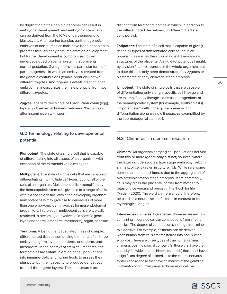by duplication of the haploid genome) can result in embryonic development, and embryonic stem cells can be derived from the ICMs of parthenogenetic blastocysts. After uterine transfer, parthenogenetic embryos of non-human animals have been observed to progress through early post-implantation development but further development is compromised by an underdeveloped placental system that prevents normal gestation. Gynogenesis is a particular form of parthenogenesis in which an embryo is created from the genetic contributions (female pronuclei) of two different zygotes. Androgenesis entails creation of an embryo that incorporates the male pronuclei from two different zygotes.

**Zygote:** The fertilized single cell pronuclear ovum (egg), typically observed in humans between 20–35 hours after insemination with sperm.

# **G.2 Terminology relating to developmental potential**

**Pluripotent:** The state of a single cell that is capable of differentiating into all tissues of an organism, with exception of the extraembryonic cell types.

**Multipotent:** The state of single cells that are capable of differentiating into multiple cell types, but not all of the cells of an organism. Multipotent cells, exemplified by the hematopoietic stem cell, give rise to a range of cells within a specific tissue. Within the developing organism multipotent cells may give rise to derivatives of more than one embryonic germ layer, as for mesendodermal progenitors. In the adult, multipotent cells are typically restricted to becoming derivatives of a specific germ layer (endoderm, ectoderm, mesoderm), organ, or tissue.

**Teratoma:** A benign, encapsulated mass of complex differentiated tissues comprising elements of all three embryonic germ layers: ectoderm, endoderm, and mesoderm. In the context of stem cell research, the teratoma assay entails injection of cell populations into immune-deficient murine hosts to assess their pluripotency (their capacity to produce derivatives from all three germ layers). These structures are

distinct from teratocarcinomas in which, in addition to the differentiated derivatives, undifferentiated stem cells persist.

**Totipotent:** The state of a cell that is capable of giving rise to all types of differentiated cells found in an organism, as well as the supporting extra-embryonic structures of the placenta. A single totipotent cell might, by division *in utero*, reproduce the whole organism, but to date this has only been demonstrated by zygotes or blastomeres of early cleavage stage embryos.

**Unipotent:** The state of single cells that are capable of differentiating only along a specific cell lineage and are exemplified by lineage-committed progenitors of the hematopoietic system (for example, erythroblasts). Unipotent stem cells undergo self-renewal and differentiation along a single lineage, as exemplified by the spermatogonial stem cell.

# **G.3 "Chimeras" in stem cell research**

**Chimera:** An organism carrying cell populations derived from two or more (genetically distinct) sources, where the latter include zygotes, later stage embryos, liveborn animals, or cells grown in culture. N.B. While rare, some humans are natural chimeras due to the aggregation of two preimplantation stage embryos. More commonly, cells may cross the placental barrier from mother to fetus or vice versa and persist in the 'host' for life (Madam 2020). The word chimera should, therefore, be used as a neutral scientific term, in contrast to its mythological origins.

**Interspecies chimeras:** Interspecies chimeras are animals containing integrated cellular contributions from another species. The degree of contribution can range from minor to extensive. For example, chimeras can be derived when human stem cells are transferred into non-human embryos. There are three types of true human-animal chimeras bearing special concern: (a) those that have the capacity for widespread chimerism, and (b) those that have a significant degree of chimerism to the central nervous system and (c) those that have chimerism of the germline. Human-to-non-human primate chimeras or cellular

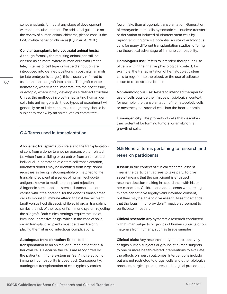xenotransplants formed at any stage of development warrant particular attention. For additional guidance on the review of human-animal chimeras, please consult the ISSCR white paper on chimeras (Hyun *et al.*, 2020).

#### **Cellular transplants into postnatal animal hosts:**

Although formally the resulting animal can still be classed as chimera, where human cells with limited fate, in terms of cell type or tissue distribution are introduced into defined positions in postnatal animals (or late embryonic stages), this is usually referred to as a transplant or graft into a host. The graft can be homotopic, where it can integrate into the host tissue, or ectopic, where it may develop as a defined structure. Unless the methods involve transplanting human germ cells into animal gonads, these types of experiment will generally be of little concern, although they should be subject to review by an animal ethics committee.

## **G.4 Terms used in transplantation**

**Allogeneic transplantation:** Refers to the transplantation of cells from a donor to another person, either related (as when from a sibling or parent) or from an unrelated individual. In hematopoietic stem cell transplantation, unrelated donors may be identified from large donor registries as being histocompatible or matched to the transplant recipient at a series of human leukocyte antigens known to mediate transplant rejection. Allogeneic hematopoietic stem cell transplantation carries with it the potential for the donor's transplanted cells to mount an immune attack against the recipient (graft versus host disease), while solid organ transplant carries the risk of the recipient's immune system rejecting the allograft. Both clinical settings require the use of immunosuppressive drugs, which in the case of solid organ transplant recipients must be taken lifelong, placing them at risk of infectious complications.

**Autologous transplantation:** Refers to the transplantation to an animal or human patient of his/ her own cells. Because the cells are recognized by the patient's immune system as "self," no rejection or immune incompatibility is observed. Consequently, autologous transplantation of cells typically carries

fewer risks than allogeneic transplantation. Generation of embryonic stem cells by somatic cell nuclear transfer or derivation of induced pluripotent stem cells by reprogramming offers a potential source of autologous cells for many different transplantation studies, offering the theoretical advantage of immune compatibility.

**Homologous use:** Refers to intended therapeutic use of cells within their native physiological context, for example, the transplantation of hematopoietic stem cells to regenerate the blood, or the use of adipose tissue to reconstruct a breast.

**Non-homologous use:** Refers to intended therapeutic use of cells outside their native physiological context, for example, the transplantation of hematopoietic cells or mesenchymal stromal cells into the heart or brain.

**Tumorigenicity:** The property of cells that describes their potential for forming tumors, or an abnormal growth of cells.

# **G.5 General terms pertaining to research and research participants**

**Assent:** In the context of clinical research, assent means the participant agrees to take part. To give assent means that the participant is engaged in research decision-making in accordance with his or her capacities. Children and adolescents who are legal minors cannot give legally valid informed consent, but they may be able to give assent. Assent demands that the legal minor provide affirmative agreement to participate in research.

**Clinical research:** Any systematic research conducted with human subjects or groups of human subjects or on materials from humans, such as tissue samples.

**Clinical trials:** Any research study that prospectively assigns human subjects or groups of human subjects to one or more health-related interventions to evaluate the effects on health outcomes. Interventions include but are not restricted to drugs, cells and other biological products, surgical procedures, radiological procedures,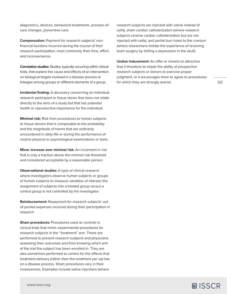diagnostics, devices, behavioral treatments, process-ofcare changes, preventive care.

**Compensation:** Payment for research subjects' nonfinancial burdens incurred during the course of their research participation, most commonly their time, effort, and inconvenience.

**Correlative studies:** Studies, typically occurring within clinical trials, that explore the cause and effects of an intervention on biological targets involved in a disease process or linkages among groups or different elements of a group.

**Incidental finding:** A discovery concerning an individual research participant or tissue donor that does not relate directly to the aims of a study but that has potential health or reproductive importance for the individual.

**Minimal risk:** Risk from procedures to human subjects or tissue donors that is comparable to the probability and the magnitude of harms that are ordinarily encountered in daily life or during the performance of routine physical or psychological examinations or tests.

**Minor increase over minimal risk:** An increment in risk that is only a fraction above the minimal risk threshold and considered acceptable by a reasonable person.

**Observational studies:** A type of clinical research where investigators observe human subjects or groups of human subjects to measure variables of interest; the assignment of subjects into a treated group versus a control group is not controlled by the investigator.

**Reimbursement:** Repayment for research subjects' outof-pocket expenses incurred during their participation in research.

**Sham procedures: Procedures used as controls in** clinical trials that mimic experimental procedures for research subjects in the "treatment" arm. These are performed to prevent research subjects and physicians assessing their outcomes and from knowing which arm of the trial the subject has been enrolled in. They are also sometimes performed to control for the effects that treatment delivery (rather than the treatment per se) has on a disease process. Sham procedures vary in their invasiveness. Examples include saline injections (where

research subjects are injected with saline instead of cells), sham cardiac catheterization (where research subjects receive cardiac catheterization but are not injected with cells), and partial burr holes to the cranium (where researchers imitate the experience of receiving brain surgery by drilling a depression in the skull).

**Undue inducement:** An offer or reward so attractive that it threatens to impair the ability of prospective research subjects or donors to exercise proper judgment, or it encourages them to agree to procedures for which they are strongly averse.

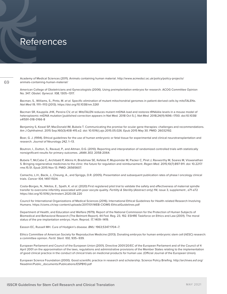# References

Academy of Medical Sciences (2011). Animals containing human material. [http://www.acmedsci.ac.uk/policy/policy-projects/](http://www.acmedsci.ac.uk/policy/policy-projects/animals-containing-human-material/) [animals-containing-human-material/](http://www.acmedsci.ac.uk/policy/policy-projects/animals-containing-human-material/)

American College of Obstetricians and Gynecologists (2006). Using preimplantation embryos for research. ACOG Committee Opinion No. 347. *Obstet. Gynecol. 108,* 1305–1317.

Bacman, S., Williams, S., Pinto, M. *et al.* Specific elimination of mutant mitochondrial genomes in patient-derived cells by mitoTALENs. *Nat Med 19,* 1111–1113 (2013).<https://doi.org/10.1038/nm.3261>

Bacman SR, Kauppila JHK, Pereira CV, *et al.* MitoTALEN reduces mutant mtDNA load and restores tRNAAla levels in a mouse model of heteroplasmic mtDNA mutation [published correction appears in Nat Med. 2018 Oct 5;:]. *Nat Med.* 2018;24(11):1696–1700. doi:10.1038/ s41591-018-0166-8

Benjaminy S, Kowal SP, MacDonald IM, Bubela T. Communicating the promise for ocular gene therapies: challenges and recommendations. Am J Ophthalmol. 2015 Sep;160(3):408-415.e2. doi: 10.1016/j.ajo.2015.05.026. Epub 2015 May 30. PMID: 26032192.

Boer, G. J. (1994). Ethical guidelines for the use of human embryonic or fetal tissue for experimental and clinical neurotransplantation and research. *Journal of Neurology 242,* 1–13.

Boutron, I., Dutton, S., Ravaud, P., and Altman, D.G. (2010). Reporting and interpretation of randomized controlled trials with statistically nonsignificant results for primary outcomes. *JAMA 303,* 2058-2064.

Bubela T, McCabe C, Archibald P, Atkins H, Bradshaw SE, Kefalas P, Mujoomdar M, Packer C, Piret J, Raxworthy M, Soares M, Viswanathan S. Bringing regenerative medicines to the clinic: the future for regulation and reimbursement. *Regen Med.* 2015;10(7):897-911. doi: 10.2217/ rme.15.51. Epub 2015 Nov 13. PMID: 26565607.

Camacho, L.H., Bacik, J., Cheung, A., and Spriggs, D.R. (2005). Presentation and subsequent publication rates of phase I oncology clinical trials. *Cancer 104,* 1497-1504.

Costa-Borges, N., Nikitos, E., Spath, K. *et al.* (2020) First registered pilot trial to validate the safety and effectiveness of maternal spindle transfer to overcome infertility associated with poor oocyte quality. *Fertility & Sterility* (Abstract only) *114,* issue 3, supplement , e71-e72 <https://doi.org/10.1016/j.fertnstert.2020.08.220>

Council for International Organizations of Medical Sciences (2016). International Ethical Guidelines for Health-related Research Involving Humans. <https://cioms.ch/wp-content/uploads/2017/01/WEB-CIOMS-EthicalGuidelines.pdf>

Department of Health, and Education and Welfare (1979). Report of the National Commission for the Protection of Human Subjects of Biomedical and Behavioral Research (The Belmont Report). 44 Fed. Reg. 23, 192. ESHRE Taskforce on Ethics and Law (2001). The moral status of the pre-implantation embryo. Hum. Reprod. *17,* 1409–1419.

Easson EC, Russell MH. Cure of Hodgkin's disease. *BMJ.* 1963;5347:1704–7.

Ethics Committee of American Society for Reproductive Medicine (2013). Donating embryos for human embryonic stem cell (hESC) research: a committee opinion. *Fertil. Steril. 100,* 935–939.

European Parliament and Council of the European Union (2001). Directive 2001/20/EC of the European Parliament and of the Council of 4 April 2001 on the approximation of the laws, regulations and administrative provisions of the Member States relating to the implementation of good clinical practice in the conduct of clinical trials on medicinal products for human use. (Official Journal of the European Union).

European Science Foundation (2000). Good scientific practice in research and scholarship. Science Policy Briefing. [http://archives.esf.org/](http://archives.esf.org/fileadmin/Public_documents/Publications/ESPB10.pdf) [fileadmin/Public\\_documents/Publications/ESPB10.pdf](http://archives.esf.org/fileadmin/Public_documents/Publications/ESPB10.pdf)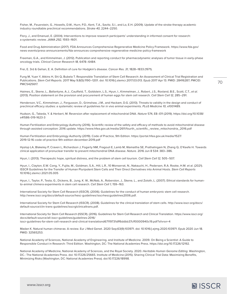Fisher, M., Feuerstein, G., Howells, D.W., Hurn, P.D., Kent, T.A., Savitz, S.I., and Lo, E.H. (2009). Update of the stroke therapy academic industry roundtable preclinical recommendations. *Stroke 40,* 2244–2250.

Flory, J., and Emanuel, E. (2004). Interventions to improve research participants' understanding in informed consent for research: a systematic review. *JAMA 292,* 1593–1601.

Food and Drug Administration (2017). FDA Announces Comprehensive Regenerative Medicine Policy Framework. [https://www.fda.gov/](https://www.fda.gov/news-events/press-announcements/fda-announces-comprehensive-regenerative-medicine-policy-framework) [news-events/press-announcements/fda-announces-comprehensive-regenerative-medicine-policy-framework](https://www.fda.gov/news-events/press-announcements/fda-announces-comprehensive-regenerative-medicine-policy-framework)

Freeman, G.A., and Kimmelman, J. (2012). Publication and reporting conduct for pharmacodynamic analyses of tumor tissue in early-phase oncology trials. *Clinical Cancer Research 18,* 6478–6484.

Frei, E. 3rd & Gehan, E. A. Definition of cure for Hodgkin's disease. *Cancer Res. 31,* 1828–1833 (1971).

Fung M, Yuan Y, Atkins H, Shi Q, Bubela T. Responsible Translation of Stem Cell Research: An Assessment of Clinical Trial Registration and Publications. *Stem Cell Reports.* 2017 May 9;8(5):1190–1201. doi: 10.1016/j.stemcr.2017.03.013. Epub 2017 Apr 13. PMID: 28416287; PMCID: PMC5425617.

Haimes, E., Skene, L., Ballantyne, A.J., Caulfield, T., Goldstein, L.S., Hyun, I., Kimmelman, J., Robert, J.S., Roxland, B.E., Scott, C.T., *et al.* (2013). Position statement on the provision and procurement of human eggs for stem cell research. *Cell Stem Cell 12,* 285–291.

Henderson, V.C., Kimmelman, J., Fergusson, D., Grimshaw, J.M., and Hackam, D.G. (2013). Threats to validity in the design and conduct of preclinical efficacy studies: a systematic review of guidelines for *in vivo* animal experiments. *PLoS Medicine 10,* e1001489.

Hudson, G., Takeda, Y. & Herbert, M. Reversion after replacement of mitochondrial DNA. *Nature* 574, E8–E11 (2019). [https://doi.org/10.1038/](https://doi.org/10.1038/s41586-019-1623-3) [s41586-019-1623-3](https://doi.org/10.1038/s41586-019-1623-3)

Human Fertilization and Embryology Authority (2016). Scientific review of the safety and efficacy of methods to avoid mitochondrial disease through assisted conception: 2016 update. [https://www.hfea.gov.uk/media/2611/fourth\\_scientific\\_review\\_mitochondria\\_2016.pdf](https://www.hfea.gov.uk/media/2611/fourth_scientific_review_mitochondria_2016.pdf)

Human Fertilization and Embryology Authority (2019). Code of Practice, 9th Edition. [https://portal.hfea.gov.uk/media/1527/](https://portal.hfea.gov.uk/media/1527/2019-12-16-code-of-practice-9th-edition-december-2019.pdf) [2019-12-16-code-of-practice-9th-edition-december-2019.pdf](https://portal.hfea.gov.uk/media/1527/2019-12-16-code-of-practice-9th-edition-december-2019.pdf)

Hyslop LA, Blakeley P, Craven L, Richardson J, Fogarty NM, Fragouli E, Lamb M, Wamaitha SE, Prathalingam N, Zhang Q, O'Keefe H. Towards clinical application of pronuclear transfer to prevent mitochondrial DNA disease. *Nature.* 2016 Jun 8 534: 383–386.

Hyun, I. (2013). Therapeutic hope, spiritual distress, and the problem of stem cell tourism. *Cell Stem Cell 12,* 505–507.

Hyun, I., Clayton, E.W. Cong, Y., Fujita, M., Goldman, S.A., Hill, L.R., 10 Monserrat, N., Nakauchi, H., Pedersen, R.A. Rooke, H.M. et al. (2021). ISSCR Guidelines for the Transfer of Human Pluripotent Stem Cells and Their Direct Derivatives into Animal Hosts. *Stem Cell Reports*  10.1016/j.stemcr.2021.05.005

Hyun, I., Taylor, P., Testa, G., Dickens, B., Jung, K. W., McNab, A., Roberston, J., Skene, L., and Zoloth, L. (2007). Ethical standards for humanto-animal chimera experiments in stem cell research. *Cell Stem Cell 1,* 159–163.

International Society for Stem Cell Research (ISSCR). (2006). Guidelines for the conduct of human embryonic stem cell research. <http://www.isscr.org/docs/default-source/hesc-guidelines/isscrhescguidelines2006.pdf>.

International Society for Stem Cell Research (ISSCR). (2008). Guidelines for the clinical translation of stem cells. [http://www.isscr.org/docs/](http://www.isscr.org/docs/default-source/clin-trans-guidelines/isscrglclinicaltrans.pdf) [default-source/clin-trans-guidelines/isscrglclinicaltrans.pdf](http://www.isscr.org/docs/default-source/clin-trans-guidelines/isscrglclinicaltrans.pdf).

International Society for Stem Cell Research (ISSCR). (2016). Guidelines for Stem Cell Research and Clinical Translation. [https://www.isscr.org/](https://www.isscr.org/docs/default-source/all-isscr-guidelines/guidelines-2016/isscr-guidelines-for-stem-cell-research-and-clinical-translationd67119731dff6ddbb37cff0000940c19.pdf?sfvrsn=4) [docs/default-source/all-isscr-guidelines/guidelines-2016/](https://www.isscr.org/docs/default-source/all-isscr-guidelines/guidelines-2016/isscr-guidelines-for-stem-cell-research-and-clinical-translationd67119731dff6ddbb37cff0000940c19.pdf?sfvrsn=4) [isscr-guidelines-for-stem-cell-research-and-clinical-translationd67119731dff6ddbb37cff0000940c19.pdf?sfvrsn=4](https://www.isscr.org/docs/default-source/all-isscr-guidelines/guidelines-2016/isscr-guidelines-for-stem-cell-research-and-clinical-translationd67119731dff6ddbb37cff0000940c19.pdf?sfvrsn=4)

Madan K. Natural human chimeras: A review. Eur J Med Genet. 2020 Sep;63(9):103971. doi: 10.1016/j.ejmg.2020.103971. Epub 2020 Jun 18. PMID: 32565253.

National Academy of Sciences, National Academy of Engineering, and Institute of Medicine. 2009. On Being a Scientist: A Guide to Responsible Conduct in Research: Third Edition. Washington, DC: The National Academies Press. <https://doi.org/10.17226/12192>.

National Academy of Medicine, National Academy of Sciences, and the Royal Society. 2020. *Heritable Human Genome Editing.* Washington, DC.: The National Academies Press. doi: 10.17226/25665. Institute of Medicine (2015). Sharing Clinical Trial Data: Maximizing Benefits, Minimizing Risks (Washington, DC: National Academies Press). doi:10.17226/18998.

图 ISSCR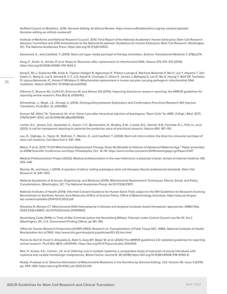Nuffield Council on Bioethics. 2016. *Genome Editing: An Ethical Review.* [https://www.nuffieldbioethics.org/wp-content/uploads/](https://www.nuffieldbioethics.org/wp-content/uploads/Genome-editing-an-ethical-review.pdf) [Genome-editing-an-ethical-review.pdf](https://www.nuffieldbioethics.org/wp-content/uploads/Genome-editing-an-ethical-review.pdf)

Institute of Medicine and National Research Council. 2010. Final Report of the National Academies' Human Embryonic Stem Cell Research Advisory Committee and 2010 Amendments to the National Academies' Guidelines for Human Embryonic Stem Cell Research. Washington, DC: The National Academies Press. [https://doi.org/10.17226/12923.](https://doi.org/10.17226/12923)

Kamenova, K., and Caulfield, T. (2015). Stem cell hype: media portrayal of therapy translation. *Science Translational Medicine 7,* 278ps274.

Kang, E., Koski, A., Amato, P. *et al.* Reply to: Reversion after replacement of mitochondrial DNA. *Nature 574,* E12–E13 (2019). <https://doi.org/10.1038/s41586-019-1624-2>

Kang E, Wu J, Gutierrez NM, Koski A, Tippner-Hedges R, Agaronyan K, Platero-Luengo A, Martinez-Redondo P, Ma H, Lee Y, Hayama T, Van Dyken C, Wang X, Luo S, Ahmed R, Li Y, Ji D, Kayali R, Cinnioglu C, Olson S, Jensen J, Battaglia D, Lee D, Wu D, Huang T, Wolf DP, Temiakov D, Izpisua Belmonte JC, Amato P, Mitalipov S. Mitochondrial replacement in human oocytes carrying pathogenic mitochondrial DNA mutations. *Nature* 2016 DOI: 10.1038/nature20592

Kilkenny C, Browne WJ, Cuthill IC, Emerson M, and Altman DG (2010). Improving bioscience research reporting: the ARRIVE guidelines for reporting animal research. Plos Biol *8,* e1000412.

Kimmelman, J., Mogil, J.S., Dirnagl, U. (2014). Distinguishing between Exploratory and Confirmatory Preclinical Research Will Improve Translation. PLoS *Biol. 12,* e1001863.

Kuriyan AE, Albini TA, Townsend JH, *et al.* Vision Loss after Intravitreal Injection of Autologous "Stem Cells" for AMD. *N Engl J Med.* 2017; 376(11):1047–1053. doi:10.1056/NEJMoa1609583

Landis, S.C., Amara, S.G., Asadullah, K., Austin, C.P., Blumenstein, R., Bradley, E.W., Crystal, R.G., Darnell, R.B., Ferrante, R.J., Fillit, H., *et al.* (2012). A call for transparent reporting to optimize the predictive value of preclinical research. *Nature 490,* 187–191.

Lau, D., Ogbogu, U., Taylor, B., Stafinski, T., Menon, D., and Caulfield, T. (2008). Stem cell clinics online: the direct-to-consumer portrayal of stem cell medicine. *Cell Stem Cell 3,* 591–594.

Mazur, P *et al.* 2019 "P-221 Mitochondrial Replacement Therapy Gives No Benefits to Patients of Advanced Maternal Age." Paper presented to ASRM Scientific Conference and Expo, Philadelphia, Oct. 14–16.<https://asrm.confex.com/asrm/2019/meetingapp.cgi/Paper/2347>

Medical Professionalism Project (2002). Medical professionalism in the new millennium: a physician charter. *Annals of Internal medicine 136,*  243–246.

Munsie, M., and Hyun, I. (2014). A question of ethics: selling autologous stem cell therapies flaunts professional standards. *Stem Cell Research 13,* 647–653.

National Academies of Sciences, Engineering, and Medicine (2016). Mitochondrial Replacement Techniques: Ethical, Social, and Policy Considerations. (Washington, DC: The National Academies Press). doi:10.17226/21871.

National Institutes of Health (2014). Informed Consent Guidance for Human Gene Trials subject to the NIH Guidelines for Research Involving Recombinant or Synthetic Nucleic Acid Molecules (Office of Science Policy: Office of Biotechnology Activities). [https://osp.od.nih.gov/](https://osp.od.nih.gov/wp-content/uploads/2014/10/IC2013.pdf) [wp-content/uploads/2014/10/IC2013.pdf](https://osp.od.nih.gov/wp-content/uploads/2014/10/IC2013.pdf)

Nissanka N, Moraes CT. Mitochondrial DNA heteroplasmy in disease and targeted nuclease-based therapeutic approaches. *EMBO Rep.* 2020;21(3):e49612. doi:10.15252/embr.201949612

Nuremberg Code (1949). In Trials of War Criminals before the Nuremberg Military Tribunals under Control Council Law No 10, Vol 2 (Washington, DC: U.S. Government Printing Office), pp 181–182.

Office for Human Research Protections (OHRP) (1993). Research on Transplantation of Fetal Tissue SEC. 498A, National Institutes of Health Revitalization Act of 1993.<http://www.hhs.gov/ohrp/policy/publiclaw103-43.htm.html>

Percie du Sert N, Hurst V, Ahluwalia A, Alam S, Avey MT, Baker M, *et al.* (2020) The ARRIVE guidelines 2.0: Updated guidelines for reporting animal research. *PLoS Biol 18(7):* e3000410. https://doi.org/10.1371/journal.pbio.3000410

Ravi, P., Kumar, S.K., Cerhan, J.R. *et al.* Defining cure in multiple myeloma: a comparative study of outcomes of young individuals with myeloma and curable hematologic malignancies. *Blood Cancer Journal 8,* 26 (2018).[https://doi.org/10.1038/s41408-018-0065-8:](https://doi.org/10.1038/s41408-018-0065-8)

Reddy, Pradeep *et al.* Selective Elimination of Mitochondrial Mutations in the Germline by Genome Editing. *Cell,* Volume 161, Issue 3 (2015) pp. 459–469. <https://doi.org/10.1016/j.cell.2015.03.051>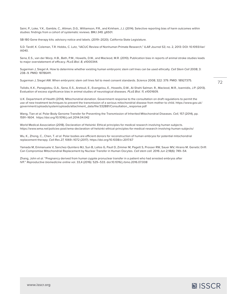Saini, P., Loke, Y.K., Gamble, C., Altman, D.G., Williamson, P.R., and Kirkham, J.J. (2014). Selective reporting bias of harm outcomes within studies: findings from a cohort of systematic reviews. BMJ *349,* g6501.

SB-180 Gene therapy kits: advisory notice and labels. (2019–2020). California State Legislature.

S.D. Tardif, K. Coleman, T.R. Hobbs, C. Lutz, "IACUC Review of Nonhuman Primate Research," *ILAR Journal 53,* no. 2, 2013: DOI: 10.1093/ilar/ ilt040.

Sena, E.S., van der Worp, H.B., Bath, P.M., Howells, D.W., and Macleod, M.R. (2010). Publication bias in reports of animal stroke studies leads to major overstatement of efficacy. *PLoS Biol. 8,* e1000344.

Sugarman J, Siegel A. How to determine whether existing human embryonic stem cell lines can be used ethically. *Cell Stem Cell* 2008; 3: 238–9. PMID: 18786411.

Sugarman J, Siegel AW. When embryonic stem cell lines fail to meet consent standards. *Science* 2008; 322: 379. PMID: 18927375.

Tsilidis, K.K., Panagiotou, O.A., Sena, E.S., Aretouli, E., Evangelou, E., Howells, D.W., Al-Shahi Salman. R., Macleod, M.R., Ioannidis, J.P. (2013). Evaluation of excess significance bias in animal studies of neurological diseases. *PLoS Biol. 11,* e1001609.

U.K. Department of Health (2014). Mitochondrial donation. Government response to the consultation on draft regulations to permit the use of new treatment techniques to prevent the transmission of a serious mitochondrial disease from mother to child. [https://www.gov.uk/](https://www.gov.uk/government/uploads/system/uploads/attachment_data/file/332881/Consultation_response.pdf) [government/uploads/system/uploads/attachment\\_data/file/332881/Consultation\\_response.pdf](https://www.gov.uk/government/uploads/system/uploads/attachment_data/file/332881/Consultation_response.pdf)

Wang, Tian *et al.* Polar Body Genome Transfer for Preventing the Transmission of Inherited Mitochondrial Diseases. *Cell,* 157 (2014), pp. 1591–1604. <https://doi.org/10.1016/j.cell.2014.04.042>

World Medical Association (2018). Declaration of Helsinki: Ethical principles for medical research involving human subjects. <https://www.wma.net/policies-post/wma-declaration-of-helsinki-ethical-principles-for-medical-research-involving-human-subjects/>

Wu, K., Zhong, C., Chen, T. et al. Polar bodies are efficient donors for reconstruction of human embryos for potential mitochondrial replacement therapy. *Cell Res 27,* 1069–1072 (2017).<https://doi.org/10.1038/cr.2017.67>

Yamada M, Emmanuele V, Sanchez-Quintero MJ, Sun B, Lallos G, Paull D, Zimmer M, Pagett S, Prosser RW, Sauer MV, Hirano M. Genetic Drift Can Compromise Mitochondrial Replacement by Nuclear Transfer in Human Oocytes. *Cell stem cell.* 2016 Jun 2;18(6): 749–54.

Zhang, John *et al.* "Pregnancy derived from human zygote pronuclear transfer in a patient who had arrested embryos after IVF." *Reproductive biomedicine online* vol. 33,4 (2016): 529–533. doi:10.1016/j.rbmo.2016.07.008